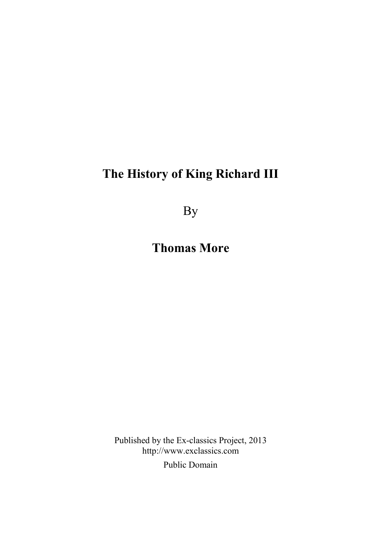By

**Thomas More**

Published by the Ex-classics Project, 2013 http://www.exclassics.com

Public Domain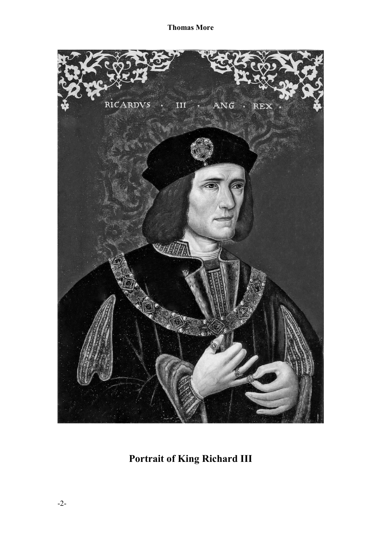

# **Portrait of King Richard III**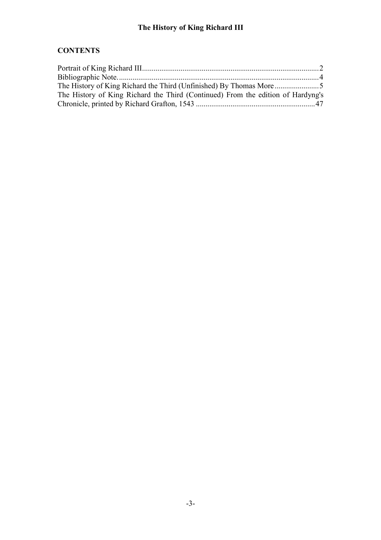### **CONTENTS**

| The History of King Richard the Third (Continued) From the edition of Hardyng's |  |
|---------------------------------------------------------------------------------|--|
|                                                                                 |  |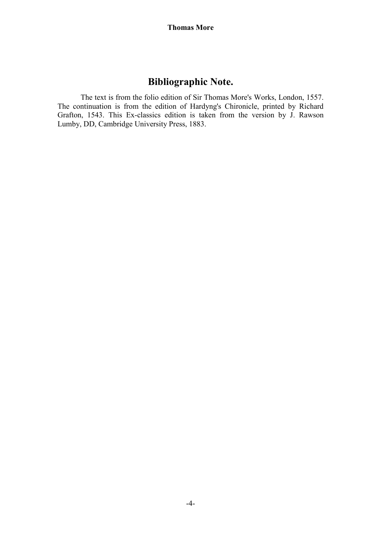## **Bibliographic Note.**

The text is from the folio edition of Sir Thomas More's Works, London, 1557. The continuation is from the edition of Hardyng's Chironicle, printed by Richard Grafton, 1543. This Ex-classics edition is taken from the version by J. Rawson Lumby, DD, Cambridge University Press, 1883.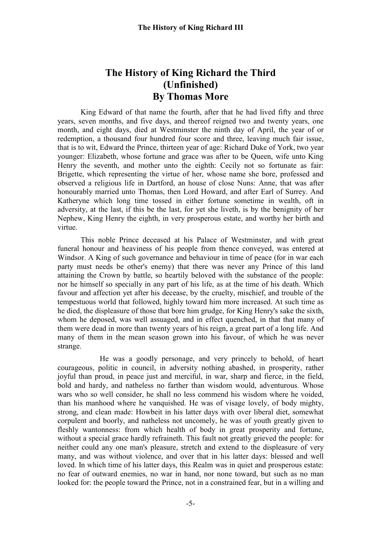# **The History of King Richard the Third (Unfinished) By Thomas More**

King Edward of that name the fourth, after that he had lived fifty and three years, seven months, and five days, and thereof reigned two and twenty years, one month, and eight days, died at Westminster the ninth day of April, the year of or redemption, a thousand four hundred four score and three, leaving much fair issue, that is to wit, Edward the Prince, thirteen year of age: Richard Duke of York, two year younger: Elizabeth, whose fortune and grace was after to be Queen, wife unto King Henry the seventh, and mother unto the eighth: Cecily not so fortunate as fair: Brigette, which representing the virtue of her, whose name she bore, professed and observed a religious life in Dartford, an house of close Nuns: Anne, that was after honourably married unto Thomas, then Lord Howard, and after Earl of Surrey. And Katheryne which long time tossed in either fortune sometime in wealth, oft in adversity, at the last, if this be the last, for yet she liveth, is by the benignity of her Nephew, King Henry the eighth, in very prosperous estate, and worthy her birth and virtue.

This noble Prince deceased at his Palace of Westminster, and with great funeral honour and heaviness of his people from thence conveyed, was entered at Windsor. A King of such governance and behaviour in time of peace (for in war each) party must needs be other's enemy) that there was never any Prince of this land attaining the Crown by battle, so heartily beloved with the substance of the people: nor he himself so specially in any part of his life, as at the time of his death. Which favour and affection yet after his decease, by the cruelty, mischief, and trouble of the tempestuous world that followed, highly toward him more increased. At such time as he died, the displeasure of those that bore him grudge, for King Henry's sake the sixth, whom he deposed, was well assuaged, and in effect quenched, in that that many of them were dead in more than twenty years of his reign, a great part of a long life. And many of them in the mean season grown into his favour, of which he was never strange.

He was a goodly personage, and very princely to behold, of heart courageous, politic in council, in adversity nothing abashed, in prosperity, rather joyful than proud, in peace just and merciful, in war, sharp and fierce, in the field, bold and hardy, and natheless no farther than wisdom would, adventurous. Whose wars who so well consider, he shall no less commend his wisdom where he voided, than his manhood where he vanquished. He was of visage lovely, of body mighty, strong, and clean made: Howbeit in his latter days with over liberal diet, somewhat corpulent and boorly, and natheless not uncomely, he was of youth greatly given to fleshly wantonness: from which health of body in great prosperity and fortune, without a special grace hardly refraineth. This fault not greatly grieved the people: for neither could any one man's pleasure, stretch and extend to the displeasure of very many, and was without violence, and over that in his latter days: blessed and well loved. In which time of his latter days, this Realm was in quiet and prosperous estate: no fear of outward enemies, no war in hand, nor none toward, but such as no man looked for: the people toward the Prince, not in a constrained fear, but in a willing and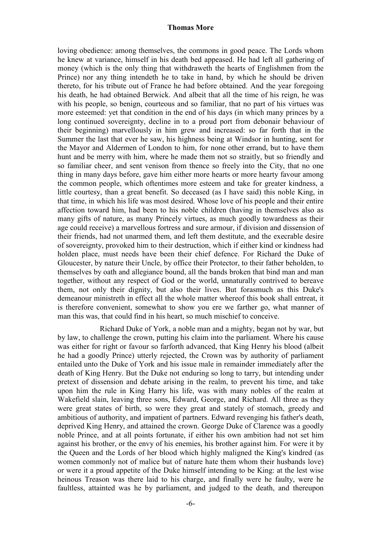loving obedience: among themselves, the commons in good peace. The Lords whom he knew at variance, himself in his death bed appeased. He had left all gathering of money (which is the only thing that withdraweth the hearts of Englishmen from the Prince) nor any thing intendeth he to take in hand, by which he should be driven thereto, for his tribute out of France he had before obtained. And the year foregoing his death, he had obtained Berwick. And albeit that all the time of his reign, he was with his people, so benign, courteous and so familiar, that no part of his virtues was more esteemed: yet that condition in the end of his days (in which many princes by a long continued sovereignty, decline in to a proud port from debonair behaviour of their beginning) marvellously in him grew and increased: so far forth that in the Summer the last that ever he saw, his highness being at Windsor in hunting, sent for the Mayor and Aldermen of London to him, for none other errand, but to have them hunt and be merry with him, where he made them not so straitly, but so friendly and so familiar cheer, and sent venison from thence so freely into the City, that no one thing in many days before, gave him either more hearts or more hearty favour among the common people, which oftentimes more esteem and take for greater kindness, a little courtesy, than a great benefit. So deceased (as I have said) this noble King, in that time, in which his life was most desired. Whose love of his people and their entire affection toward him, had been to his noble children (having in themselves also as many gifts of nature, as many Princely virtues, as much goodly towardness as their age could receive) a marvellous fortress and sure armour, if division and dissension of their friends, had not unarmed them, and left them destitute, and the execrable desire of sovereignty, provoked him to their destruction, which if either kind or kindness had holden place, must needs have been their chief defence. For Richard the Duke of Gloucester, by nature their Uncle, by office their Protector, to their father beholden, to themselves by oath and allegiance bound, all the bands broken that bind man and man together, without any respect of God or the world, unnaturally contrived to bereave them, not only their dignity, but also their lives. But forasmuch as this Duke's demeanour ministreth in effect all the whole matter whereof this book shall entreat, it is therefore convenient, somewhat to show you ere we farther go, what manner of man this was, that could find in his heart, so much mischief to conceive.

Richard Duke of York, a noble man and a mighty, began not by war, but by law, to challenge the crown, putting his claim into the parliament. Where his cause was either for right or favour so farforth advanced, that King Henry his blood (albeit he had a goodly Prince) utterly rejected, the Crown was by authority of parliament entailed unto the Duke of York and his issue male in remainder immediately after the death of King Henry. But the Duke not enduring so long to tarry, but intending under pretext of dissension and debate arising in the realm, to prevent his time, and take upon him the rule in King Harry his life, was with many nobles of the realm at Wakefield slain, leaving three sons, Edward, George, and Richard. All three as they were great states of birth, so were they great and stately of stomach, greedy and ambitious of authority, and impatient of partners. Edward revenging his father's death, deprived King Henry, and attained the crown. George Duke of Clarence was a goodly noble Prince, and at all points fortunate, if either his own ambition had not set him against his brother, or the envy of his enemies, his brother against him. For were it by the Queen and the Lords of her blood which highly maligned the King's kindred (as women commonly not of malice but of nature hate them whom their husbands love) or were it a proud appetite of the Duke himself intending to be King: at the lest wise heinous Treason was there laid to his charge, and finally were he faulty, were he faultless, attainted was he by parliament, and judged to the death, and thereupon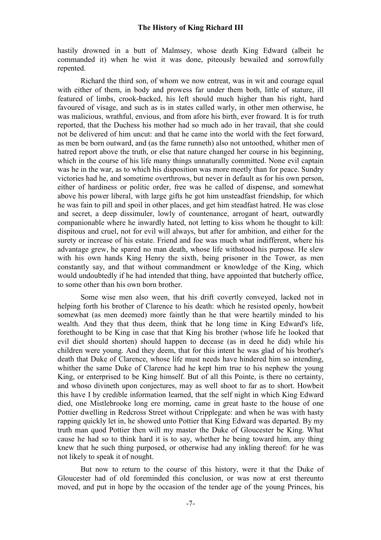hastily drowned in a butt of Malmsey, whose death King Edward (albeit he commanded it) when he wist it was done, piteously bewailed and sorrowfully repented.

Richard the third son, of whom we now entreat, was in wit and courage equal with either of them, in body and prowess far under them both, little of stature, ill featured of limbs, crook-backed, his left should much higher than his right, hard favoured of visage, and such as is in states called warly, in other men otherwise, he was malicious, wrathful, envious, and from afore his birth, ever froward. It is for truth reported, that the Duchess his mother had so much ado in her travail, that she could not be delivered of him uncut: and that he came into the world with the feet forward, as men be born outward, and (as the fame runneth) also not untoothed, whither men of hatred report above the truth, or else that nature changed her course in his beginning, which in the course of his life many things unnaturally committed. None evil captain was he in the war, as to which his disposition was more meetly than for peace. Sundry victories had he, and sometime overthrows, but never in default as for his own person, either of hardiness or politic order, free was he called of dispense, and somewhat above his power liberal, with large gifts he got him unsteadfast friendship, for which he was fain to pill and spoil in other places, and get him steadfast hatred. He was close and secret, a deep dissimuler, lowly of countenance, arrogant of heart, outwardly companionable where he inwardly hated, not letting to kiss whom he thought to kill: dispitous and cruel, not for evil will always, but after for ambition, and either for the surety or increase of his estate. Friend and foe was much what indifferent, where his advantage grew, he spared no man death, whose life withstood his purpose. He slew with his own hands King Henry the sixth, being prisoner in the Tower, as men constantly say, and that without commandment or knowledge of the King, which would undoubtedly if he had intended that thing, have appointed that butcherly office, to some other than his own born brother.

Some wise men also ween, that his drift covertly conveyed, lacked not in helping forth his brother of Clarence to his death: which he resisted openly, howbeit somewhat (as men deemed) more faintly than he that were heartily minded to his wealth. And they that thus deem, think that he long time in King Edward's life, forethought to be King in case that that King his brother (whose life he looked that evil diet should shorten) should happen to decease (as in deed he did) while his children were young. And they deem, that for this intent he was glad of his brother's death that Duke of Clarence, whose life must needs have hindered him so intending, whither the same Duke of Clarence had he kept him true to his nephew the young King, or enterprised to be King himself. But of all this Pointe, is there no certainty, and whoso divineth upon conjectures, may as well shoot to far as to short. Howbeit this have I by credible information learned, that the self night in which King Edward died, one Mistlebrooke long ere morning, came in great haste to the house of one Pottier dwelling in Redcross Street without Cripplegate: and when he was with hasty rapping quickly let in, he showed unto Pottier that King Edward was departed. By my truth man quod Pottier then will my master the Duke of Gloucester be King. What cause he had so to think hard it is to say, whether he being toward him, any thing knew that he such thing purposed, or otherwise had any inkling thereof: for he was not likely to speak it of nought.

But now to return to the course of this history, were it that the Duke of Gloucester had of old foreminded this conclusion, or was now at erst thereunto moved, and put in hope by the occasion of the tender age of the young Princes, his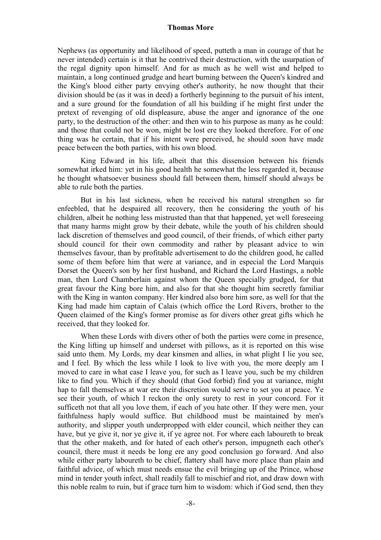Nephews (as opportunity and likelihood of speed, putteth a man in courage of that he never intended) certain is it that he contrived their destruction, with the usurpation of the regal dignity upon himself. And for as much as he well wist and helped to maintain, a long continued grudge and heart burning between the Queen's kindred and the King's blood either party envying other's authority, he now thought that their division should be (as it was in deed) a fortherly beginning to the pursuit of his intent, and a sure ground for the foundation of all his building if he might first under the pretext of revenging of old displeasure, abuse the anger and ignorance of the one party, to the destruction of the other: and then win to his purpose as many as he could: and those that could not be won, might be lost ere they looked therefore. For of one thing was he certain, that if his intent were perceived, he should soon have made peace between the both parties, with his own blood.

King Edward in his life, albeit that this dissension between his friends somewhat irked him: yet in his good health he somewhat the less regarded it, because he thought whatsoever business should fall between them, himself should always be able to rule both the parties.

But in his last sickness, when he received his natural strengthen so far enfeebled, that he despaired all recovery, then he considering the youth of his children, albeit he nothing less mistrusted than that that happened, yet well foreseeing that many harms might grow by their debate, while the youth of his children should lack discretion of themselves and good council, of their friends, of which either party should council for their own commodity and rather by pleasant advice to win themselves favour, than by profitable advertisement to do the children good, he called some of them before him that were at variance, and in especial the Lord Marquis Dorset the Queen's son by her first husband, and Richard the Lord Hastings, a noble man, then Lord Chamberlain against whom the Queen specially grudged, for that great favour the King bore him, and also for that she thought him secretly familiar with the King in wanton company. Her kindred also bore him sore, as well for that the King had made him captain of Calais (which office the Lord Rivers, brother to the Queen claimed of the King's former promise as for divers other great gifts which he received, that they looked for.

When these Lords with divers other of both the parties were come in presence, the King lifting up himself and underset with pillows, as it is reported on this wise said unto them. My Lords, my dear kinsmen and allies, in what plight I lie you see, and I feel. By which the less while I look to live with you, the more deeply am I moved to care in what case I leave you, for such as I leave you, such be my children like to find you. Which if they should (that God forbid) find you at variance, might hap to fall themselves at war ere their discretion would serve to set you at peace. Ye see their youth, of which I reckon the only surety to rest in your concord. For it sufficeth not that all you love them, if each of you hate other. If they were men, your faithfulness haply would suffice. But childhood must be maintained by men's authority, and slipper youth underpropped with elder council, which neither they can have, but ye give it, nor ye give it, if ye agree not. For where each laboureth to break that the other maketh, and for hated of each other's person, impugneth each other's council, there must it needs be long ere any good conclusion go forward. And also while either party laboureth to be chief, flattery shall have more place than plain and faithful advice, of which must needs ensue the evil bringing up of the Prince, whose mind in tender youth infect, shall readily fall to mischief and riot, and draw down with this noble realm to ruin, but if grace turn him to wisdom: which if God send, then they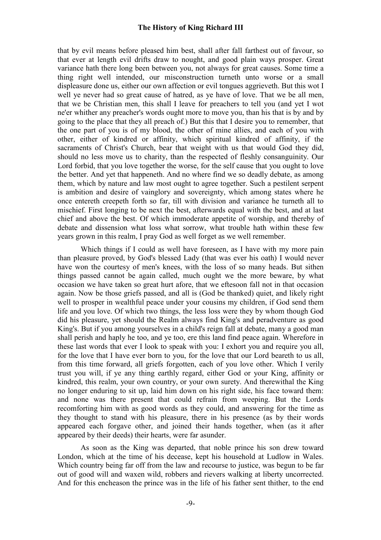that by evil means before pleased him best, shall after fall farthest out of favour, so that ever at length evil drifts draw to nought, and good plain ways prosper. Great variance hath there long been between you, not always for great causes. Some time a thing right well intended, our misconstruction turneth unto worse or a small displeasure done us, either our own affection or evil tongues aggrieveth. But this wot I well ye never had so great cause of hatred, as ye have of love. That we be all men, that we be Christian men, this shall I leave for preachers to tell you (and yet I wot ne'er whither any preacher's words ought more to move you, than his that is by and by going to the place that they all preach of.) But this that I desire you to remember, that the one part of you is of my blood, the other of mine allies, and each of you with other, either of kindred or affinity, which spiritual kindred of affinity, if the sacraments of Christ's Church, bear that weight with us that would God they did, should no less move us to charity, than the respected of fleshly consanguinity. Our Lord forbid, that you love together the worse, for the self cause that you ought to love the better. And yet that happeneth. And no where find we so deadly debate, as among them, which by nature and law most ought to agree together. Such a pestilent serpent is ambition and desire of vainglory and sovereignty, which among states where he once entereth creepeth forth so far, till with division and variance he turneth all to mischief. First longing to be next the best, afterwards equal with the best, and at last chief and above the best. Of which immoderate appetite of worship, and thereby of debate and dissension what loss what sorrow, what trouble hath within these few years grown in this realm, I pray God as well forget as we well remember.

Which things if I could as well have foreseen, as I have with my more pain than pleasure proved, by God's blessed Lady (that was ever his oath) I would never have won the courtesy of men's knees, with the loss of so many heads. But sithen things passed cannot be again called, much ought we the more beware, by what occasion we have taken so great hurt afore, that we eftesoon fall not in that occasion again. Now be those griefs passed, and all is (God be thanked) quiet, and likely right well to prosper in wealthful peace under your cousins my children, if God send them life and you love. Of which two things, the less loss were they by whom though God did his pleasure, yet should the Realm always find King's and peradventure as good King's. But if you among yourselves in a child's reign fall at debate, many a good man shall perish and haply he too, and ye too, ere this land find peace again. Wherefore in these last words that ever I look to speak with you: I exhort you and require you all, for the love that I have ever born to you, for the love that our Lord beareth to us all, from this time forward, all griefs forgotten, each of you love other. Which I verily trust you will, if ye any thing earthly regard, either God or your King, affinity or kindred, this realm, your own country, or your own surety. And therewithal the King no longer enduring to sit up, laid him down on his right side, his face toward them: and none was there present that could refrain from weeping. But the Lords recomforting him with as good words as they could, and answering for the time as they thought to stand with his pleasure, there in his presence (as by their words appeared each forgave other, and joined their hands together, when (as it after appeared by their deeds) their hearts, were far asunder.

As soon as the King was departed, that noble prince his son drew toward London, which at the time of his decease, kept his household at Ludlow in Wales. Which country being far off from the law and recourse to justice, was begun to be far out of good will and waxen wild, robbers and rievers walking at liberty uncorrected. And for this encheason the prince was in the life of his father sent thither, to the end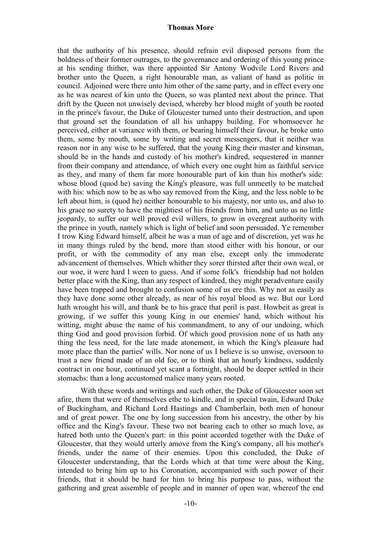that the authority of his presence, should refrain evil disposed persons from the boldness of their former outrages, to the governance and ordering of this young prince at his sending thither, was there appointed Sir Antony Wodvile Lord Rivers and brother unto the Queen, a right honourable man, as valiant of hand as politic in council. Adjoined were there unto him other of the same party, and in effect every one as he was nearest of kin unto the Queen, so was planted next about the prince. That drift by the Queen not unwisely devised, whereby her blood might of youth be rooted in the prince's favour, the Duke of Gloucester turned unto their destruction, and upon that ground set the foundation of all his unhappy building. For whomsoever he perceived, either at variance with them, or bearing himself their favour, he broke unto them, some by mouth, some by writing and secret messengers, that it neither was reason nor in any wise to be suffered, that the young King their master and kinsman, should be in the hands and custody of his mother's kindred, sequestered in manner from their company and attendance, of which every one ought him as faithful service as they, and many of them far more honourable part of kin than his mother's side: whose blood (quod he) saving the King's pleasure, was full unmeetly to be matched with his: which now to be as who say removed from the King, and the less noble to be left about him, is (quod he) neither honourable to his majesty, nor unto us, and also to his grace no surety to have the mightiest of his friends from him, and unto us no little jeopardy, to suffer our well proved evil willers, to grow in overgreat authority with the prince in youth, namely which is light of belief and soon persuaded. Ye remember I trow King Edward himself, albeit he was a man of age and of discretion, yet was he in many things ruled by the bend, more than stood either with his honour, or our profit, or with the commodity of any man else, except only the immoderate advancement of themselves. Which whither they sorer thirsted after their own weal, or our woe, it were hard I ween to guess. And if some folk's friendship had not holden better place with the King, than any respect of kindred, they might peradventure easily have been trapped and brought to confusion some of us ere this. Why not as easily as they have done some other already, as near of his royal blood as we. But our Lord hath wrought his will, and thank be to his grace that peril is past. Howbeit as great is growing, if we suffer this young King in our enemies' hand, which without his witting, might abuse the name of his commandment, to any of our undoing, which thing God and good provision forbid. Of which good provision none of us hath any thing the less need, for the late made atonement, in which the King's pleasure had more place than the parties' wills. Nor none of us I believe is so unwise, oversoon to trust a new friend made of an old foe, or to think that an hourly kindness, suddenly contract in one hour, continued yet scant a fortnight, should be deeper settled in their stomachs: than a long accustomed malice many years rooted.

With these words and writings and such other, the Duke of Gloucester soon set afire, them that were of themselves ethe to kindle, and in special twain, Edward Duke of Buckingham, and Richard Lord Hastings and Chamberlain, both men of honour and of great power. The one by long succession from his ancestry, the other by his office and the King's favour. These two not bearing each to other so much love, as hatred both unto the Queen's part: in this point accorded together with the Duke of Gloucester, that they would utterly amove from the King's company, all his mother's friends, under the name of their enemies. Upon this concluded, the Duke of Gloucester understanding, that the Lords which at that time were about the King, intended to bring him up to his Coronation, accompanied with such power of their friends, that it should be hard for him to bring his purpose to pass, without the gathering and great assemble of people and in manner of open war, whereof the end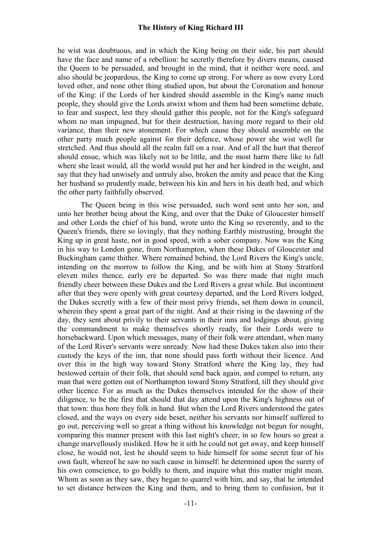he wist was doubtuous, and in which the King being on their side, his part should have the face and name of a rebellion: he secretly therefore by divers means, caused the Queen to be persuaded, and brought in the mind, that it neither were need, and also should be jeopardous, the King to come up strong. For where as now every Lord loved other, and none other thing studied upon, but about the Coronation and honour of the King: if the Lords of her kindred should assemble in the King's name much people, they should give the Lords atwixt whom and them had been sometime debate, to fear and suspect, lest they should gather this people, not for the King's safeguard whom no man impugned, but for their destruction, having more regard to their old variance, than their new atonement. For which cause they should assemble on the other party much people against for their defence, whose power she wist well far stretched. And thus should all the realm fall on a roar. And of all the hurt that thereof should ensue, which was likely not to be little, and the most harm there like to fall where she least would, all the world would put her and her kindred in the weight, and say that they had unwisely and untruly also, broken the amity and peace that the King her husband so prudently made, between his kin and hers in his death bed, and which the other party faithfully observed.

The Queen being in this wise persuaded, such word sent unto her son, and unto her brother being about the King, and over that the Duke of Gloucester himself and other Lords the chief of his band, wrote unto the King so reverently, and to the Queen's friends, there so lovingly, that they nothing Earthly mistrusting, brought the King up in great haste, not in good speed, with a sober company. Now was the King in his way to London gone, from Northampton, when these Dukes of Gloucester and Buckingham came thither. Where remained behind, the Lord Rivers the King's uncle, intending on the morrow to follow the King, and be with him at Stony Stratford eleven miles thence, early ere he departed. So was there made that night much friendly cheer between these Dukes and the Lord Rivers a great while. But incontinent after that they were openly with great courtesy departed, and the Lord Rivers lodged, the Dukes secretly with a few of their most privy friends, set them down in council, wherein they spent a great part of the night. And at their rising in the dawning of the day, they sent about privily to their servants in their inns and lodgings about, giving the commandment to make themselves shortly ready, for their Lords were to horsebackward. Upon which messages, many of their folk were attendant, when many of the Lord River's servants were unready. Now had these Dukes taken also into their custody the keys of the inn, that none should pass forth without their licence. And over this in the high way toward Stony Stratford where the King lay, they had bestowed certain of their folk, that should send back again, and compel to return, any man that were gotten out of Northampton toward Stony Stratford, till they should give other licence. For as much as the Dukes themselves intended for the show of their diligence, to be the first that should that day attend upon the King's highness out of that town: thus bore they folk in hand. But when the Lord Rivers understood the gates closed, and the ways on every side beset, neither his servants nor himself suffered to go out, perceiving well so great a thing without his knowledge not begun for nought, comparing this manner present with this last night's cheer, in so few hours so great a change marvellously misliked. How be it sith he could not get away, and keep himself close, he would not, lest he should seem to hide himself for some secret fear of his own fault, whereof he saw no such cause in himself: he determined upon the surety of his own conscience, to go boldly to them, and inquire what this matter might mean. Whom as soon as they saw, they began to quarrel with him, and say, that he intended to set distance between the King and them, and to bring them to confusion, but it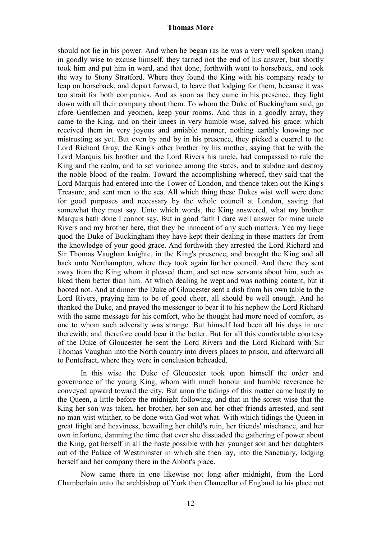should not lie in his power. And when he began (as he was a very well spoken man,) in goodly wise to excuse himself, they tarried not the end of his answer, but shortly took him and put him in ward, and that done, forthwith went to horseback, and took the way to Stony Stratford. Where they found the King with his company ready to leap on horseback, and depart forward, to leave that lodging for them, because it was too strait for both companies. And as soon as they came in his presence, they light down with all their company about them. To whom the Duke of Buckingham said, go afore Gentlemen and yeomen, keep your rooms. And thus in a goodly array, they came to the King, and on their knees in very humble wise, salved his grace: which received them in very joyous and amiable manner, nothing earthly knowing nor mistrusting as yet. But even by and by in his presence, they picked a quarrel to the Lord Richard Gray, the King's other brother by his mother, saying that he with the Lord Marquis his brother and the Lord Rivers his uncle, had compassed to rule the King and the realm, and to set variance among the states, and to subdue and destroy the noble blood of the realm. Toward the accomplishing whereof, they said that the Lord Marquis had entered into the Tower of London, and thence taken out the King's Treasure, and sent men to the sea. All which thing these Dukes wist well were done for good purposes and necessary by the whole council at London, saving that somewhat they must say. Unto which words, the King answered, what my brother Marquis hath done I cannot say. But in good faith I dare well answer for mine uncle Rivers and my brother here, that they be innocent of any such matters. Yea my liege quod the Duke of Buckingham they have kept their dealing in these matters far from the knowledge of your good grace. And forthwith they arrested the Lord Richard and Sir Thomas Vaughan knighte, in the King's presence, and brought the King and all back unto Northampton, where they took again further council. And there they sent away from the King whom it pleased them, and set new servants about him, such as liked them better than him. At which dealing he wept and was nothing content, but it booted not. And at dinner the Duke of Gloucester sent a dish from his own table to the Lord Rivers, praying him to be of good cheer, all should be well enough. And he thanked the Duke, and prayed the messenger to bear it to his nephew the Lord Richard with the same message for his comfort, who he thought had more need of comfort, as one to whom such adversity was strange. But himself had been all his days in ure therewith, and therefore could bear it the better. But for all this comfortable courtesy of the Duke of Gloucester he sent the Lord Rivers and the Lord Richard with Sir Thomas Vaughan into the North country into divers places to prison, and afterward all to Pontefract, where they were in conclusion beheaded.

In this wise the Duke of Gloucester took upon himself the order and governance of the young King, whom with much honour and humble reverence he conveyed upward toward the city. But anon the tidings of this matter came hastily to the Queen, a little before the midnight following, and that in the sorest wise that the King her son was taken, her brother, her son and her other friends arrested, and sent no man wist whither, to be done with God wot what. With which tidings the Queen in great fright and heaviness, bewailing her child's ruin, her friends' mischance, and her own infortune, damning the time that ever she dissuaded the gathering of power about the King, got herself in all the haste possible with her younger son and her daughters out of the Palace of Westminster in which she then lay, into the Sanctuary, lodging herself and her company there in the Abbot's place.

Now came there in one likewise not long after midnight, from the Lord Chamberlain unto the archbishop of York then Chancellor of England to his place not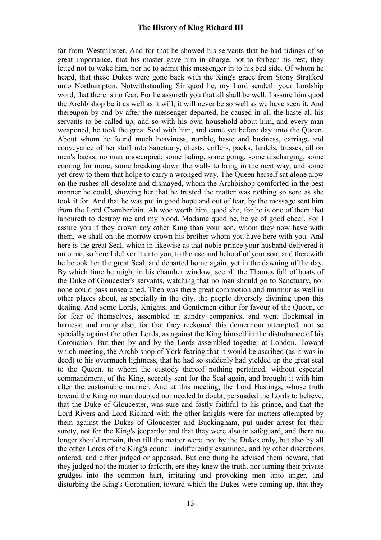far from Westminster. And for that he showed his servants that he had tidings of so great importance, that his master gave him in charge, not to forbear his rest, they letted not to wake him, nor he to admit this messenger in to his bed side. Of whom he heard, that these Dukes were gone back with the King's grace from Stony Stratford unto Northampton. Notwithstanding Sir quod he, my Lord sendeth your Lordship word, that there is no fear. For he assureth you that all shall be well. I assure him quod the Archbishop be it as well as it will, it will never be so well as we have seen it. And thereupon by and by after the messenger departed, he caused in all the haste all his servants to be called up, and so with his own household about him, and every man weaponed, he took the great Seal with him, and came yet before day unto the Queen. About whom he found much heaviness, rumble, haste and business, carriage and conveyance of her stuff into Sanctuary, chests, coffers, packs, fardels, trusses, all on men's backs, no man unoccupied; some lading, some going, some discharging, some coming for more, some breaking down the walls to bring in the next way, and some yet drew to them that holpe to carry a wronged way. The Queen herself sat alone alow on the rushes all desolate and dismayed, whom the Archbishop comforted in the best manner he could, showing her that he trusted the matter was nothing so sore as she took it for. And that he was put in good hope and out of fear, by the message sent him from the Lord Chamberlain. Ah woe worth him, quod she, for he is one of them that laboureth to destroy me and my blood. Madame quod he, be ye of good cheer. For I assure you if they crown any other King than your son, whom they now have with them, we shall on the morrow crown his brother whom you have here with you. And here is the great Seal, which in likewise as that noble prince your husband delivered it unto me, so here I deliver it unto you, to the use and behoof of your son, and therewith he betook her the great Seal, and departed home again, yet in the dawning of the day. By which time he might in his chamber window, see all the Thames full of boats of the Duke of Gloucester's servants, watching that no man should go to Sanctuary, nor none could pass unsearched. Then was there great commotion and murmur as well in other places about, as specially in the city, the people diversely divining upon this dealing. And some Lords, Knights, and Gentlemen either for favour of the Queen, or for fear of themselves, assembled in sundry companies, and went flockmeal in harness: and many also, for that they reckoned this demeanour attempted, not so specially against the other Lords, as against the King himself in the disturbance of his Coronation. But then by and by the Lords assembled together at London. Toward which meeting, the Archbishop of York fearing that it would be ascribed (as it was in deed) to his overmuch lightness, that he had so suddenly had yielded up the great seal to the Queen, to whom the custody thereof nothing pertained, without especial commandment, of the King, secretly sent for the Seal again, and brought it with him after the customable manner. And at this meeting, the Lord Hastings, whose truth toward the King no man doubted nor needed to doubt, persuaded the Lords to believe, that the Duke of Gloucester, was sure and fastly faithful to his prince, and that the Lord Rivers and Lord Richard with the other knights were for matters attempted by them against the Dukes of Gloucester and Buckingham, put under arrest for their surety, not for the King's jeopardy: and that they were also in safeguard, and there no longer should remain, than till the matter were, not by the Dukes only, but also by all the other Lords of the King's council indifferently examined, and by other discretions ordered, and either judged or appeased. But one thing he advised them beware, that they judged not the matter to farforth, ere they knew the truth, nor turning their private grudges into the common hurt, irritating and provoking men unto anger, and disturbing the King's Coronation, toward which the Dukes were coming up, that they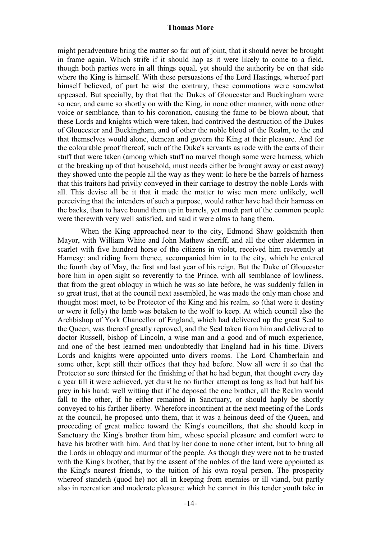might peradventure bring the matter so far out of joint, that it should never be brought in frame again. Which strife if it should hap as it were likely to come to a field, though both parties were in all things equal, yet should the authority be on that side where the King is himself. With these persuasions of the Lord Hastings, whereof part himself believed, of part he wist the contrary, these commotions were somewhat appeased. But specially, by that that the Dukes of Gloucester and Buckingham were so near, and came so shortly on with the King, in none other manner, with none other voice or semblance, than to his coronation, causing the fame to be blown about, that these Lords and knights which were taken, had contrived the destruction of the Dukes of Gloucester and Buckingham, and of other the noble blood of the Realm, to the end that themselves would alone, demean and govern the King at their pleasure. And for the colourable proof thereof, such of the Duke's servants as rode with the carts of their stuff that were taken (among which stuff no marvel though some were harness, which at the breaking up of that household, must needs either be brought away or cast away) they showed unto the people all the way as they went: lo here be the barrels of harness that this traitors had privily conveyed in their carriage to destroy the noble Lords with all. This devise all be it that it made the matter to wise men more unlikely, well perceiving that the intenders of such a purpose, would rather have had their harness on the backs, than to have bound them up in barrels, yet much part of the common people were therewith very well satisfied, and said it were alms to hang them.

When the King approached near to the city, Edmond Shaw goldsmith then Mayor, with William White and John Mathew sheriff, and all the other aldermen in scarlet with five hundred horse of the citizens in violet, received him reverently at Harnesy: and riding from thence, accompanied him in to the city, which he entered the fourth day of May, the first and last year of his reign. But the Duke of Gloucester bore him in open sight so reverently to the Prince, with all semblance of lowliness, that from the great obloquy in which he was so late before, he was suddenly fallen in so great trust, that at the council next assembled, he was made the only man chose and thought most meet, to be Protector of the King and his realm, so (that were it destiny or were it folly) the lamb was betaken to the wolf to keep. At which council also the Archbishop of York Chancellor of England, which had delivered up the great Seal to the Queen, was thereof greatly reproved, and the Seal taken from him and delivered to doctor Russell, bishop of Lincoln, a wise man and a good and of much experience, and one of the best learned men undoubtedly that England had in his time. Divers Lords and knights were appointed unto divers rooms. The Lord Chamberlain and some other, kept still their offices that they had before. Now all were it so that the Protector so sore thirsted for the finishing of that he had begun, that thought every day a year till it were achieved, yet durst he no further attempt as long as had but half his prey in his hand: well witting that if he deposed the one brother, all the Realm would fall to the other, if he either remained in Sanctuary, or should haply be shortly conveyed to his farther liberty. Wherefore incontinent at the next meeting of the Lords at the council, he proposed unto them, that it was a heinous deed of the Queen, and proceeding of great malice toward the King's councillors, that she should keep in Sanctuary the King's brother from him, whose special pleasure and comfort were to have his brother with him. And that by her done to none other intent, but to bring all the Lords in obloquy and murmur of the people. As though they were not to be trusted with the King's brother, that by the assent of the nobles of the land were appointed as the King's nearest friends, to the tuition of his own royal person. The prosperity whereof standeth (quod he) not all in keeping from enemies or ill viand, but partly also in recreation and moderate pleasure: which he cannot in this tender youth take in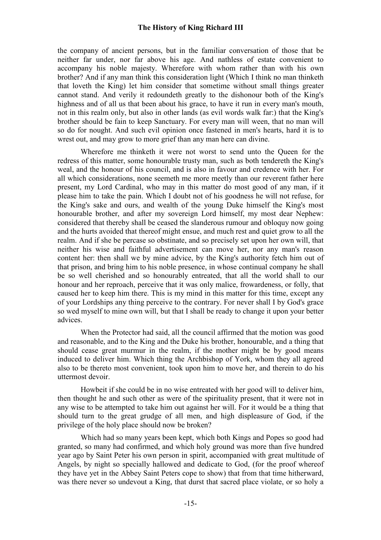the company of ancient persons, but in the familiar conversation of those that be neither far under, nor far above his age. And nathless of estate convenient to accompany his noble majesty. Wherefore with whom rather than with his own brother? And if any man think this consideration light (Which I think no man thinketh that loveth the King) let him consider that sometime without small things greater cannot stand. And verily it redoundeth greatly to the dishonour both of the King's highness and of all us that been about his grace, to have it run in every man's mouth, not in this realm only, but also in other lands (as evil words walk far:) that the King's brother should be fain to keep Sanctuary. For every man will ween, that no man will so do for nought. And such evil opinion once fastened in men's hearts, hard it is to wrest out, and may grow to more grief than any man here can divine.

Wherefore me thinketh it were not worst to send unto the Queen for the redress of this matter, some honourable trusty man, such as both tendereth the King's weal, and the honour of his council, and is also in favour and credence with her. For all which considerations, none seemeth me more meetly than our reverent father here present, my Lord Cardinal, who may in this matter do most good of any man, if it please him to take the pain. Which I doubt not of his goodness he will not refuse, for the King's sake and ours, and wealth of the young Duke himself the King's most honourable brother, and after my sovereign Lord himself, my most dear Nephew: considered that thereby shall be ceased the slanderous rumour and obloquy now going and the hurts avoided that thereof might ensue, and much rest and quiet grow to all the realm. And if she be percase so obstinate, and so precisely set upon her own will, that neither his wise and faithful advertisement can move her, nor any man's reason content her: then shall we by mine advice, by the King's authority fetch him out of that prison, and bring him to his noble presence, in whose continual company he shall be so well cherished and so honourably entreated, that all the world shall to our honour and her reproach, perceive that it was only malice, frowardeness, or folly, that caused her to keep him there. This is my mind in this matter for this time, except any of your Lordships any thing perceive to the contrary. For never shall I by God's grace so wed myself to mine own will, but that I shall be ready to change it upon your better advices.

When the Protector had said, all the council affirmed that the motion was good and reasonable, and to the King and the Duke his brother, honourable, and a thing that should cease great murmur in the realm, if the mother might be by good means induced to deliver him. Which thing the Archbishop of York, whom they all agreed also to be thereto most convenient, took upon him to move her, and therein to do his uttermost devoir.

Howbeit if she could be in no wise entreated with her good will to deliver him, then thought he and such other as were of the spirituality present, that it were not in any wise to be attempted to take him out against her will. For it would be a thing that should turn to the great grudge of all men, and high displeasure of God, if the privilege of the holy place should now be broken?

Which had so many years been kept, which both Kings and Popes so good had granted, so many had confirmed, and which holy ground was more than five hundred year ago by Saint Peter his own person in spirit, accompanied with great multitude of Angels, by night so specially hallowed and dedicate to God, (for the proof whereof they have yet in the Abbey Saint Peters cope to show) that from that time hitherward, was there never so undevout a King, that durst that sacred place violate, or so holy a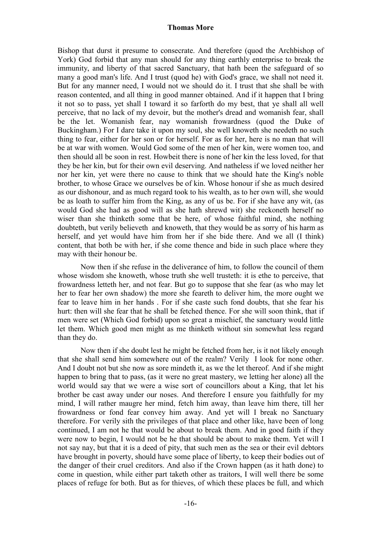Bishop that durst it presume to consecrate. And therefore (quod the Archbishop of York) God forbid that any man should for any thing earthly enterprise to break the immunity, and liberty of that sacred Sanctuary, that hath been the safeguard of so many a good man's life. And I trust (quod he) with God's grace, we shall not need it. But for any manner need, I would not we should do it. I trust that she shall be with reason contented, and all thing in good manner obtained. And if it happen that I bring it not so to pass, yet shall I toward it so farforth do my best, that ye shall all well perceive, that no lack of my devoir, but the mother's dread and womanish fear, shall be the let. Womanish fear, nay womanish frowardness (quod the Duke of Buckingham.) For I dare take it upon my soul, she well knoweth she needeth no such thing to fear, either for her son or for herself. For as for her, here is no man that will be at war with women. Would God some of the men of her kin, were women too, and then should all be soon in rest. Howbeit there is none of her kin the less loved, for that they be her kin, but for their own evil deserving. And natheless if we loved neither her nor her kin, yet were there no cause to think that we should hate the King's noble brother, to whose Grace we ourselves be of kin. Whose honour if she as much desired as our dishonour, and as much regard took to his wealth, as to her own will, she would be as loath to suffer him from the King, as any of us be. For if she have any wit, (as would God she had as good will as she hath shrewd wit) she reckoneth herself no wiser than she thinketh some that be here, of whose faithful mind, she nothing doubteth, but verily believeth and knoweth, that they would be as sorry of his harm as herself, and yet would have him from her if she bide there. And we all (I think) content, that both be with her, if she come thence and bide in such place where they may with their honour be.

Now then if she refuse in the deliverance of him, to follow the council of them whose wisdom she knoweth, whose truth she well trusteth: it is ethe to perceive, that frowardness letteth her, and not fear. But go to suppose that she fear (as who may let her to fear her own shadow) the more she feareth to deliver him, the more ought we fear to leave him in her hands . For if she caste such fond doubts, that she fear his hurt: then will she fear that he shall be fetched thence. For she will soon think, that if men were set (Which God forbid) upon so great a mischief, the sanctuary would little let them. Which good men might as me thinketh without sin somewhat less regard than they do.

Now then if she doubt lest he might be fetched from her, is it not likely enough that she shall send him somewhere out of the realm? Verily I look for none other. And I doubt not but she now as sore mindeth it, as we the let thereof. And if she might happen to bring that to pass, (as it were no great mastery, we letting her alone) all the world would say that we were a wise sort of councillors about a King, that let his brother be cast away under our noses. And therefore I ensure you faithfully for my mind, I will rather maugre her mind, fetch him away, than leave him there, till her frowardness or fond fear convey him away. And yet will I break no Sanctuary therefore. For verily sith the privileges of that place and other like, have been of long continued, I am not he that would be about to break them. And in good faith if they were now to begin. I would not be he that should be about to make them. Yet will I not say nay, but that it is a deed of pity, that such men as the sea or their evil debtors have brought in poverty, should have some place of liberty, to keep their bodies out of the danger of their cruel creditors. And also if the Crown happen (as it hath done) to come in question, while either part taketh other as traitors, I will well there be some places of refuge for both. But as for thieves, of which these places be full, and which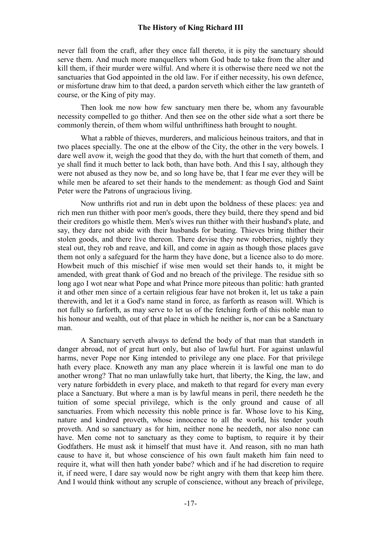never fall from the craft, after they once fall thereto, it is pity the sanctuary should serve them. And much more manquellers whom God bade to take from the alter and kill them, if their murder were wilful. And where it is otherwise there need we not the sanctuaries that God appointed in the old law. For if either necessity, his own defence, or misfortune draw him to that deed, a pardon serveth which either the law granteth of course, or the King of pity may.

Then look me now how few sanctuary men there be, whom any favourable necessity compelled to go thither. And then see on the other side what a sort there be commonly therein, of them whom wilful unthriftiness hath brought to nought.

What a rabble of thieves, murderers, and malicious heinous traitors, and that in two places specially. The one at the elbow of the City, the other in the very bowels. I dare well avow it, weigh the good that they do, with the hurt that cometh of them, and ye shall find it much better to lack both, than have both. And this I say, although they were not abused as they now be, and so long have be, that I fear me ever they will be while men be afeared to set their hands to the mendement: as though God and Saint Peter were the Patrons of ungracious living.

Now unthrifts riot and run in debt upon the boldness of these places: yea and rich men run thither with poor men's goods, there they build, there they spend and bid their creditors go whistle them. Men's wives run thither with their husband's plate, and say, they dare not abide with their husbands for beating. Thieves bring thither their stolen goods, and there live thereon. There devise they new robberies, nightly they steal out, they rob and reave, and kill, and come in again as though those places gave them not only a safeguard for the harm they have done, but a licence also to do more. Howbeit much of this mischief if wise men would set their hands to, it might be amended, with great thank of God and no breach of the privilege. The residue sith so long ago I wot near what Pope and what Prince more piteous than politic: hath granted it and other men since of a certain religious fear have not broken it, let us take a pain therewith, and let it a God's name stand in force, as farforth as reason will. Which is not fully so farforth, as may serve to let us of the fetching forth of this noble man to his honour and wealth, out of that place in which he neither is, nor can be a Sanctuary man.

A Sanctuary serveth always to defend the body of that man that standeth in danger abroad, not of great hurt only, but also of lawful hurt. For against unlawful harms, never Pope nor King intended to privilege any one place. For that privilege hath every place. Knoweth any man any place wherein it is lawful one man to do another wrong? That no man unlawfully take hurt, that liberty, the King, the law, and very nature forbiddeth in every place, and maketh to that regard for every man every place a Sanctuary. But where a man is by lawful means in peril, there needeth he the tuition of some special privilege, which is the only ground and cause of all sanctuaries. From which necessity this noble prince is far. Whose love to his King, nature and kindred proveth, whose innocence to all the world, his tender youth proveth. And so sanctuary as for him, neither none he needeth, nor also none can have. Men come not to sanctuary as they come to baptism, to require it by their Godfathers. He must ask it himself that must have it. And reason, sith no man hath cause to have it, but whose conscience of his own fault maketh him fain need to require it, what will then hath yonder babe? which and if he had discretion to require it, if need were, I dare say would now be right angry with them that keep him there. And I would think without any scruple of conscience, without any breach of privilege,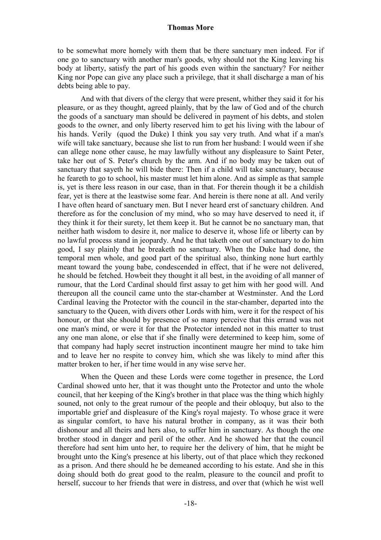to be somewhat more homely with them that be there sanctuary men indeed. For if one go to sanctuary with another man's goods, why should not the King leaving his body at liberty, satisfy the part of his goods even within the sanctuary? For neither King nor Pope can give any place such a privilege, that it shall discharge a man of his debts being able to pay.

And with that divers of the clergy that were present, whither they said it for his pleasure, or as they thought, agreed plainly, that by the law of God and of the church the goods of a sanctuary man should be delivered in payment of his debts, and stolen goods to the owner, and only liberty reserved him to get his living with the labour of his hands. Verily (quod the Duke) I think you say very truth. And what if a man's wife will take sanctuary, because she list to run from her husband: I would ween if she can allege none other cause, he may lawfully without any displeasure to Saint Peter, take her out of S. Peter's church by the arm. And if no body may be taken out of sanctuary that sayeth he will bide there: Then if a child will take sanctuary, because he feareth to go to school, his master must let him alone. And as simple as that sample is, yet is there less reason in our case, than in that. For therein though it be a childish fear, yet is there at the leastwise some fear. And herein is there none at all. And verily I have often heard of sanctuary men. But I never heard erst of sanctuary children. And therefore as for the conclusion of my mind, who so may have deserved to need it, if they think it for their surety, let them keep it. But he cannot be no sanctuary man, that neither hath wisdom to desire it, nor malice to deserve it, whose life or liberty can by no lawful process stand in jeopardy. And he that taketh one out of sanctuary to do him good, I say plainly that he breaketh no sanctuary. When the Duke had done, the temporal men whole, and good part of the spiritual also, thinking none hurt earthly meant toward the young babe, condescended in effect, that if he were not delivered, he should be fetched. Howbeit they thought it all best, in the avoiding of all manner of rumour, that the Lord Cardinal should first assay to get him with her good will. And thereupon all the council came unto the star-chamber at Westminster. And the Lord Cardinal leaving the Protector with the council in the star-chamber, departed into the sanctuary to the Queen, with divers other Lords with him, were it for the respect of his honour, or that she should by presence of so many perceive that this errand was not one man's mind, or were it for that the Protector intended not in this matter to trust any one man alone, or else that if she finally were determined to keep him, some of that company had haply secret instruction incontinent maugre her mind to take him and to leave her no respite to convey him, which she was likely to mind after this matter broken to her, if her time would in any wise serve her.

When the Queen and these Lords were come together in presence, the Lord Cardinal showed unto her, that it was thought unto the Protector and unto the whole council, that her keeping of the King's brother in that place was the thing which highly souned, not only to the great rumour of the people and their obloquy, but also to the importable grief and displeasure of the King's royal majesty. To whose grace it were as singular comfort, to have his natural brother in company, as it was their both dishonour and all theirs and hers also, to suffer him in sanctuary. As though the one brother stood in danger and peril of the other. And he showed her that the council therefore had sent him unto her, to require her the delivery of him, that he might be brought unto the King's presence at his liberty, out of that place which they reckoned as a prison. And there should he be demeaned according to his estate. And she in this doing should both do great good to the realm, pleasure to the council and profit to herself, succour to her friends that were in distress, and over that (which he wist well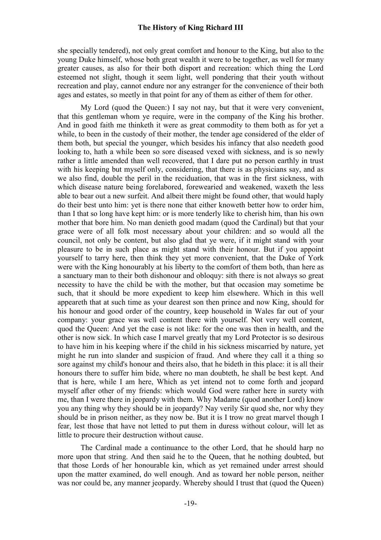she specially tendered), not only great comfort and honour to the King, but also to the young Duke himself, whose both great wealth it were to be together, as well for many greater causes, as also for their both disport and recreation: which thing the Lord esteemed not slight, though it seem light, well pondering that their youth without recreation and play, cannot endure nor any estranger for the convenience of their both ages and estates, so meetly in that point for any of them as either of them for other.

My Lord (quod the Queen:) I say not nay, but that it were very convenient, that this gentleman whom ye require, were in the company of the King his brother. And in good faith me thinketh it were as great commodity to them both as for yet a while, to been in the custody of their mother, the tender age considered of the elder of them both, but special the younger, which besides his infancy that also needeth good looking to, hath a while been so sore diseased vexed with sickness, and is so newly rather a little amended than well recovered, that I dare put no person earthly in trust with his keeping but myself only, considering, that there is as physicians say, and as we also find, double the peril in the reciduation, that was in the first sickness, with which disease nature being forelabored, forewearied and weakened, waxeth the less able to bear out a new surfeit. And albeit there might be found other, that would haply do their best unto him: yet is there none that either knoweth better how to order him, than I that so long have kept him: or is more tenderly like to cherish him, than his own mother that bore him. No man denieth good madam (quod the Cardinal) but that your grace were of all folk most necessary about your children: and so would all the council, not only be content, but also glad that ye were, if it might stand with your pleasure to be in such place as might stand with their honour. But if you appoint yourself to tarry here, then think they yet more convenient, that the Duke of York were with the King honourably at his liberty to the comfort of them both, than here as a sanctuary man to their both dishonour and obloquy: sith there is not always so great necessity to have the child be with the mother, but that occasion may sometime be such, that it should be more expedient to keep him elsewhere. Which in this well appeareth that at such time as your dearest son then prince and now King, should for his honour and good order of the country, keep household in Wales far out of your company: your grace was well content there with yourself. Not very well content, quod the Queen: And yet the case is not like: for the one was then in health, and the other is now sick. In which case I marvel greatly that my Lord Protector is so desirous to have him in his keeping where if the child in his sickness miscarried by nature, yet might he run into slander and suspicion of fraud. And where they call it a thing so sore against my child's honour and theirs also, that he bideth in this place: it is all their honours there to suffer him bide, where no man doubteth, he shall be best kept. And that is here, while I am here, Which as yet intend not to come forth and jeopard myself after other of my friends: which would God were rather here in surety with me, than I were there in jeopardy with them. Why Madame (quod another Lord) know you any thing why they should be in jeopardy? Nay verily Sir quod she, nor why they should be in prison neither, as they now be. But it is I trow no great marvel though I fear, lest those that have not letted to put them in duress without colour, will let as little to procure their destruction without cause.

The Cardinal made a continuance to the other Lord, that he should harp no more upon that string. And then said he to the Queen, that he nothing doubted, but that those Lords of her honourable kin, which as yet remained under arrest should upon the matter examined, do well enough. And as toward her noble person, neither was nor could be, any manner jeopardy. Whereby should I trust that (quod the Queen)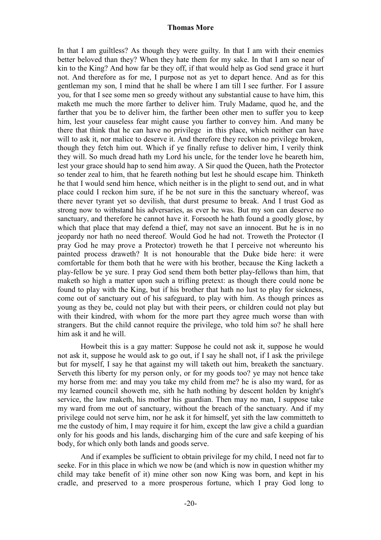In that I am guiltless? As though they were guilty. In that I am with their enemies better beloved than they? When they hate them for my sake. In that I am so near of kin to the King? And how far be they off, if that would help as God send grace it hurt not. And therefore as for me, I purpose not as yet to depart hence. And as for this gentleman my son, I mind that he shall be where I am till I see further. For I assure you, for that I see some men so greedy without any substantial cause to have him, this maketh me much the more farther to deliver him. Truly Madame, quod he, and the farther that you be to deliver him, the farther been other men to suffer you to keep him, lest your causeless fear might cause you farther to convey him. And many be there that think that he can have no privilege in this place, which neither can have will to ask it, nor malice to deserve it. And therefore they reckon no privilege broken, though they fetch him out. Which if ye finally refuse to deliver him, I verily think they will. So much dread hath my Lord his uncle, for the tender love he beareth him, lest your grace should hap to send him away. A Sir quod the Queen, hath the Protector so tender zeal to him, that he feareth nothing but lest he should escape him. Thinketh he that I would send him hence, which neither is in the plight to send out, and in what place could I reckon him sure, if he be not sure in this the sanctuary whereof, was there never tyrant yet so devilish, that durst presume to break. And I trust God as strong now to withstand his adversaries, as ever he was. But my son can deserve no sanctuary, and therefore he cannot have it. Forsooth he hath found a goodly glose, by which that place that may defend a thief, may not save an innocent. But he is in no jeopardy nor hath no need thereof. Would God he had not. Troweth the Protector (I pray God he may prove a Protector) troweth he that I perceive not whereunto his painted process draweth? It is not honourable that the Duke bide here: it were comfortable for them both that he were with his brother, because the King lacketh a play-fellow be ye sure. I pray God send them both better play-fellows than him, that maketh so high a matter upon such a trifling pretext: as though there could none be found to play with the King, but if his brother that hath no lust to play for sickness, come out of sanctuary out of his safeguard, to play with him. As though princes as young as they be, could not play but with their peers, or children could not play but with their kindred, with whom for the more part they agree much worse than with strangers. But the child cannot require the privilege, who told him so? he shall here him ask it and he will.

Howbeit this is a gay matter: Suppose he could not ask it, suppose he would not ask it, suppose he would ask to go out, if I say he shall not, if I ask the privilege but for myself, I say he that against my will taketh out him, breaketh the sanctuary. Serveth this liberty for my person only, or for my goods too? ye may not hence take my horse from me: and may you take my child from me? he is also my ward, for as my learned council showeth me, sith he hath nothing by descent holden by knight's service, the law maketh, his mother his guardian. Then may no man, I suppose take my ward from me out of sanctuary, without the breach of the sanctuary. And if my privilege could not serve him, nor he ask it for himself, yet sith the law committeth to me the custody of him, I may require it for him, except the law give a child a guardian only for his goods and his lands, discharging him of the cure and safe keeping of his body, for which only both lands and goods serve.

And if examples be sufficient to obtain privilege for my child, I need not far to seeke. For in this place in which we now be (and which is now in question whither my child may take benefit of it) mine other son now King was born, and kept in his cradle, and preserved to a more prosperous fortune, which I pray God long to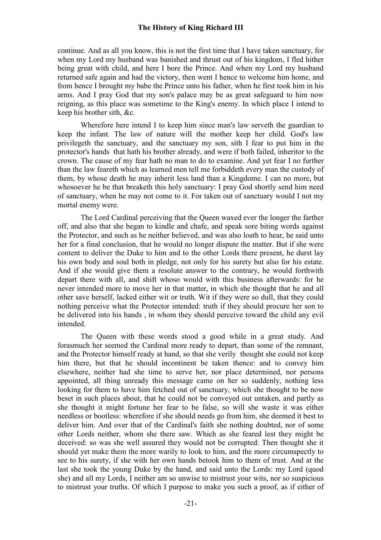continue. And as all you know, this is not the first time that I have taken sanctuary, for when my Lord my husband was banished and thrust out of his kingdom, I fled hither being great with child, and here I bore the Prince. And when my Lord my husband returned safe again and had the victory, then went I hence to welcome him home, and from hence I brought my babe the Prince unto his father, when he first took him in his arms. And I pray God that my son's palace may be as great safeguard to him now reigning, as this place was sometime to the King's enemy. In which place I intend to keep his brother sith, &c.

Wherefore here intend I to keep him since man's law serveth the guardian to keep the infant. The law of nature will the mother keep her child. God's law privilegeth the sanctuary, and the sanctuary my son, sith I fear to put him in the protector's hands that hath his brother already, and were if both failed, inheritor to the crown. The cause of my fear hath no man to do to examine. And yet fear I no further than the law feareth which as learned men tell me forbiddeth every man the custody of them, by whose death he may inherit less land than a Kingdome. I can no more, but whosoever he be that breaketh this holy sanctuary: I pray God shortly send him need of sanctuary, when he may not come to it. For taken out of sanctuary would I not my mortal enemy were.

The Lord Cardinal perceiving that the Queen waxed ever the longer the farther off, and also that she began to kindle and chafe, and speak sore biting words against the Protector, and such as he neither believed, and was also loath to hear, he said unto her for a final conclusion, that he would no longer dispute the matter. But if she were content to deliver the Duke to him and to the other Lords there present, he durst lay his own body and soul both in pledge, not only for his surety but also for his estate. And if she would give them a resolute answer to the contrary, he would forthwith depart there with all, and shift whoso would with this business afterwards: for he never intended more to move her in that matter, in which she thought that he and all other save herself, lacked either wit or truth. Wit if they were so dull, that they could nothing perceive what the Protector intended: truth if they should procure her son to be delivered into his hands , in whom they should perceive toward the child any evil intended.

The Queen with these words stood a good while in a great study. And forasmuch her seemed the Cardinal more ready to depart, than some of the remnant, and the Protector himself ready at hand, so that she verily thought she could not keep him there, but that he should incontinent be taken thence: and to convey him elsewhere, neither had she time to serve her, nor place determined, nor persons appointed, all thing unready this message came on her so suddenly, nothing less looking for them to have him fetched out of sanctuary, which she thought to be now beset in such places about, that he could not be conveyed out untaken, and partly as she thought it might fortune her fear to be false, so will she waste it was either needless or bootless: wherefore if she should needs go from him, she deemed it best to deliver him. And over that of the Cardinal's faith she nothing doubted, nor of some other Lords neither, whom she there saw. Which as she feared lest they might be deceived: so was she well assured they would not be corrupted: Then thought she it should yet make them the more warily to look to him, and the more circumspectly to see to his surety, if she with her own hands betook him to them of trust. And at the last she took the young Duke by the hand, and said unto the Lords: my Lord (quod she) and all my Lords, I neither am so unwise to mistrust your wits, nor so suspicious to mistrust your truths. Of which I purpose to make you such a proof, as if either of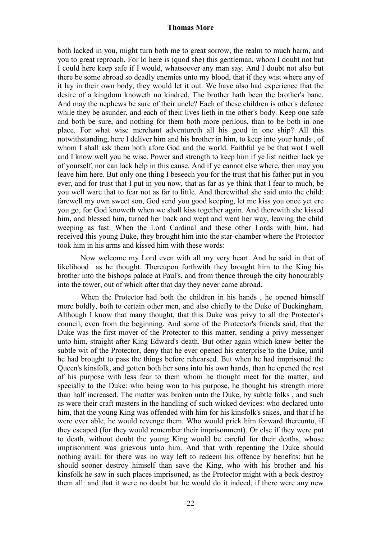both lacked in you, might turn both me to great sorrow, the realm to much harm, and you to great reproach. For lo here is (quod she) this gentleman, whom I doubt not but I could here keep safe if I would, whatsoever any man say. And I doubt not also but there be some abroad so deadly enemies unto my blood, that if they wist where any of it lay in their own body, they would let it out. We have also had experience that the desire of a kingdom knoweth no kindred. The brother hath been the brother's bane. And may the nephews be sure of their uncle? Each of these children is other's defence while they be asunder, and each of their lives lieth in the other's body. Keep one safe and both be sure, and nothing for them both more perilous, than to be both in one place. For what wise merchant adventureth all his good in one ship? All this notwithstanding, here I deliver him and his brother in him, to keep into your hands , of whom I shall ask them both afore God and the world. Faithful ye be that wot I well and I know well you be wise. Power and strength to keep him if ye list neither lack ye of yourself, nor can lack help in this cause. And if ye cannot else where, then may you leave him here. But only one thing I beseech you for the trust that his father put in you ever, and for trust that I put in you now, that as far as ye think that I fear to much, be you well ware that to fear not as far to little. And therewithal she said unto the child: farewell my own sweet son, God send you good keeping, let me kiss you once yet ere you go, for God knoweth when we shall kiss together again. And therewith she kissed him, and blessed him, turned her back and wept and went her way, leaving the child weeping as fast. When the Lord Cardinal and these other Lords with him, had received this young Duke, they brought him into the star-chamber where the Protector took him in his arms and kissed him with these words:

Now welcome my Lord even with all my very heart. And he said in that of likelihood as he thought. Thereupon forthwith they brought him to the King his brother into the bishops palace at Paul's, and from thence through the city honourably into the tower, out of which after that day they never came abroad.

When the Protector had both the children in his hands , he opened himself more boldly, both to certain other men, and also chiefly to the Duke of Buckingham. Although I know that many thought, that this Duke was privy to all the Protector's council, even from the beginning. And some of the Protector's friends said, that the Duke was the first mover of the Protector to this matter, sending a privy messenger unto him, straight after King Edward's death. But other again which knew better the subtle wit of the Protector, deny that he ever opened his enterprise to the Duke, until he had brought to pass the things before rehearsed. But when he had imprisoned the Queen's kinsfolk, and gotten both her sons into his own hands, than he opened the rest of his purpose with less fear to them whom he thought meet for the matter, and specially to the Duke: who being won to his purpose, he thought his strength more than half increased. The matter was broken unto the Duke, by subtle folks , and such as were their craft masters in the handling of such wicked devices: who declared unto him, that the young King was offended with him for his kinsfolk's sakes, and that if he were ever able, he would revenge them. Who would prick him forward thereunto, if they escaped (for they would remember their imprisonment). Or else if they were put to death, without doubt the young King would be careful for their deaths, whose imprisonment was grievous unto him. And that with repenting the Duke should nothing avail: for there was no way left to redeem his offence by benefits: but he should sooner destroy himself than save the King, who with his brother and his kinsfolk he saw in such places imprisoned, as the Protector might with a beck destroy them all: and that it were no doubt but he would do it indeed, if there were any new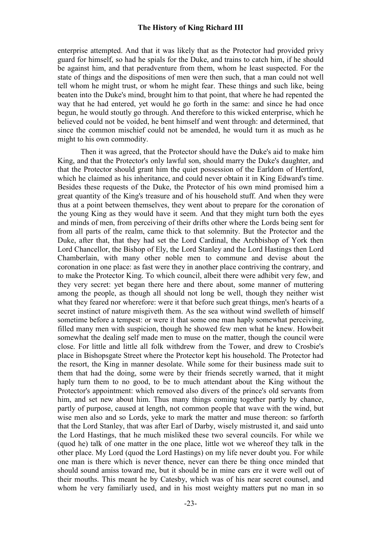enterprise attempted. And that it was likely that as the Protector had provided privy guard for himself, so had he spials for the Duke, and trains to catch him, if he should be against him, and that peradventure from them, whom he least suspected. For the state of things and the dispositions of men were then such, that a man could not well tell whom he might trust, or whom he might fear. These things and such like, being beaten into the Duke's mind, brought him to that point, that where he had repented the way that he had entered, yet would he go forth in the same: and since he had once begun, he would stoutly go through. And therefore to this wicked enterprise, which he believed could not be voided, he bent himself and went through: and determined, that since the common mischief could not be amended, he would turn it as much as he might to his own commodity.

Then it was agreed, that the Protector should have the Duke's aid to make him King, and that the Protector's only lawful son, should marry the Duke's daughter, and that the Protector should grant him the quiet possession of the Earldom of Hertford, which he claimed as his inheritance, and could never obtain it in King Edward's time. Besides these requests of the Duke, the Protector of his own mind promised him a great quantity of the King's treasure and of his household stuff. And when they were thus at a point between themselves, they went about to prepare for the coronation of the young King as they would have it seem. And that they might turn both the eyes and minds of men, from perceiving of their drifts other where the Lords being sent for from all parts of the realm, came thick to that solemnity. But the Protector and the Duke, after that, that they had set the Lord Cardinal, the Archbishop of York then Lord Chancellor, the Bishop of Ely, the Lord Stanley and the Lord Hastings then Lord Chamberlain, with many other noble men to commune and devise about the coronation in one place: as fast were they in another place contriving the contrary, and to make the Protector King. To which council, albeit there were adhibit very few, and they very secret: yet began there here and there about, some manner of muttering among the people, as though all should not long be well, though they neither wist what they feared nor wherefore: were it that before such great things, men's hearts of a secret instinct of nature misgiveth them. As the sea without wind swelleth of himself sometime before a tempest: or were it that some one man haply somewhat perceiving, filled many men with suspicion, though he showed few men what he knew. Howbeit somewhat the dealing self made men to muse on the matter, though the council were close. For little and little all folk withdrew from the Tower, and drew to Crosbie's place in Bishopsgate Street where the Protector kept his household. The Protector had the resort, the King in manner desolate. While some for their business made suit to them that had the doing, some were by their friends secretly warned, that it might haply turn them to no good, to be to much attendant about the King without the Protector's appointment: which removed also divers of the prince's old servants from him, and set new about him. Thus many things coming together partly by chance, partly of purpose, caused at length, not common people that wave with the wind, but wise men also and so Lords, yeke to mark the matter and muse thereon: so farforth that the Lord Stanley, that was after Earl of Darby, wisely mistrusted it, and said unto the Lord Hastings, that he much misliked these two several councils. For while we (quod he) talk of one matter in the one place, little wot we whereof they talk in the other place. My Lord (quod the Lord Hastings) on my life never doubt you. For while one man is there which is never thence, never can there be thing once minded that should sound amiss toward me, but it should be in mine ears ere it were well out of their mouths. This meant he by Catesby, which was of his near secret counsel, and whom he very familiarly used, and in his most weighty matters put no man in so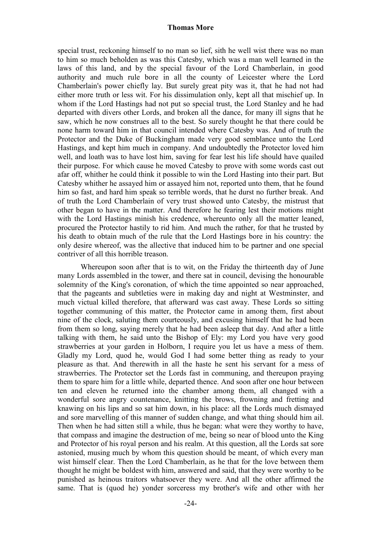special trust, reckoning himself to no man so lief, sith he well wist there was no man to him so much beholden as was this Catesby, which was a man well learned in the laws of this land, and by the special favour of the Lord Chamberlain, in good authority and much rule bore in all the county of Leicester where the Lord Chamberlain's power chiefly lay. But surely great pity was it, that he had not had either more truth or less wit. For his dissimulation only, kept all that mischief up. In whom if the Lord Hastings had not put so special trust, the Lord Stanley and he had departed with divers other Lords, and broken all the dance, for many ill signs that he saw, which he now construes all to the best. So surely thought he that there could be none harm toward him in that council intended where Catesby was. And of truth the Protector and the Duke of Buckingham made very good semblance unto the Lord Hastings, and kept him much in company. And undoubtedly the Protector loved him well, and loath was to have lost him, saving for fear lest his life should have quailed their purpose. For which cause he moved Catesby to prove with some words cast out afar off, whither he could think it possible to win the Lord Hasting into their part. But Catesby whither he assayed him or assayed him not, reported unto them, that he found him so fast, and hard him speak so terrible words, that he durst no further break. And of truth the Lord Chamberlain of very trust showed unto Catesby, the mistrust that other began to have in the matter. And therefore he fearing lest their motions might with the Lord Hastings minish his credence, whereunto only all the matter leaned, procured the Protector hastily to rid him. And much the rather, for that he trusted by his death to obtain much of the rule that the Lord Hastings bore in his country: the only desire whereof, was the allective that induced him to be partner and one special contriver of all this horrible treason.

Whereupon soon after that is to wit, on the Friday the thirteenth day of June many Lords assembled in the tower, and there sat in council, devising the honourable solemnity of the King's coronation, of which the time appointed so near approached, that the pageants and subtleties were in making day and night at Westminster, and much victual killed therefore, that afterward was cast away. These Lords so sitting together communing of this matter, the Protector came in among them, first about nine of the clock, saluting them courteously, and excusing himself that he had been from them so long, saying merely that he had been asleep that day. And after a little talking with them, he said unto the Bishop of Ely: my Lord you have very good strawberries at your garden in Holborn, I require you let us have a mess of them. Gladly my Lord, quod he, would God I had some better thing as ready to your pleasure as that. And therewith in all the haste he sent his servant for a mess of strawberries. The Protector set the Lords fast in communing, and thereupon praying them to spare him for a little while, departed thence. And soon after one hour between ten and eleven he returned into the chamber among them, all changed with a wonderful sore angry countenance, knitting the brows, frowning and fretting and knawing on his lips and so sat him down, in his place: all the Lords much dismayed and sore marvelling of this manner of sudden change, and what thing should him ail. Then when he had sitten still a while, thus he began: what were they worthy to have, that compass and imagine the destruction of me, being so near of blood unto the King and Protector of his royal person and his realm. At this question, all the Lords sat sore astonied, musing much by whom this question should be meant, of which every man wist himself clear. Then the Lord Chamberlain, as he that for the love between them thought he might be boldest with him, answered and said, that they were worthy to be punished as heinous traitors whatsoever they were. And all the other affirmed the same. That is (quod he) yonder sorceress my brother's wife and other with her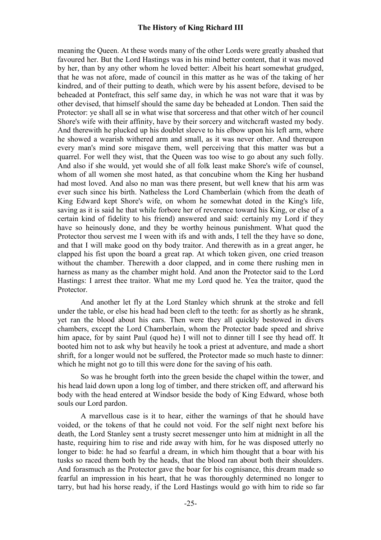meaning the Queen. At these words many of the other Lords were greatly abashed that favoured her. But the Lord Hastings was in his mind better content, that it was moved by her, than by any other whom he loved better: Albeit his heart somewhat grudged, that he was not afore, made of council in this matter as he was of the taking of her kindred, and of their putting to death, which were by his assent before, devised to be beheaded at Pontefract, this self same day, in which he was not ware that it was by other devised, that himself should the same day be beheaded at London. Then said the Protector: ye shall all se in what wise that sorceress and that other witch of her council Shore's wife with their affinity, have by their sorcery and witchcraft wasted my body. And therewith he plucked up his doublet sleeve to his elbow upon his left arm, where he showed a wearish withered arm and small, as it was never other. And thereupon every man's mind sore misgave them, well perceiving that this matter was but a quarrel. For well they wist, that the Queen was too wise to go about any such folly. And also if she would, yet would she of all folk least make Shore's wife of counsel, whom of all women she most hated, as that concubine whom the King her husband had most loved. And also no man was there present, but well knew that his arm was ever such since his birth. Natheless the Lord Chamberlain (which from the death of King Edward kept Shore's wife, on whom he somewhat doted in the King's life, saving as it is said he that while forbore her of reverence toward his King, or else of a certain kind of fidelity to his friend) answered and said: certainly my Lord if they have so heinously done, and they be worthy heinous punishment. What quod the Protector thou servest me I ween with ifs and with ands, I tell the they have so done, and that I will make good on thy body traitor. And therewith as in a great anger, he clapped his fist upon the board a great rap. At which token given, one cried treason without the chamber. Therewith a door clapped, and in come there rushing men in harness as many as the chamber might hold. And anon the Protector said to the Lord Hastings: I arrest thee traitor. What me my Lord quod he. Yea the traitor, quod the Protector.

And another let fly at the Lord Stanley which shrunk at the stroke and fell under the table, or else his head had been cleft to the teeth: for as shortly as he shrank, yet ran the blood about his ears. Then were they all quickly bestowed in divers chambers, except the Lord Chamberlain, whom the Protector bade speed and shrive him apace, for by saint Paul (quod he) I will not to dinner till I see thy head off. It booted him not to ask why but heavily he took a priest at adventure, and made a short shrift, for a longer would not be suffered, the Protector made so much haste to dinner: which he might not go to till this were done for the saving of his oath.

So was he brought forth into the green beside the chapel within the tower, and his head laid down upon a long log of timber, and there stricken off, and afterward his body with the head entered at Windsor beside the body of King Edward, whose both souls our Lord pardon.

A marvellous case is it to hear, either the warnings of that he should have voided, or the tokens of that he could not void. For the self night next before his death, the Lord Stanley sent a trusty secret messenger unto him at midnight in all the haste, requiring him to rise and ride away with him, for he was disposed utterly no longer to bide: he had so fearful a dream, in which him thought that a boar with his tusks so raced them both by the heads, that the blood ran about both their shoulders. And forasmuch as the Protector gave the boar for his cognisance, this dream made so fearful an impression in his heart, that he was thoroughly determined no longer to tarry, but had his horse ready, if the Lord Hastings would go with him to ride so far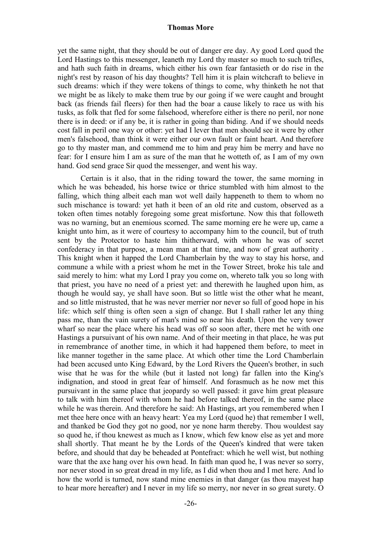yet the same night, that they should be out of danger ere day. Ay good Lord quod the Lord Hastings to this messenger, leaneth my Lord thy master so much to such trifles, and hath such faith in dreams, which either his own fear fantasieth or do rise in the night's rest by reason of his day thoughts? Tell him it is plain witchcraft to believe in such dreams: which if they were tokens of things to come, why thinketh he not that we might be as likely to make them true by our going if we were caught and brought back (as friends fail fleers) for then had the boar a cause likely to race us with his tusks, as folk that fled for some falsehood, wherefore either is there no peril, nor none there is in deed: or if any be, it is rather in going than biding. And if we should needs cost fall in peril one way or other: yet had I lever that men should see it were by other men's falsehood, than think it were either our own fault or faint heart. And therefore go to thy master man, and commend me to him and pray him be merry and have no fear: for I ensure him I am as sure of the man that he wotteth of, as I am of my own hand. God send grace Sir quod the messenger, and went his way.

Certain is it also, that in the riding toward the tower, the same morning in which he was beheaded, his horse twice or thrice stumbled with him almost to the falling, which thing albeit each man wot well daily happeneth to them to whom no such mischance is toward: yet hath it been of an old rite and custom, observed as a token often times notably foregoing some great misfortune. Now this that followeth was no warning, but an enemious scorned. The same morning ere he were up, came a knight unto him, as it were of courtesy to accompany him to the council, but of truth sent by the Protector to haste him thitherward, with whom he was of secret confederacy in that purpose, a mean man at that time, and now of great authority . This knight when it happed the Lord Chamberlain by the way to stay his horse, and commune a while with a priest whom he met in the Tower Street, broke his tale and said merely to him: what my Lord I pray you come on, whereto talk you so long with that priest, you have no need of a priest yet: and therewith he laughed upon him, as though he would say, ye shall have soon. But so little wist the other what he meant, and so little mistrusted, that he was never merrier nor never so full of good hope in his life: which self thing is often seen a sign of change. But I shall rather let any thing pass me, than the vain surety of man's mind so near his death. Upon the very tower wharf so near the place where his head was off so soon after, there met he with one Hastings a pursuivant of his own name. And of their meeting in that place, he was put in remembrance of another time, in which it had happened them before, to meet in like manner together in the same place. At which other time the Lord Chamberlain had been accused unto King Edward, by the Lord Rivers the Queen's brother, in such wise that he was for the while (but it lasted not long) far fallen into the King's indignation, and stood in great fear of himself. And forasmuch as he now met this pursuivant in the same place that jeopardy so well passed: it gave him great pleasure to talk with him thereof with whom he had before talked thereof, in the same place while he was therein. And therefore he said: Ah Hastings, art you remembered when I met thee here once with an heavy heart: Yea my Lord (quod he) that remember I well, and thanked be God they got no good, nor ye none harm thereby. Thou wouldest say so quod he, if thou knewest as much as I know, which few know else as yet and more shall shortly. That meant he by the Lords of the Queen's kindred that were taken before, and should that day be beheaded at Pontefract: which he well wist, but nothing ware that the axe hang over his own head. In faith man quod he, I was never so sorry, nor never stood in so great dread in my life, as I did when thou and I met here. And lo how the world is turned, now stand mine enemies in that danger (as thou mayest hap to hear more hereafter) and I never in my life so merry, nor never in so great surety. O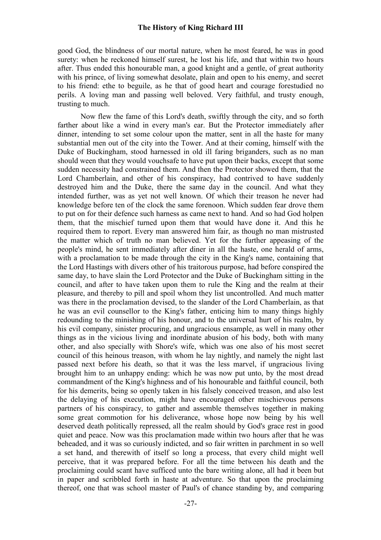good God, the blindness of our mortal nature, when he most feared, he was in good surety: when he reckoned himself surest, he lost his life, and that within two hours after. Thus ended this honourable man, a good knight and a gentle, of great authority with his prince, of living somewhat desolate, plain and open to his enemy, and secret to his friend: ethe to beguile, as he that of good heart and courage forestudied no perils. A loving man and passing well beloved. Very faithful, and trusty enough, trusting to much.

Now flew the fame of this Lord's death, swiftly through the city, and so forth farther about like a wind in every man's ear. But the Protector immediately after dinner, intending to set some colour upon the matter, sent in all the haste for many substantial men out of the city into the Tower. And at their coming, himself with the Duke of Buckingham, stood harnessed in old ill faring briganders, such as no man should ween that they would vouchsafe to have put upon their backs, except that some sudden necessity had constrained them. And then the Protector showed them, that the Lord Chamberlain, and other of his conspiracy, had contrived to have suddenly destroyed him and the Duke, there the same day in the council. And what they intended further, was as yet not well known. Of which their treason he never had knowledge before ten of the clock the same forenoon. Which sudden fear drove them to put on for their defence such harness as came next to hand. And so had God holpen them, that the mischief turned upon them that would have done it. And this he required them to report. Every man answered him fair, as though no man mistrusted the matter which of truth no man believed. Yet for the further appeasing of the people's mind, he sent immediately after diner in all the haste, one herald of arms, with a proclamation to be made through the city in the King's name, containing that the Lord Hastings with divers other of his traitorous purpose, had before conspired the same day, to have slain the Lord Protector and the Duke of Buckingham sitting in the council, and after to have taken upon them to rule the King and the realm at their pleasure, and thereby to pill and spoil whom they list uncontrolled. And much matter was there in the proclamation devised, to the slander of the Lord Chamberlain, as that he was an evil counsellor to the King's father, enticing him to many things highly redounding to the minishing of his honour, and to the universal hurt of his realm, by his evil company, sinister procuring, and ungracious ensample, as well in many other things as in the vicious living and inordinate abusion of his body, both with many other, and also specially with Shore's wife, which was one also of his most secret council of this heinous treason, with whom he lay nightly, and namely the night last passed next before his death, so that it was the less marvel, if ungracious living brought him to an unhappy ending: which he was now put unto, by the most dread commandment of the King's highness and of his honourable and faithful council, both for his demerits, being so openly taken in his falsely conceived treason, and also lest the delaying of his execution, might have encouraged other mischievous persons partners of his conspiracy, to gather and assemble themselves together in making some great commotion for his deliverance, whose hope now being by his well deserved death politically repressed, all the realm should by God's grace rest in good quiet and peace. Now was this proclamation made within two hours after that he was beheaded, and it was so curiously indicted, and so fair written in parchment in so well a set hand, and therewith of itself so long a process, that every child might well perceive, that it was prepared before. For all the time between his death and the proclaiming could scant have sufficed unto the bare writing alone, all had it been but in paper and scribbled forth in haste at adventure. So that upon the proclaiming thereof, one that was school master of Paul's of chance standing by, and comparing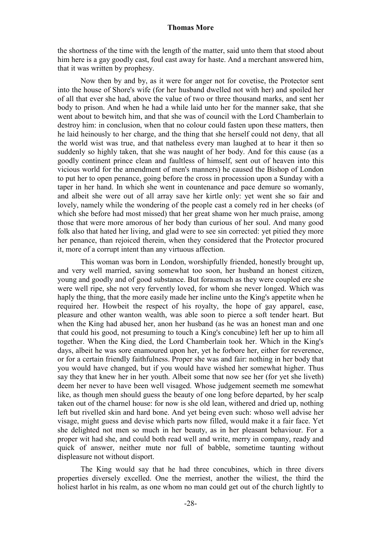the shortness of the time with the length of the matter, said unto them that stood about him here is a gay goodly cast, foul cast away for haste. And a merchant answered him, that it was written by prophesy.

Now then by and by, as it were for anger not for covetise, the Protector sent into the house of Shore's wife (for her husband dwelled not with her) and spoiled her of all that ever she had, above the value of two or three thousand marks, and sent her body to prison. And when he had a while laid unto her for the manner sake, that she went about to bewitch him, and that she was of council with the Lord Chamberlain to destroy him: in conclusion, when that no colour could fasten upon these matters, then he laid heinously to her charge, and the thing that she herself could not deny, that all the world wist was true, and that natheless every man laughed at to hear it then so suddenly so highly taken, that she was naught of her body. And for this cause (as a goodly continent prince clean and faultless of himself, sent out of heaven into this vicious world for the amendment of men's manners) he caused the Bishop of London to put her to open penance, going before the cross in procession upon a Sunday with a taper in her hand. In which she went in countenance and pace demure so womanly, and albeit she were out of all array save her kirtle only: yet went she so fair and lovely, namely while the wondering of the people cast a comely red in her cheeks (of which she before had most missed) that her great shame won her much praise, among those that were more amorous of her body than curious of her soul. And many good folk also that hated her living, and glad were to see sin corrected: yet pitied they more her penance, than rejoiced therein, when they considered that the Protector procured it, more of a corrupt intent than any virtuous affection.

This woman was born in London, worshipfully friended, honestly brought up, and very well married, saving somewhat too soon, her husband an honest citizen, young and goodly and of good substance. But forasmuch as they were coupled ere she were well ripe, she not very fervently loved, for whom she never longed. Which was haply the thing, that the more easily made her incline unto the King's appetite when he required her. Howbeit the respect of his royalty, the hope of gay apparel, ease, pleasure and other wanton wealth, was able soon to pierce a soft tender heart. But when the King had abused her, anon her husband (as he was an honest man and one that could his good, not presuming to touch a King's concubine) left her up to him all together. When the King died, the Lord Chamberlain took her. Which in the King's days, albeit he was sore enamoured upon her, yet he forbore her, either for reverence, or for a certain friendly faithfulness. Proper she was and fair: nothing in her body that you would have changed, but if you would have wished her somewhat higher. Thus say they that knew her in her youth. Albeit some that now see her (for yet she liveth) deem her never to have been well visaged. Whose judgement seemeth me somewhat like, as though men should guess the beauty of one long before departed, by her scalp taken out of the charnel house: for now is she old lean, withered and dried up, nothing left but rivelled skin and hard bone. And yet being even such: whoso well advise her visage, might guess and devise which parts now filled, would make it a fair face. Yet she delighted not men so much in her beauty, as in her pleasant behaviour. For a proper wit had she, and could both read well and write, merry in company, ready and quick of answer, neither mute nor full of babble, sometime taunting without displeasure not without disport.

The King would say that he had three concubines, which in three divers properties diversely excelled. One the merriest, another the wiliest, the third the holiest harlot in his realm, as one whom no man could get out of the church lightly to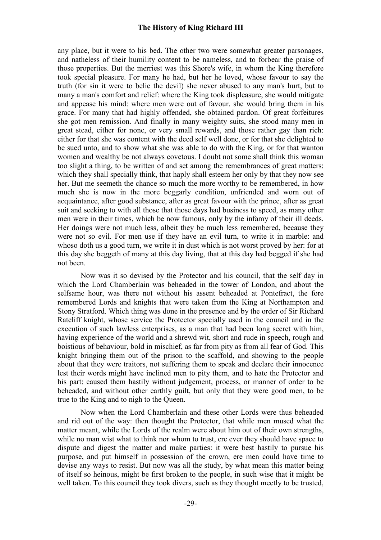any place, but it were to his bed. The other two were somewhat greater parsonages, and natheless of their humility content to be nameless, and to forbear the praise of those properties. But the merriest was this Shore's wife, in whom the King therefore took special pleasure. For many he had, but her he loved, whose favour to say the truth (for sin it were to belie the devil) she never abused to any man's hurt, but to many a man's comfort and relief: where the King took displeasure, she would mitigate and appease his mind: where men were out of favour, she would bring them in his grace. For many that had highly offended, she obtained pardon. Of great forfeitures she got men remission. And finally in many weighty suits, she stood many men in great stead, either for none, or very small rewards, and those rather gay than rich: either for that she was content with the deed self well done, or for that she delighted to be sued unto, and to show what she was able to do with the King, or for that wanton women and wealthy be not always covetous. I doubt not some shall think this woman too slight a thing, to be written of and set among the remembrances of great matters: which they shall specially think, that haply shall esteem her only by that they now see her. But me seemeth the chance so much the more worthy to be remembered, in how much she is now in the more beggarly condition, unfriended and worn out of acquaintance, after good substance, after as great favour with the prince, after as great suit and seeking to with all those that those days had business to speed, as many other men were in their times, which be now famous, only by the infamy of their ill deeds. Her doings were not much less, albeit they be much less remembered, because they were not so evil. For men use if they have an evil turn, to write it in marble: and whoso doth us a good turn, we write it in dust which is not worst proved by her: for at this day she beggeth of many at this day living, that at this day had begged if she had not been.

Now was it so devised by the Protector and his council, that the self day in which the Lord Chamberlain was beheaded in the tower of London, and about the selfsame hour, was there not without his assent beheaded at Pontefract, the fore remembered Lords and knights that were taken from the King at Northampton and Stony Stratford. Which thing was done in the presence and by the order of Sir Richard Ratcliff knight, whose service the Protector specially used in the council and in the execution of such lawless enterprises, as a man that had been long secret with him, having experience of the world and a shrewd wit, short and rude in speech, rough and boistious of behaviour, bold in mischief, as far from pity as from all fear of God. This knight bringing them out of the prison to the scaffold, and showing to the people about that they were traitors, not suffering them to speak and declare their innocence lest their words might have inclined men to pity them, and to hate the Protector and his part: caused them hastily without judgement, process, or manner of order to be beheaded, and without other earthly guilt, but only that they were good men, to be true to the King and to nigh to the Queen.

Now when the Lord Chamberlain and these other Lords were thus beheaded and rid out of the way: then thought the Protector, that while men mused what the matter meant, while the Lords of the realm were about him out of their own strengths, while no man wist what to think nor whom to trust, ere ever they should have space to dispute and digest the matter and make parties: it were best hastily to pursue his purpose, and put himself in possession of the crown, ere men could have time to devise any ways to resist. But now was all the study, by what mean this matter being of itself so heinous, might be first broken to the people, in such wise that it might be well taken. To this council they took divers, such as they thought meetly to be trusted,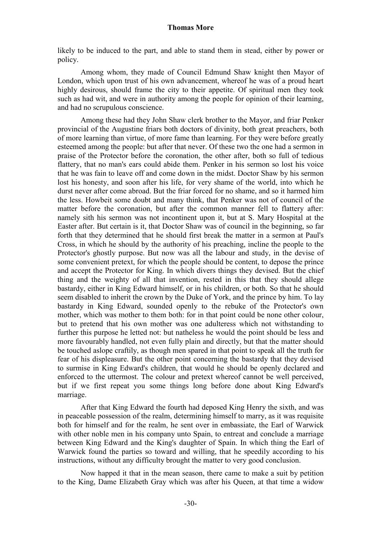likely to be induced to the part, and able to stand them in stead, either by power or policy.

Among whom, they made of Council Edmund Shaw knight then Mayor of London, which upon trust of his own advancement, whereof he was of a proud heart highly desirous, should frame the city to their appetite. Of spiritual men they took such as had wit, and were in authority among the people for opinion of their learning, and had no scrupulous conscience.

Among these had they John Shaw clerk brother to the Mayor, and friar Penker provincial of the Augustine friars both doctors of divinity, both great preachers, both of more learning than virtue, of more fame than learning. For they were before greatly esteemed among the people: but after that never. Of these two the one had a sermon in praise of the Protector before the coronation, the other after, both so full of tedious flattery, that no man's ears could abide them. Penker in his sermon so lost his voice that he was fain to leave off and come down in the midst. Doctor Shaw by his sermon lost his honesty, and soon after his life, for very shame of the world, into which he durst never after come abroad. But the friar forced for no shame, and so it harmed him the less. Howbeit some doubt and many think, that Penker was not of council of the matter before the coronation, but after the common manner fell to flattery after: namely sith his sermon was not incontinent upon it, but at S. Mary Hospital at the Easter after. But certain is it, that Doctor Shaw was of council in the beginning, so far forth that they determined that he should first break the matter in a sermon at Paul's Cross, in which he should by the authority of his preaching, incline the people to the Protector's ghostly purpose. But now was all the labour and study, in the devise of some convenient pretext, for which the people should be content, to depose the prince and accept the Protector for King. In which divers things they devised. But the chief thing and the weighty of all that invention, rested in this that they should allege bastardy, either in King Edward himself, or in his children, or both. So that he should seem disabled to inherit the crown by the Duke of York, and the prince by him. To lay bastardy in King Edward, sounded openly to the rebuke of the Protector's own mother, which was mother to them both: for in that point could be none other colour, but to pretend that his own mother was one adulteress which not withstanding to further this purpose he letted not: but natheless he would the point should be less and more favourably handled, not even fully plain and directly, but that the matter should be touched aslope craftily, as though men spared in that point to speak all the truth for fear of his displeasure. But the other point concerning the bastardy that they devised to surmise in King Edward's children, that would he should be openly declared and enforced to the uttermost. The colour and pretext whereof cannot be well perceived, but if we first repeat you some things long before done about King Edward's marriage.

After that King Edward the fourth had deposed King Henry the sixth, and was in peaceable possession of the realm, determining himself to marry, as it was requisite both for himself and for the realm, he sent over in embassiate, the Earl of Warwick with other noble men in his company unto Spain, to entreat and conclude a marriage between King Edward and the King's daughter of Spain. In which thing the Earl of Warwick found the parties so toward and willing, that he speedily according to his instructions, without any difficulty brought the matter to very good conclusion.

Now happed it that in the mean season, there came to make a suit by petition to the King, Dame Elizabeth Gray which was after his Queen, at that time a widow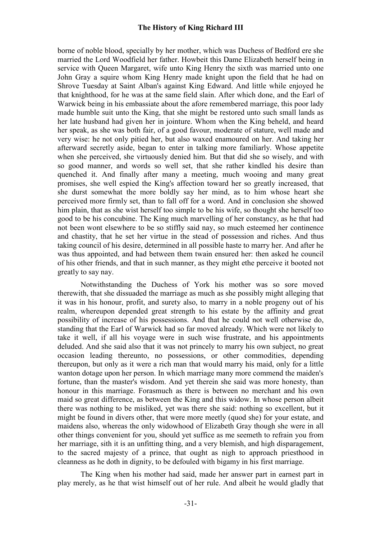borne of noble blood, specially by her mother, which was Duchess of Bedford ere she married the Lord Woodfield her father. Howbeit this Dame Elizabeth herself being in service with Queen Margaret, wife unto King Henry the sixth was married unto one John Gray a squire whom King Henry made knight upon the field that he had on Shrove Tuesday at Saint Alban's against King Edward. And little while enjoyed he that knighthood, for he was at the same field slain. After which done, and the Earl of Warwick being in his embassiate about the afore remembered marriage, this poor lady made humble suit unto the King, that she might be restored unto such small lands as her late husband had given her in jointure. Whom when the King beheld, and heard her speak, as she was both fair, of a good favour, moderate of stature, well made and very wise: he not only pitied her, but also waxed enamoured on her. And taking her afterward secretly aside, began to enter in talking more familiarly. Whose appetite when she perceived, she virtuously denied him. But that did she so wisely, and with so good manner, and words so well set, that she rather kindled his desire than quenched it. And finally after many a meeting, much wooing and many great promises, she well espied the King's affection toward her so greatly increased, that she durst somewhat the more boldly say her mind, as to him whose heart she perceived more firmly set, than to fall off for a word. And in conclusion she showed him plain, that as she wist herself too simple to be his wife, so thought she herself too good to be his concubine. The King much marvelling of her constancy, as he that had not been wont elsewhere to be so stiffly said nay, so much esteemed her continence and chastity, that he set her virtue in the stead of possession and riches. And thus taking council of his desire, determined in all possible haste to marry her. And after he was thus appointed, and had between them twain ensured her: then asked he council of his other friends, and that in such manner, as they might ethe perceive it booted not greatly to say nay.

Notwithstanding the Duchess of York his mother was so sore moved therewith, that she dissuaded the marriage as much as she possibly might alleging that it was in his honour, profit, and surety also, to marry in a noble progeny out of his realm, whereupon depended great strength to his estate by the affinity and great possibility of increase of his possessions. And that he could not well otherwise do, standing that the Earl of Warwick had so far moved already. Which were not likely to take it well, if all his voyage were in such wise frustrate, and his appointments deluded. And she said also that it was not princely to marry his own subject, no great occasion leading thereunto, no possessions, or other commodities, depending thereupon, but only as it were a rich man that would marry his maid, only for a little wanton dotage upon her person. In which marriage many more commend the maiden's fortune, than the master's wisdom. And yet therein she said was more honesty, than honour in this marriage. Forasmuch as there is between no merchant and his own maid so great difference, as between the King and this widow. In whose person albeit there was nothing to be misliked, yet was there she said: nothing so excellent, but it might be found in divers other, that were more meetly (quod she) for your estate, and maidens also, whereas the only widowhood of Elizabeth Gray though she were in all other things convenient for you, should yet suffice as me seemeth to refrain you from her marriage, sith it is an unfitting thing, and a very blemish, and high disparagement, to the sacred majesty of a prince, that ought as nigh to approach priesthood in cleanness as he doth in dignity, to be defouled with bigamy in his first marriage.

The King when his mother had said, made her answer part in earnest part in play merely, as he that wist himself out of her rule. And albeit he would gladly that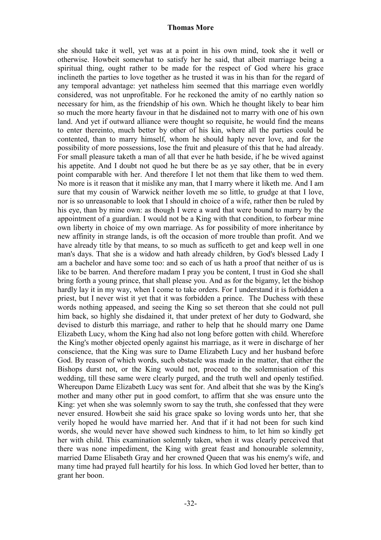she should take it well, yet was at a point in his own mind, took she it well or otherwise. Howbeit somewhat to satisfy her he said, that albeit marriage being a spiritual thing, ought rather to be made for the respect of God where his grace inclineth the parties to love together as he trusted it was in his than for the regard of any temporal advantage: yet natheless him seemed that this marriage even worldly considered, was not unprofitable. For he reckoned the amity of no earthly nation so necessary for him, as the friendship of his own. Which he thought likely to bear him so much the more hearty favour in that he disdained not to marry with one of his own land. And yet if outward alliance were thought so requisite, he would find the means to enter thereinto, much better by other of his kin, where all the parties could be contented, than to marry himself, whom he should haply never love, and for the possibility of more possessions, lose the fruit and pleasure of this that he had already. For small pleasure taketh a man of all that ever he hath beside, if he be wived against his appetite. And I doubt not quod he but there be as ye say other, that be in every point comparable with her. And therefore I let not them that like them to wed them. No more is it reason that it mislike any man, that I marry where it liketh me. And I am sure that my cousin of Warwick neither loveth me so little, to grudge at that I love, nor is so unreasonable to look that I should in choice of a wife, rather then be ruled by his eye, than by mine own: as though I were a ward that were bound to marry by the appointment of a guardian. I would not be a King with that condition, to forbear mine own liberty in choice of my own marriage. As for possibility of more inheritance by new affinity in strange lands, is oft the occasion of more trouble than profit. And we have already title by that means, to so much as sufficeth to get and keep well in one man's days. That she is a widow and hath already children, by God's blessed Lady I am a bachelor and have some too: and so each of us hath a proof that neither of us is like to be barren. And therefore madam I pray you be content, I trust in God she shall bring forth a young prince, that shall please you. And as for the bigamy, let the bishop hardly lay it in my way, when I come to take orders. For I understand it is forbidden a priest, but I never wist it yet that it was forbidden a prince. The Duchess with these words nothing appeased, and seeing the King so set thereon that she could not pull him back, so highly she disdained it, that under pretext of her duty to Godward, she devised to disturb this marriage, and rather to help that he should marry one Dame Elizabeth Lucy, whom the King had also not long before gotten with child. Wherefore the King's mother objected openly against his marriage, as it were in discharge of her conscience, that the King was sure to Dame Elizabeth Lucy and her husband before God. By reason of which words, such obstacle was made in the matter, that either the Bishops durst not, or the King would not, proceed to the solemnisation of this wedding, till these same were clearly purged, and the truth well and openly testified. Whereupon Dame Elizabeth Lucy was sent for. And albeit that she was by the King's mother and many other put in good comfort, to affirm that she was ensure unto the King: yet when she was solemnly sworn to say the truth, she confessed that they were never ensured. Howbeit she said his grace spake so loving words unto her, that she verily hoped he would have married her. And that if it had not been for such kind words, she would never have showed such kindness to him, to let him so kindly get her with child. This examination solemnly taken, when it was clearly perceived that there was none impediment, the King with great feast and honourable solemnity, married Dame Elisabeth Gray and her crowned Queen that was his enemy's wife, and many time had prayed full heartily for his loss. In which God loved her better, than to grant her boon.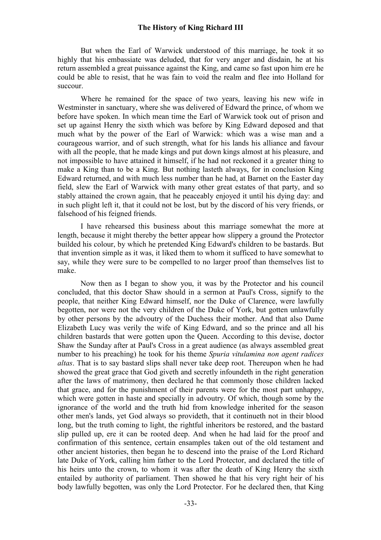But when the Earl of Warwick understood of this marriage, he took it so highly that his embassiate was deluded, that for very anger and disdain, he at his return assembled a great puissance against the King, and came so fast upon him ere he could be able to resist, that he was fain to void the realm and flee into Holland for succour.

Where he remained for the space of two years, leaving his new wife in Westminster in sanctuary, where she was delivered of Edward the prince, of whom we before have spoken. In which mean time the Earl of Warwick took out of prison and set up against Henry the sixth which was before by King Edward deposed and that much what by the power of the Earl of Warwick: which was a wise man and a courageous warrior, and of such strength, what for his lands his alliance and favour with all the people, that he made kings and put down kings almost at his pleasure, and not impossible to have attained it himself, if he had not reckoned it a greater thing to make a King than to be a King. But nothing lasteth always, for in conclusion King Edward returned, and with much less number than he had, at Barnet on the Easter day field, slew the Earl of Warwick with many other great estates of that party, and so stably attained the crown again, that he peaceably enjoyed it until his dying day: and in such plight left it, that it could not be lost, but by the discord of his very friends, or falsehood of his feigned friends.

I have rehearsed this business about this marriage somewhat the more at length, because it might thereby the better appear how slippery a ground the Protector builded his colour, by which he pretended King Edward's children to be bastards. But that invention simple as it was, it liked them to whom it sufficed to have somewhat to say, while they were sure to be compelled to no larger proof than themselves list to make.

Now then as I began to show you, it was by the Protector and his council concluded, that this doctor Shaw should in a sermon at Paul's Cross, signify to the people, that neither King Edward himself, nor the Duke of Clarence, were lawfully begotten, nor were not the very children of the Duke of York, but gotten unlawfully by other persons by the advoutry of the Duchess their mother. And that also Dame Elizabeth Lucy was verily the wife of King Edward, and so the prince and all his children bastards that were gotten upon the Queen. According to this devise, doctor Shaw the Sunday after at Paul's Cross in a great audience (as always assembled great number to his preaching) he took for his theme *Spuria vitulamina non agent radices altas*. That is to say bastard slips shall never take deep root. Thereupon when he had showed the great grace that God giveth and secretly infoundeth in the right generation after the laws of matrimony, then declared he that commonly those children lacked that grace, and for the punishment of their parents were for the most part unhappy, which were gotten in haste and specially in advoutry. Of which, though some by the ignorance of the world and the truth hid from knowledge inherited for the season other men's lands, yet God always so provideth, that it continueth not in their blood long, but the truth coming to light, the rightful inheritors be restored, and the bastard slip pulled up, ere it can be rooted deep. And when he had laid for the proof and confirmation of this sentence, certain ensamples taken out of the old testament and other ancient histories, then began he to descend into the praise of the Lord Richard late Duke of York, calling him father to the Lord Protector, and declared the title of his heirs unto the crown, to whom it was after the death of King Henry the sixth entailed by authority of parliament. Then showed he that his very right heir of his body lawfully begotten, was only the Lord Protector. For he declared then, that King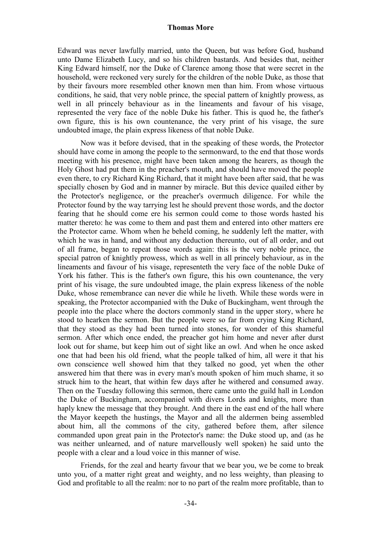Edward was never lawfully married, unto the Queen, but was before God, husband unto Dame Elizabeth Lucy, and so his children bastards. And besides that, neither King Edward himself, nor the Duke of Clarence among those that were secret in the household, were reckoned very surely for the children of the noble Duke, as those that by their favours more resembled other known men than him. From whose virtuous conditions, he said, that very noble prince, the special pattern of knightly prowess, as well in all princely behaviour as in the lineaments and favour of his visage, represented the very face of the noble Duke his father. This is quod he, the father's own figure, this is his own countenance, the very print of his visage, the sure undoubted image, the plain express likeness of that noble Duke.

Now was it before devised, that in the speaking of these words, the Protector should have come in among the people to the sermonward, to the end that those words meeting with his presence, might have been taken among the hearers, as though the Holy Ghost had put them in the preacher's mouth, and should have moved the people even there, to cry Richard King Richard, that it might have been after said, that he was specially chosen by God and in manner by miracle. But this device quailed either by the Protector's negligence, or the preacher's overmuch diligence. For while the Protector found by the way tarrying lest he should prevent those words, and the doctor fearing that he should come ere his sermon could come to those words hasted his matter thereto: he was come to them and past them and entered into other matters ere the Protector came. Whom when he beheld coming, he suddenly left the matter, with which he was in hand, and without any deduction thereunto, out of all order, and out of all frame, began to repeat those words again: this is the very noble prince, the special patron of knightly prowess, which as well in all princely behaviour, as in the lineaments and favour of his visage, representeth the very face of the noble Duke of York his father. This is the father's own figure, this his own countenance, the very print of his visage, the sure undoubted image, the plain express likeness of the noble Duke, whose remembrance can never die while he liveth. While these words were in speaking, the Protector accompanied with the Duke of Buckingham, went through the people into the place where the doctors commonly stand in the upper story, where he stood to hearken the sermon. But the people were so far from crying King Richard, that they stood as they had been turned into stones, for wonder of this shameful sermon. After which once ended, the preacher got him home and never after durst look out for shame, but keep him out of sight like an owl. And when he once asked one that had been his old friend, what the people talked of him, all were it that his own conscience well showed him that they talked no good, yet when the other answered him that there was in every man's mouth spoken of him much shame, it so struck him to the heart, that within few days after he withered and consumed away. Then on the Tuesday following this sermon, there came unto the guild hall in London the Duke of Buckingham, accompanied with divers Lords and knights, more than haply knew the message that they brought. And there in the east end of the hall where the Mayor keepeth the hustings, the Mayor and all the aldermen being assembled about him, all the commons of the city, gathered before them, after silence commanded upon great pain in the Protector's name: the Duke stood up, and (as he was neither unlearned, and of nature marvellously well spoken) he said unto the people with a clear and a loud voice in this manner of wise.

Friends, for the zeal and hearty favour that we bear you, we be come to break unto you, of a matter right great and weighty, and no less weighty, than pleasing to God and profitable to all the realm: nor to no part of the realm more profitable, than to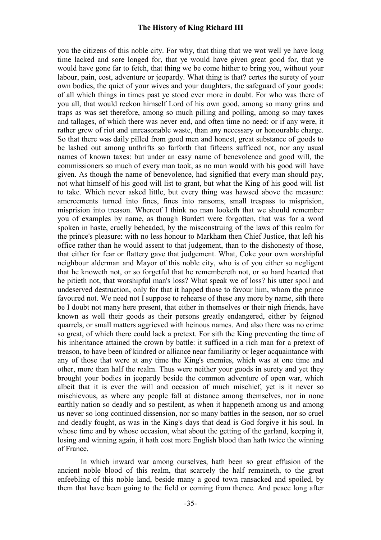you the citizens of this noble city. For why, that thing that we wot well ye have long time lacked and sore longed for, that ye would have given great good for, that ye would have gone far to fetch, that thing we be come hither to bring you, without your labour, pain, cost, adventure or jeopardy. What thing is that? certes the surety of your own bodies, the quiet of your wives and your daughters, the safeguard of your goods: of all which things in times past ye stood ever more in doubt. For who was there of you all, that would reckon himself Lord of his own good, among so many grins and traps as was set therefore, among so much pilling and polling, among so may taxes and tallages, of which there was never end, and often time no need: or if any were, it rather grew of riot and unreasonable waste, than any necessary or honourable charge. So that there was daily pilled from good men and honest, great substance of goods to be lashed out among unthrifts so farforth that fifteens sufficed not, nor any usual names of known taxes: but under an easy name of benevolence and good will, the commissioners so much of every man took, as no man would with his good will have given. As though the name of benevolence, had signified that every man should pay, not what himself of his good will list to grant, but what the King of his good will list to take. Which never asked little, but every thing was hawsed above the measure: amercements turned into fines, fines into ransoms, small trespass to misprision, misprision into treason. Whereof I think no man looketh that we should remember you of examples by name, as though Burdett were forgotten, that was for a word spoken in haste, cruelly beheaded, by the misconstruing of the laws of this realm for the prince's pleasure: with no less honour to Markham then Chief Justice, that left his office rather than he would assent to that judgement, than to the dishonesty of those, that either for fear or flattery gave that judgement. What, Coke your own worshipful neighbour alderman and Mayor of this noble city, who is of you either so negligent that he knoweth not, or so forgetful that he remembereth not, or so hard hearted that he pitieth not, that worshipful man's loss? What speak we of loss? his utter spoil and undeserved destruction, only for that it happed those to favour him, whom the prince favoured not. We need not I suppose to rehearse of these any more by name, sith there be I doubt not many here present, that either in themselves or their nigh friends, have known as well their goods as their persons greatly endangered, either by feigned quarrels, or small matters aggrieved with heinous names. And also there was no crime so great, of which there could lack a pretext. For sith the King preventing the time of his inheritance attained the crown by battle: it sufficed in a rich man for a pretext of treason, to have been of kindred or alliance near familiarity or leger acquaintance with any of those that were at any time the King's enemies, which was at one time and other, more than half the realm. Thus were neither your goods in surety and yet they brought your bodies in jeopardy beside the common adventure of open war, which albeit that it is ever the will and occasion of much mischief, yet is it never so mischievous, as where any people fall at distance among themselves, nor in none earthly nation so deadly and so pestilent, as when it happeneth among us and among us never so long continued dissension, nor so many battles in the season, nor so cruel and deadly fought, as was in the King's days that dead is God forgive it his soul. In whose time and by whose occasion, what about the getting of the garland, keeping it, losing and winning again, it hath cost more English blood than hath twice the winning of France.

In which inward war among ourselves, hath been so great effusion of the ancient noble blood of this realm, that scarcely the half remaineth, to the great enfeebling of this noble land, beside many a good town ransacked and spoiled, by them that have been going to the field or coming from thence. And peace long after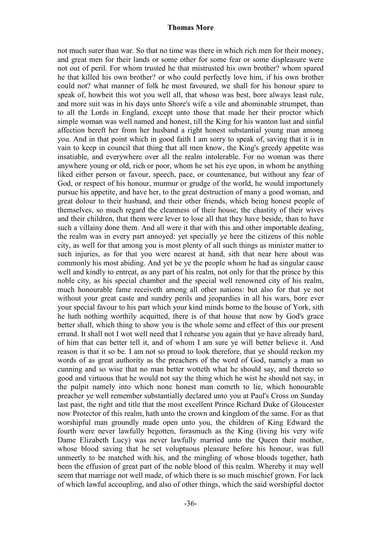not much surer than war. So that no time was there in which rich men for their money, and great men for their lands or some other for some fear or some displeasure were not out of peril. For whom trusted he that mistrusted his own brother? whom spared he that killed his own brother? or who could perfectly love him, if his own brother could not? what manner of folk he most favoured, we shall for his honour spare to speak of, howbeit this wot you well all, that whoso was best, bore always least rule, and more suit was in his days unto Shore's wife a vile and abominable strumpet, than to all the Lords in England, except unto those that made her their proctor which simple woman was well named and honest, till the King for his wanton lust and sinful affection bereft her from her husband a right honest substantial young man among you. And in that point which in good faith I am sorry to speak of, saving that it is in vain to keep in council that thing that all men know, the King's greedy appetite was insatiable, and everywhere over all the realm intolerable. For no woman was there anywhere young or old, rich or poor, whom he set his eye upon, in whom he anything liked either person or favour, speech, pace, or countenance, but without any fear of God, or respect of his honour, murmur or grudge of the world, he would importunely pursue his appetite, and have her, to the great destruction of many a good woman, and great dolour to their husband, and their other friends, which being honest people of themselves, so much regard the cleanness of their house, the chastity of their wives and their children, that them were lever to lose all that they have beside, than to have such a villainy done them. And all were it that with this and other importable dealing, the realm was in every part annoyed: yet specially ye here the citizens of this noble city, as well for that among you is most plenty of all such things as minister matter to such injuries, as for that you were nearest at hand, sith that near here about was commonly his most abiding. And yet be ye the people whom he had as singular cause well and kindly to entreat, as any part of his realm, not only for that the prince by this noble city, as his special chamber and the special well renowned city of his realm, much honourable fame receiveth among all other nations: but also for that ye not without your great caste and sundry perils and jeopardies in all his wars, bore ever your special favour to his part which your kind minds borne to the house of York, sith he hath nothing worthily acquitted, there is of that house that now by God's grace better shall, which thing to show you is the whole some and effect of this our present errand. It shall not I wot well need that I rehearse you again that ye have already hard, of him that can better tell it, and of whom I am sure ye will better believe it. And reason is that it so be. I am not so proud to look therefore, that ye should reckon my words of as great authority as the preachers of the word of God, namely a man so cunning and so wise that no man better wotteth what he should say, and thereto so good and virtuous that he would not say the thing which he wist he should not say, in the pulpit namely into which none honest man cometh to lie, which honourable preacher ye well remember substantially declared unto you at Paul's Cross on Sunday last past, the right and title that the most excellent Prince Richard Duke of Gloucester now Protector of this realm, hath unto the crown and kingdom of the same. For as that worshipful man groundly made open unto you, the children of King Edward the fourth were never lawfully begotten, forasmuch as the King (living his very wife Dame Elizabeth Lucy) was never lawfully married unto the Queen their mother, whose blood saving that he set voluptuous pleasure before his honour, was full unmeetly to be matched with his, and the mingling of whose bloods together, hath been the effusion of great part of the noble blood of this realm. Whereby it may well seem that marriage not well made, of which there is so much mischief grown. For lack of which lawful accoupling, and also of other things, which the said worshipful doctor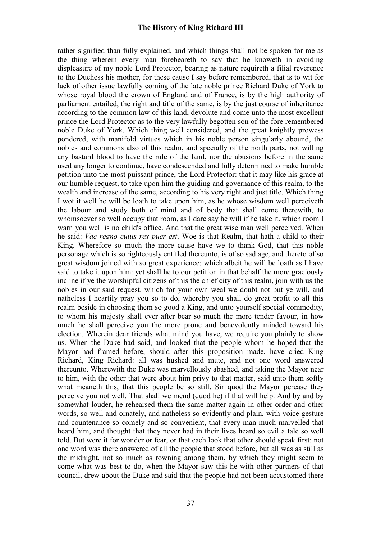rather signified than fully explained, and which things shall not be spoken for me as the thing wherein every man forebeareth to say that he knoweth in avoiding displeasure of my noble Lord Protector, bearing as nature requireth a filial reverence to the Duchess his mother, for these cause I say before remembered, that is to wit for lack of other issue lawfully coming of the late noble prince Richard Duke of York to whose royal blood the crown of England and of France, is by the high authority of parliament entailed, the right and title of the same, is by the just course of inheritance according to the common law of this land, devolute and come unto the most excellent prince the Lord Protector as to the very lawfully begotten son of the fore remembered noble Duke of York. Which thing well considered, and the great knightly prowess pondered, with manifold virtues which in his noble person singularly abound, the nobles and commons also of this realm, and specially of the north parts, not willing any bastard blood to have the rule of the land, nor the abusions before in the same used any longer to continue, have condescended and fully determined to make humble petition unto the most puissant prince, the Lord Protector: that it may like his grace at our humble request, to take upon him the guiding and governance of this realm, to the wealth and increase of the same, according to his very right and just title. Which thing I wot it well he will be loath to take upon him, as he whose wisdom well perceiveth the labour and study both of mind and of body that shall come therewith, to whomsoever so well occupy that room, as I dare say he will if he take it. which room I warn you well is no child's office. And that the great wise man well perceived. When he said: *Vae regno cuius rex puer est*. Woe is that Realm, that hath a child to their King. Wherefore so much the more cause have we to thank God, that this noble personage which is so righteously entitled thereunto, is of so sad age, and thereto of so great wisdom joined with so great experience: which albeit he will be loath as I have said to take it upon him: yet shall he to our petition in that behalf the more graciously incline if ye the worshipful citizens of this the chief city of this realm, join with us the nobles in our said request. which for your own weal we doubt not but ye will, and natheless I heartily pray you so to do, whereby you shall do great profit to all this realm beside in choosing them so good a King, and unto yourself special commodity, to whom his majesty shall ever after bear so much the more tender favour, in how much he shall perceive you the more prone and benevolently minded toward his election. Wherein dear friends what mind you have, we require you plainly to show us. When the Duke had said, and looked that the people whom he hoped that the Mayor had framed before, should after this proposition made, have cried King Richard, King Richard: all was hushed and mute, and not one word answered thereunto. Wherewith the Duke was marvellously abashed, and taking the Mayor near to him, with the other that were about him privy to that matter, said unto them softly what meaneth this, that this people be so still. Sir quod the Mayor percase they perceive you not well. That shall we mend (quod he) if that will help. And by and by somewhat louder, he rehearsed them the same matter again in other order and other words, so well and ornately, and natheless so evidently and plain, with voice gesture and countenance so comely and so convenient, that every man much marvelled that heard him, and thought that they never had in their lives heard so evil a tale so well told. But were it for wonder or fear, or that each look that other should speak first: not one word was there answered of all the people that stood before, but all was as still as the midnight, not so much as rowning among them, by which they might seem to come what was best to do, when the Mayor saw this he with other partners of that council, drew about the Duke and said that the people had not been accustomed there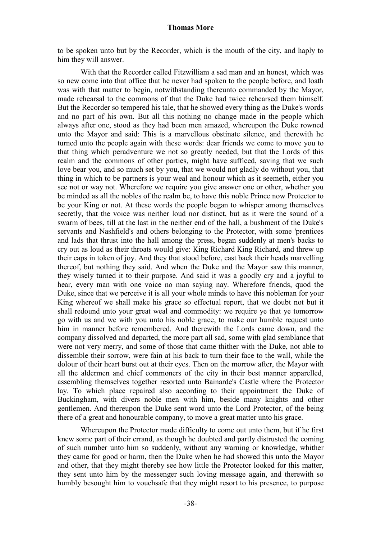to be spoken unto but by the Recorder, which is the mouth of the city, and haply to him they will answer.

With that the Recorder called Fitzwilliam a sad man and an honest, which was so new come into that office that he never had spoken to the people before, and loath was with that matter to begin, notwithstanding thereunto commanded by the Mayor, made rehearsal to the commons of that the Duke had twice rehearsed them himself. But the Recorder so tempered his tale, that he showed every thing as the Duke's words and no part of his own. But all this nothing no change made in the people which always after one, stood as they had been men amazed, whereupon the Duke rowned unto the Mayor and said: This is a marvellous obstinate silence, and therewith he turned unto the people again with these words: dear friends we come to move you to that thing which peradventure we not so greatly needed, but that the Lords of this realm and the commons of other parties, might have sufficed, saving that we such love bear you, and so much set by you, that we would not gladly do without you, that thing in which to be partners is your weal and honour which as it seemeth, either you see not or way not. Wherefore we require you give answer one or other, whether you be minded as all the nobles of the realm be, to have this noble Prince now Protector to be your King or not. At these words the people began to whisper among themselves secretly, that the voice was neither loud nor distinct, but as it were the sound of a swarm of bees, till at the last in the neither end of the hall, a bushment of the Duke's servants and Nashfield's and others belonging to the Protector, with some 'prentices and lads that thrust into the hall among the press, began suddenly at men's backs to cry out as loud as their throats would give: King Richard King Richard, and threw up their caps in token of joy. And they that stood before, cast back their heads marvelling thereof, but nothing they said. And when the Duke and the Mayor saw this manner, they wisely turned it to their purpose. And said it was a goodly cry and a joyful to hear, every man with one voice no man saying nay. Wherefore friends, quod the Duke, since that we perceive it is all your whole minds to have this nobleman for your King whereof we shall make his grace so effectual report, that we doubt not but it shall redound unto your great weal and commodity: we require ye that ye tomorrow go with us and we with you unto his noble grace, to make our humble request unto him in manner before remembered. And therewith the Lords came down, and the company dissolved and departed, the more part all sad, some with glad semblance that were not very merry, and some of those that came thither with the Duke, not able to dissemble their sorrow, were fain at his back to turn their face to the wall, while the dolour of their heart burst out at their eyes. Then on the morrow after, the Mayor with all the aldermen and chief commoners of the city in their best manner apparelled, assembling themselves together resorted unto Bainarde's Castle where the Protector lay. To which place repaired also according to their appointment the Duke of Buckingham, with divers noble men with him, beside many knights and other gentlemen. And thereupon the Duke sent word unto the Lord Protector, of the being there of a great and honourable company, to move a great matter unto his grace.

Whereupon the Protector made difficulty to come out unto them, but if he first knew some part of their errand, as though he doubted and partly distrusted the coming of such number unto him so suddenly, without any warning or knowledge, whither they came for good or harm, then the Duke when he had showed this unto the Mayor and other, that they might thereby see how little the Protector looked for this matter, they sent unto him by the messenger such loving message again, and therewith so humbly besought him to vouchsafe that they might resort to his presence, to purpose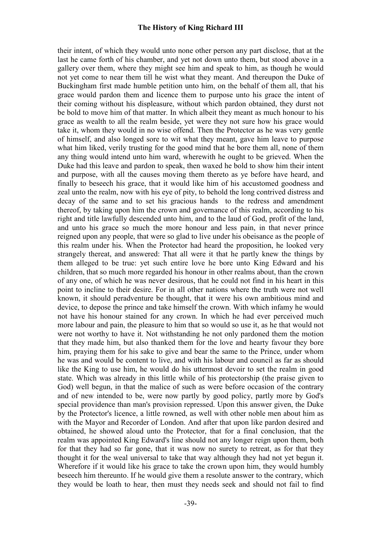their intent, of which they would unto none other person any part disclose, that at the last he came forth of his chamber, and yet not down unto them, but stood above in a gallery over them, where they might see him and speak to him, as though he would not yet come to near them till he wist what they meant. And thereupon the Duke of Buckingham first made humble petition unto him, on the behalf of them all, that his grace would pardon them and licence them to purpose unto his grace the intent of their coming without his displeasure, without which pardon obtained, they durst not be bold to move him of that matter. In which albeit they meant as much honour to his grace as wealth to all the realm beside, yet were they not sure how his grace would take it, whom they would in no wise offend. Then the Protector as he was very gentle of himself, and also longed sore to wit what they meant, gave him leave to purpose what him liked, verily trusting for the good mind that he bore them all, none of them any thing would intend unto him ward, wherewith he ought to be grieved. When the Duke had this leave and pardon to speak, then waxed he bold to show him their intent and purpose, with all the causes moving them thereto as ye before have heard, and finally to beseech his grace, that it would like him of his accustomed goodness and zeal unto the realm, now with his eye of pity, to behold the long contrived distress and decay of the same and to set his gracious hands to the redress and amendment thereof, by taking upon him the crown and governance of this realm, according to his right and title lawfully descended unto him, and to the laud of God, profit of the land, and unto his grace so much the more honour and less pain, in that never prince reigned upon any people, that were so glad to live under his obeisance as the people of this realm under his. When the Protector had heard the proposition, he looked very strangely thereat, and answered: That all were it that he partly knew the things by them alleged to be true: yet such entire love he bore unto King Edward and his children, that so much more regarded his honour in other realms about, than the crown of any one, of which he was never desirous, that he could not find in his heart in this point to incline to their desire. For in all other nations where the truth were not well known, it should peradventure be thought, that it were his own ambitious mind and device, to depose the prince and take himself the crown. With which infamy he would not have his honour stained for any crown. In which he had ever perceived much more labour and pain, the pleasure to him that so would so use it, as he that would not were not worthy to have it. Not withstanding he not only pardoned them the motion that they made him, but also thanked them for the love and hearty favour they bore him, praying them for his sake to give and bear the same to the Prince, under whom he was and would be content to live, and with his labour and council as far as should like the King to use him, he would do his uttermost devoir to set the realm in good state. Which was already in this little while of his protectorship (the praise given to God) well begun, in that the malice of such as were before occasion of the contrary and of new intended to be, were now partly by good policy, partly more by God's special providence than man's provision repressed. Upon this answer given, the Duke by the Protector's licence, a little rowned, as well with other noble men about him as with the Mayor and Recorder of London. And after that upon like pardon desired and obtained, he showed aloud unto the Protector, that for a final conclusion, that the realm was appointed King Edward's line should not any longer reign upon them, both for that they had so far gone, that it was now no surety to retreat, as for that they thought it for the weal universal to take that way although they had not yet begun it. Wherefore if it would like his grace to take the crown upon him, they would humbly beseech him thereunto. If he would give them a resolute answer to the contrary, which they would be loath to hear, then must they needs seek and should not fail to find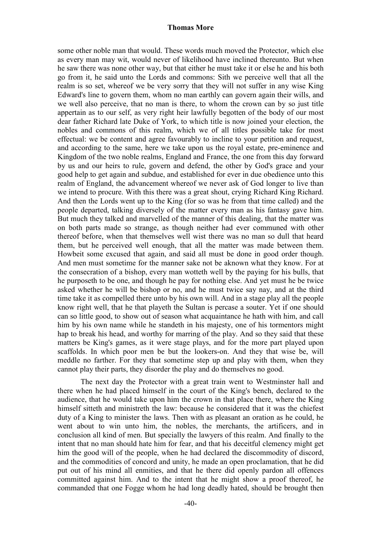some other noble man that would. These words much moved the Protector, which else as every man may wit, would never of likelihood have inclined thereunto. But when he saw there was none other way, but that either he must take it or else he and his both go from it, he said unto the Lords and commons: Sith we perceive well that all the realm is so set, whereof we be very sorry that they will not suffer in any wise King Edward's line to govern them, whom no man earthly can govern again their wills, and we well also perceive, that no man is there, to whom the crown can by so just title appertain as to our self, as very right heir lawfully begotten of the body of our most dear father Richard late Duke of York, to which title is now joined your election, the nobles and commons of this realm, which we of all titles possible take for most effectual: we be content and agree favourably to incline to your petition and request, and according to the same, here we take upon us the royal estate, pre-eminence and Kingdom of the two noble realms, England and France, the one from this day forward by us and our heirs to rule, govern and defend, the other by God's grace and your good help to get again and subdue, and established for ever in due obedience unto this realm of England, the advancement whereof we never ask of God longer to live than we intend to procure. With this there was a great shout, crying Richard King Richard. And then the Lords went up to the King (for so was he from that time called) and the people departed, talking diversely of the matter every man as his fantasy gave him. But much they talked and marvelled of the manner of this dealing, that the matter was on both parts made so strange, as though neither had ever communed with other thereof before, when that themselves well wist there was no man so dull that heard them, but he perceived well enough, that all the matter was made between them. Howbeit some excused that again, and said all must be done in good order though. And men must sometime for the manner sake not be aknown what they know. For at the consecration of a bishop, every man wotteth well by the paying for his bulls, that he purposeth to be one, and though he pay for nothing else. And yet must he be twice asked whether he will be bishop or no, and he must twice say nay, and at the third time take it as compelled there unto by his own will. And in a stage play all the people know right well, that he that playeth the Sultan is percase a souter. Yet if one should can so little good, to show out of season what acquaintance he hath with him, and call him by his own name while he standeth in his majesty, one of his tormentors might hap to break his head, and worthy for marring of the play. And so they said that these matters be King's games, as it were stage plays, and for the more part played upon scaffolds. In which poor men be but the lookers-on. And they that wise be, will meddle no farther. For they that sometime step up and play with them, when they cannot play their parts, they disorder the play and do themselves no good.

The next day the Protector with a great train went to Westminster hall and there when he had placed himself in the court of the King's bench, declared to the audience, that he would take upon him the crown in that place there, where the King himself sitteth and ministreth the law: because he considered that it was the chiefest duty of a King to minister the laws. Then with as pleasant an oration as he could, he went about to win unto him, the nobles, the merchants, the artificers, and in conclusion all kind of men. But specially the lawyers of this realm. And finally to the intent that no man should hate him for fear, and that his deceitful clemency might get him the good will of the people, when he had declared the discommodity of discord, and the commodities of concord and unity, he made an open proclamation, that he did put out of his mind all enmities, and that he there did openly pardon all offences committed against him. And to the intent that he might show a proof thereof, he commanded that one Fogge whom he had long deadly hated, should be brought then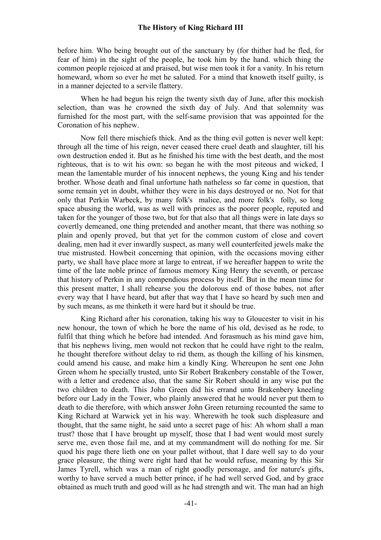before him. Who being brought out of the sanctuary by (for thither had he fled, for fear of him) in the sight of the people, he took him by the hand. which thing the common people rejoiced at and praised, but wise men took it for a vanity. In his return homeward, whom so ever he met he saluted. For a mind that knoweth itself guilty, is in a manner dejected to a servile flattery.

When he had begun his reign the twenty sixth day of June, after this mockish selection, than was he crowned the sixth day of July. And that solemnity was furnished for the most part, with the self-same provision that was appointed for the Coronation of his nephew.

Now fell there mischiefs thick. And as the thing evil gotten is never well kept: through all the time of his reign, never ceased there cruel death and slaughter, till his own destruction ended it. But as he finished his time with the best death, and the most righteous, that is to wit his own: so began he with the most piteous and wicked, I mean the lamentable murder of his innocent nephews, the young King and his tender brother. Whose death and final unfortune hath natheless so far come in question, that some remain yet in doubt, whither they were in his days destroyed or no. Not for that only that Perkin Warbeck, by many folk's malice, and more folk's folly, so long space abusing the world, was as well with princes as the poorer people, reputed and taken for the younger of those two, but for that also that all things were in late days so covertly demeaned, one thing pretended and another meant, that there was nothing so plain and openly proved, but that yet for the common custom of close and covert dealing, men had it ever inwardly suspect, as many well counterfeited jewels make the true mistrusted. Howbeit concerning that opinion, with the occasions moving either party, we shall have place more at large to entreat, if we hereafter happen to write the time of the late noble prince of famous memory King Henry the seventh, or percase that history of Perkin in any compendious process by itself. But in the mean time for this present matter, I shall rehearse you the dolorous end of those babes, not after every way that I have heard, but after that way that I have so heard by such men and by such means, as me thinketh it were hard but it should be true.

King Richard after his coronation, taking his way to Gloucester to visit in his new honour, the town of which he bore the name of his old, devised as he rode, to fulfil that thing which he before had intended. And forasmuch as his mind gave him, that his nephews living, men would not reckon that he could have right to the realm, he thought therefore without delay to rid them, as though the killing of his kinsmen, could amend his cause, and make him a kindly King. Whereupon he sent one John Green whom he specially trusted, unto Sir Robert Brakenbery constable of the Tower, with a letter and credence also, that the same Sir Robert should in any wise put the two children to death. This John Green did his errand unto Brakenbery kneeling before our Lady in the Tower, who plainly answered that he would never put them to death to die therefore, with which answer John Green returning recounted the same to King Richard at Warwick yet in his way. Wherewith he took such displeasure and thought, that the same night, he said unto a secret page of his: Ah whom shall a man trust? those that I have brought up myself, those that I had went would most surely serve me, even those fail me, and at my commandment will do nothing for me. Sir quod his page there lieth one on your pallet without, that I dare well say to do your grace pleasure, the thing were right hard that he would refuse, meaning by this Sir James Tyrell, which was a man of right goodly personage, and for nature's gifts, worthy to have served a much better prince, if he had well served God, and by grace obtained as much truth and good will as he had strength and wit. The man had an high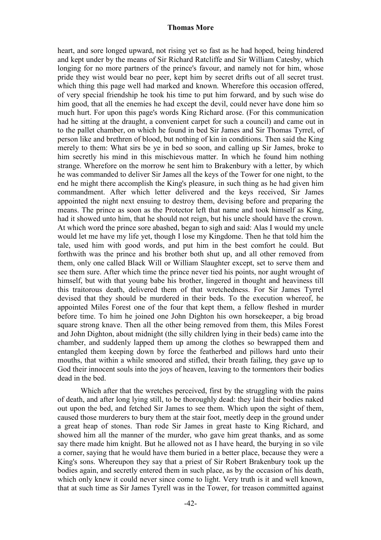heart, and sore longed upward, not rising yet so fast as he had hoped, being hindered and kept under by the means of Sir Richard Ratcliffe and Sir William Catesby, which longing for no more partners of the prince's favour, and namely not for him, whose pride they wist would bear no peer, kept him by secret drifts out of all secret trust. which thing this page well had marked and known. Wherefore this occasion offered, of very special friendship he took his time to put him forward, and by such wise do him good, that all the enemies he had except the devil, could never have done him so much hurt. For upon this page's words King Richard arose. (For this communication had he sitting at the draught, a convenient carpet for such a council) and came out in to the pallet chamber, on which he found in bed Sir James and Sir Thomas Tyrrel, of person like and brethren of blood, but nothing of kin in conditions. Then said the King merely to them: What sirs be ye in bed so soon, and calling up Sir James, broke to him secretly his mind in this mischievous matter. In which he found him nothing strange. Wherefore on the morrow he sent him to Brakenbury with a letter, by which he was commanded to deliver Sir James all the keys of the Tower for one night, to the end he might there accomplish the King's pleasure, in such thing as he had given him commandment. After which letter delivered and the keys received, Sir James appointed the night next ensuing to destroy them, devising before and preparing the means. The prince as soon as the Protector left that name and took himself as King, had it showed unto him, that he should not reign, but his uncle should have the crown. At which word the prince sore abashed, began to sigh and said: Alas I would my uncle would let me have my life yet, though I lose my Kingdome. Then he that told him the tale, used him with good words, and put him in the best comfort he could. But forthwith was the prince and his brother both shut up, and all other removed from them, only one called Black Will or William Slaughter except, set to serve them and see them sure. After which time the prince never tied his points, nor aught wrought of himself, but with that young babe his brother, lingered in thought and heaviness till this traitorous death, delivered them of that wretchedness. For Sir James Tyrrel devised that they should be murdered in their beds. To the execution whereof, he appointed Miles Forest one of the four that kept them, a fellow fleshed in murder before time. To him he joined one John Dighton his own horsekeeper, a big broad square strong knave. Then all the other being removed from them, this Miles Forest and John Dighton, about midnight (the silly children lying in their beds) came into the chamber, and suddenly lapped them up among the clothes so bewrapped them and entangled them keeping down by force the featherbed and pillows hard unto their mouths, that within a while smoored and stifled, their breath failing, they gave up to God their innocent souls into the joys of heaven, leaving to the tormentors their bodies dead in the bed.

Which after that the wretches perceived, first by the struggling with the pains of death, and after long lying still, to be thoroughly dead: they laid their bodies naked out upon the bed, and fetched Sir James to see them. Which upon the sight of them, caused those murderers to bury them at the stair foot, meetly deep in the ground under a great heap of stones. Than rode Sir James in great haste to King Richard, and showed him all the manner of the murder, who gave him great thanks, and as some say there made him knight. But he allowed not as I have heard, the burying in so vile a corner, saying that he would have them buried in a better place, because they were a King's sons. Whereupon they say that a priest of Sir Robert Brakenbury took up the bodies again, and secretly entered them in such place, as by the occasion of his death, which only knew it could never since come to light. Very truth is it and well known, that at such time as Sir James Tyrell was in the Tower, for treason committed against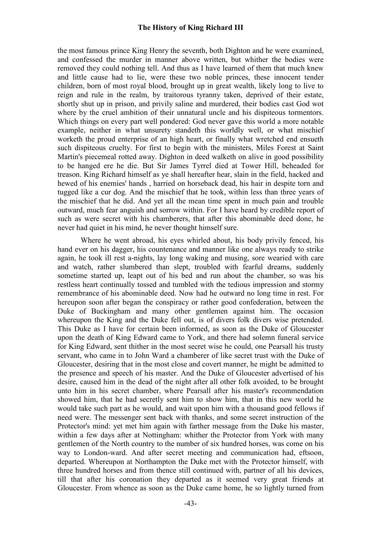the most famous prince King Henry the seventh, both Dighton and he were examined, and confessed the murder in manner above written, but whither the bodies were removed they could nothing tell. And thus as I have learned of them that much knew and little cause had to lie, were these two noble princes, these innocent tender children, born of most royal blood, brought up in great wealth, likely long to live to reign and rule in the realm, by traitorous tyranny taken, deprived of their estate, shortly shut up in prison, and privily saline and murdered, their bodies cast God wot where by the cruel ambition of their unnatural uncle and his dispiteous tormentors. Which things on every part well pondered: God never gave this world a more notable example, neither in what unsurety standeth this worldly well, or what mischief worketh the proud enterprise of an high heart, or finally what wretched end ensueth such dispiteous cruelty. For first to begin with the ministers, Miles Forest at Saint Martin's piecemeal rotted away. Dighton in deed walketh on alive in good possibility to be hanged ere he die. But Sir James Tyrrel died at Tower Hill, beheaded for treason. King Richard himself as ye shall hereafter hear, slain in the field, hacked and hewed of his enemies' hands , harried on horseback dead, his hair in despite torn and tugged like a cur dog. And the mischief that he took, within less than three years of the mischief that he did. And yet all the mean time spent in much pain and trouble outward, much fear anguish and sorrow within. For I have heard by credible report of such as were secret with his chamberers, that after this abominable deed done, he never had quiet in his mind, he never thought himself sure.

Where he went abroad, his eyes whirled about, his body privily fenced, his hand ever on his dagger, his countenance and manner like one always ready to strike again, he took ill rest a-nights, lay long waking and musing, sore wearied with care and watch, rather slumbered than slept, troubled with fearful dreams, suddenly sometime started up, leapt out of his bed and run about the chamber, so was his restless heart continually tossed and tumbled with the tedious impression and stormy remembrance of his abominable deed. Now had he outward no long time in rest. For hereupon soon after began the conspiracy or rather good confederation, between the Duke of Buckingham and many other gentlemen against him. The occasion whereupon the King and the Duke fell out, is of divers folk divers wise pretended. This Duke as I have for certain been informed, as soon as the Duke of Gloucester upon the death of King Edward came to York, and there had solemn funeral service for King Edward, sent thither in the most secret wise he could, one Pearsall his trusty servant, who came in to John Ward a chamberer of like secret trust with the Duke of Gloucester, desiring that in the most close and covert manner, he might be admitted to the presence and speech of his master. And the Duke of Gloucester advertised of his desire, caused him in the dead of the night after all other folk avoided, to be brought unto him in his secret chamber, where Pearsall after his master's recommendation showed him, that he had secretly sent him to show him, that in this new world he would take such part as he would, and wait upon him with a thousand good fellows if need were. The messenger sent back with thanks, and some secret instruction of the Protector's mind: yet met him again with farther message from the Duke his master, within a few days after at Nottingham: whither the Protector from York with many gentlemen of the North country to the number of six hundred horses, was come on his way to London-ward. And after secret meeting and communication had, eftsoon, departed. Whereupon at Northampton the Duke met with the Protector himself, with three hundred horses and from thence still continued with, partner of all his devices, till that after his coronation they departed as it seemed very great friends at Gloucester. From whence as soon as the Duke came home, he so lightly turned from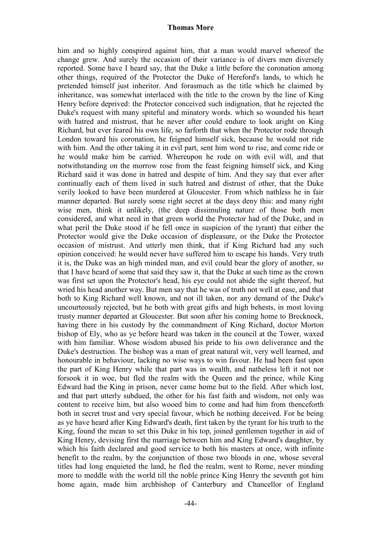him and so highly conspired against him, that a man would marvel whereof the change grew. And surely the occasion of their variance is of divers men diversely reported. Some have I heard say, that the Duke a little before the coronation among other things, required of the Protector the Duke of Hereford's lands, to which he pretended himself just inheritor. And forasmuch as the title which he claimed by inheritance, was somewhat interlaced with the title to the crown by the line of King Henry before deprived: the Protector conceived such indignation, that he rejected the Duke's request with many spiteful and minatory words. which so wounded his heart with hatred and mistrust, that he never after could endure to look aright on King Richard, but ever feared his own life, so farforth that when the Protector rode through London toward his coronation, he feigned himself sick, because he would not ride with him. And the other taking it in evil part, sent him word to rise, and come ride or he would make him be carried. Whereupon he rode on with evil will, and that notwithstanding on the morrow rose from the feast feigning himself sick, and King Richard said it was done in hatred and despite of him. And they say that ever after continually each of them lived in such hatred and distrust of other, that the Duke verily looked to have been murdered at Gloucester. From which nathless he in fair manner departed. But surely some right secret at the days deny this: and many right wise men, think it unlikely, (the deep dissimuling nature of those both men considered, and what need in that green world the Protector had of the Duke, and in what peril the Duke stood if he fell once in suspicion of the tyrant) that either the Protector would give the Duke occasion of displeasure, or the Duke the Protector occasion of mistrust. And utterly men think, that if King Richard had any such opinion conceived: he would never have suffered him to escape his hands. Very truth it is, the Duke was an high minded man, and evil could bear the glory of another, so that I have heard of some that said they saw it, that the Duke at such time as the crown was first set upon the Protector's head, his eye could not abide the sight thereof, but wried his head another way. But men say that he was of truth not well at ease, and that both to King Richard well known, and not ill taken, nor any demand of the Duke's uncourteously rejected, but he both with great gifts and high behests, in most loving trusty manner departed at Gloucester. But soon after his coming home to Brecknock, having there in his custody by the commandment of King Richard, doctor Morton bishop of Ely, who as ye before heard was taken in the council at the Tower, waxed with him familiar. Whose wisdom abused his pride to his own deliverance and the Duke's destruction. The bishop was a man of great natural wit, very well learned, and honourable in behaviour, lacking no wise ways to win favour. He had been fast upon the part of King Henry while that part was in wealth, and natheless left it not nor forsook it in woe, but fled the realm with the Queen and the prince, while King Edward had the King in prison, never came home but to the field. After which lost, and that part utterly subdued, the other for his fast faith and wisdom, not only was content to receive him, but also wooed him to come and had him from thenceforth both in secret trust and very special favour, which he nothing deceived. For he being as ye have heard after King Edward's death, first taken by the tyrant for his truth to the King, found the mean to set this Duke in his top, joined gentlemen together in aid of King Henry, devising first the marriage between him and King Edward's daughter, by which his faith declared and good service to both his masters at once, with infinite benefit to the realm, by the conjunction of those two bloods in one, whose several titles had long enquieted the land, he fled the realm, went to Rome, never minding more to meddle with the world till the noble prince King Henry the seventh got him home again, made him archbishop of Canterbury and Chancellor of England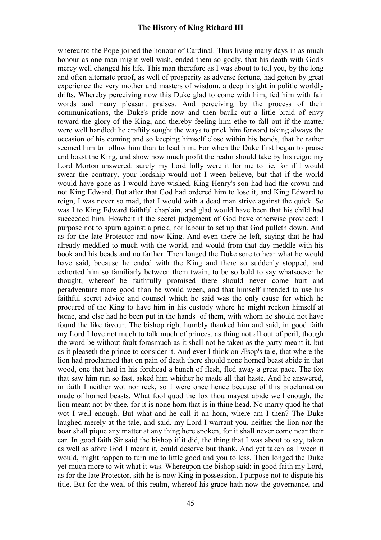whereunto the Pope joined the honour of Cardinal. Thus living many days in as much honour as one man might well wish, ended them so godly, that his death with God's mercy well changed his life. This man therefore as I was about to tell you, by the long and often alternate proof, as well of prosperity as adverse fortune, had gotten by great experience the very mother and masters of wisdom, a deep insight in politic worldly drifts. Whereby perceiving now this Duke glad to come with him, fed him with fair words and many pleasant praises. And perceiving by the process of their communications, the Duke's pride now and then baulk out a little braid of envy toward the glory of the King, and thereby feeling him ethe to fall out if the matter were well handled: he craftily sought the ways to prick him forward taking always the occasion of his coming and so keeping himself close within his bonds, that he rather seemed him to follow him than to lead him. For when the Duke first began to praise and boast the King, and show how much profit the realm should take by his reign: my Lord Morton answered: surely my Lord folly were it for me to lie, for if I would swear the contrary, your lordship would not I ween believe, but that if the world would have gone as I would have wished, King Henry's son had had the crown and not King Edward. But after that God had ordered him to lose it, and King Edward to reign, I was never so mad, that I would with a dead man strive against the quick. So was I to King Edward faithful chaplain, and glad would have been that his child had succeeded him. Howbeit if the secret judgement of God have otherwise provided: I purpose not to spurn against a prick, nor labour to set up that God pulleth down. And as for the late Protector and now King. And even there he left, saying that he had already meddled to much with the world, and would from that day meddle with his book and his beads and no farther. Then longed the Duke sore to hear what he would have said, because he ended with the King and there so suddenly stopped, and exhorted him so familiarly between them twain, to be so bold to say whatsoever he thought, whereof he faithfully promised there should never come hurt and peradventure more good than he would ween, and that himself intended to use his faithful secret advice and counsel which he said was the only cause for which he procured of the King to have him in his custody where he might reckon himself at home, and else had he been put in the hands of them, with whom he should not have found the like favour. The bishop right humbly thanked him and said, in good faith my Lord I love not much to talk much of princes, as thing not all out of peril, though the word be without fault forasmuch as it shall not be taken as the party meant it, but as it pleaseth the prince to consider it. And ever I think on Æsop's tale, that where the lion had proclaimed that on pain of death there should none horned beast abide in that wood, one that had in his forehead a bunch of flesh, fled away a great pace. The fox that saw him run so fast, asked him whither he made all that haste. And he answered, in faith I neither wot nor reck, so I were once hence because of this proclamation made of horned beasts. What fool quod the fox thou mayest abide well enough, the lion meant not by thee, for it is none horn that is in thine head. No marry quod he that wot I well enough. But what and he call it an horn, where am I then? The Duke laughed merely at the tale, and said, my Lord I warrant you, neither the lion nor the boar shall pique any matter at any thing here spoken, for it shall never come near their ear. In good faith Sir said the bishop if it did, the thing that I was about to say, taken as well as afore God I meant it, could deserve but thank. And yet taken as I ween it would, might happen to turn me to little good and you to less. Then longed the Duke yet much more to wit what it was. Whereupon the bishop said: in good faith my Lord, as for the late Protector, sith he is now King in possession, I purpose not to dispute his title. But for the weal of this realm, whereof his grace hath now the governance, and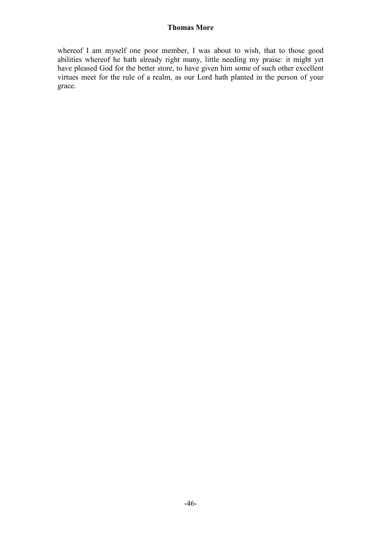whereof I am myself one poor member, I was about to wish, that to those good abilities whereof he hath already right many, little needing my praise: it might yet have pleased God for the better store, to have given him some of such other excellent virtues meet for the rule of a realm, as our Lord hath planted in the person of your grace.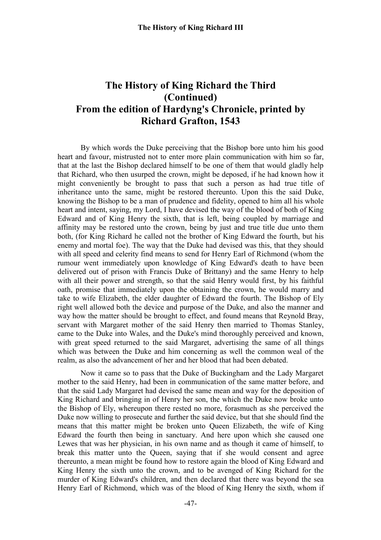## **The History of King Richard the Third (Continued) From the edition of Hardyng's Chronicle, printed by Richard Grafton, 1543**

By which words the Duke perceiving that the Bishop bore unto him his good heart and favour, mistrusted not to enter more plain communication with him so far, that at the last the Bishop declared himself to be one of them that would gladly help that Richard, who then usurped the crown, might be deposed, if he had known how it might conveniently be brought to pass that such a person as had true title of inheritance unto the same, might be restored thereunto. Upon this the said Duke, knowing the Bishop to be a man of prudence and fidelity, opened to him all his whole heart and intent, saying, my Lord, I have devised the way of the blood of both of King Edward and of King Henry the sixth, that is left, being coupled by marriage and affinity may be restored unto the crown, being by just and true title due unto them both, (for King Richard he called not the brother of King Edward the fourth, but his enemy and mortal foe). The way that the Duke had devised was this, that they should with all speed and celerity find means to send for Henry Earl of Richmond (whom the rumour went immediately upon knowledge of King Edward's death to have been delivered out of prison with Francis Duke of Brittany) and the same Henry to help with all their power and strength, so that the said Henry would first, by his faithful oath, promise that immediately upon the obtaining the crown, he would marry and take to wife Elizabeth, the elder daughter of Edward the fourth. The Bishop of Ely right well allowed both the device and purpose of the Duke, and also the manner and way how the matter should be brought to effect, and found means that Reynold Bray, servant with Margaret mother of the said Henry then married to Thomas Stanley, came to the Duke into Wales, and the Duke's mind thoroughly perceived and known, with great speed returned to the said Margaret, advertising the same of all things which was between the Duke and him concerning as well the common weal of the realm, as also the advancement of her and her blood that had been debated.

Now it came so to pass that the Duke of Buckingham and the Lady Margaret mother to the said Henry, had been in communication of the same matter before, and that the said Lady Margaret had devised the same mean and way for the deposition of King Richard and bringing in of Henry her son, the which the Duke now broke unto the Bishop of Ely, whereupon there rested no more, forasmuch as she perceived the Duke now willing to prosecute and further the said device, but that she should find the means that this matter might be broken unto Queen Elizabeth, the wife of King Edward the fourth then being in sanctuary. And here upon which she caused one Lewes that was her physician, in his own name and as though it came of himself, to break this matter unto the Queen, saying that if she would consent and agree thereunto, a mean might be found how to restore again the blood of King Edward and King Henry the sixth unto the crown, and to be avenged of King Richard for the murder of King Edward's children, and then declared that there was beyond the sea Henry Earl of Richmond, which was of the blood of King Henry the sixth, whom if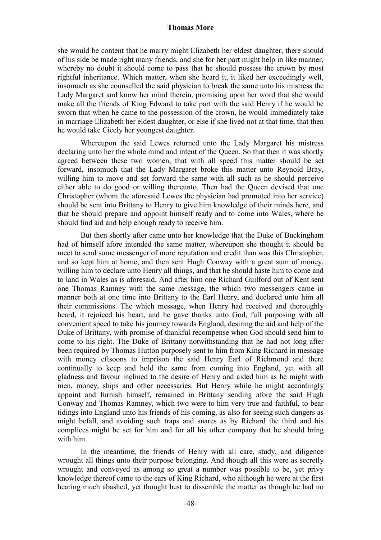she would be content that he marry might Elizabeth her eldest daughter, there should of his side be made right many friends, and she for her part might help in like manner, whereby no doubt it should come to pass that he should possess the crown by most rightful inheritance. Which matter, when she heard it, it liked her exceedingly well, insomuch as she counselled the said physician to break the same unto his mistress the Lady Margaret and know her mind therein, promising upon her word that she would make all the friends of King Edward to take part with the said Henry if he would be sworn that when he came to the possession of the crown, he would immediately take in marriage Elizabeth her eldest daughter, or else if she lived not at that time, that then he would take Cicely her youngest daughter.

Whereupon the said Lewes returned unto the Lady Margaret his mistress declaring unto her the whole mind and intent of the Queen. So that then it was shortly agreed between these two women, that with all speed this matter should be set forward, insomuch that the Lady Margaret broke this matter unto Reynold Bray, willing him to move and set forward the same with all such as he should perceive either able to do good or willing thereunto. Then had the Queen devised that one Christopher (whom the aforesaid Lewes the physician had promoted into her service) should be sent into Brittany to Henry to give him knowledge of their minds here, and that he should prepare and appoint himself ready and to come into Wales, where he should find aid and help enough ready to receive him.

But then shortly after came unto her knowledge that the Duke of Buckingham had of himself afore intended the same matter, whereupon she thought it should be meet to send some messenger of more reputation and credit than was this Christopher, and so kept him at home, and then sent Hugh Conway with a great sum of money, willing him to declare unto Henry all things, and that he should haste him to come and to land in Wales as is aforesaid. And after him one Richard Guilford out of Kent sent one Thomas Ramney with the same message, the which two messengers came in manner both at one time into Brittany to the Earl Henry, and declared unto him all their commissions. The which message, when Henry had received and thoroughly heard, it rejoiced his heart, and he gave thanks unto God, full purposing with all convenient speed to take his journey towards England, desiring the aid and help of the Duke of Brittany, with promise of thankful recompense when God should send him to come to his right. The Duke of Brittany notwithstanding that he had not long after been required by Thomas Hutton purposely sent to him from King Richard in message with money eftsoons to imprison the said Henry Earl of Richmond and there continually to keep and hold the same from coming into England, yet with all gladness and favour inclined to the desire of Henry and aided him as he might with men, money, ships and other necessaries. But Henry while he might accordingly appoint and furnish himself, remained in Brittany sending afore the said Hugh Conway and Thomas Ramney, which two were to him very true and faithful, to bear tidings into England unto his friends of his coming, as also for seeing such dangers as might befall, and avoiding such traps and snares as by Richard the third and his complices might be set for him and for all his other company that he should bring with him.

In the meantime, the friends of Henry with all care, study, and diligence wrought all things unto their purpose belonging. And though all this were as secretly wrought and conveyed as among so great a number was possible to be, yet privy knowledge thereof came to the ears of King Richard, who although he were at the first hearing much abashed, yet thought best to dissemble the matter as though he had no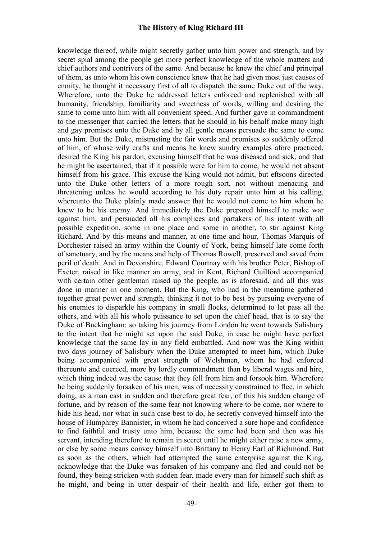knowledge thereof, while might secretly gather unto him power and strength, and by secret spial among the people get more perfect knowledge of the whole matters and chief authors and contrivers of the same. And because he knew the chief and principal of them, as unto whom his own conscience knew that he had given most just causes of enmity, he thought it necessary first of all to dispatch the same Duke out of the way. Wherefore, unto the Duke he addressed letters enforced and replenished with all humanity, friendship, familiarity and sweetness of words, willing and desiring the same to come unto him with all convenient speed. And further gave in commandment to the messenger that carried the letters that he should in his behalf make many high and gay promises unto the Duke and by all gentle means persuade the same to come unto him. But the Duke, mistrusting the fair words and promises so suddenly offered of him, of whose wily crafts and means he knew sundry examples afore practiced, desired the King his pardon, excusing himself that he was diseased and sick, and that he might be ascertained, that if it possible were for him to come, he would not absent himself from his grace. This excuse the King would not admit, but eftsoons directed unto the Duke other letters of a more rough sort, not without menacing and threatening unless he would according to his duty repair unto him at his calling, whereunto the Duke plainly made answer that he would not come to him whom he knew to be his enemy. And immediately the Duke prepared himself to make war against him, and persuaded all his complices and partakers of his intent with all possible expedition, some in one place and some in another, to stir against King Richard. And by this means and manner, at one time and hour, Thomas Marquis of Dorchester raised an army within the County of York, being himself late come forth of sanctuary, and by the means and help of Thomas Rowell, preserved and saved from peril of death. And in Devonshire, Edward Courtnay with his brother Peter, Bishop of Exeter, raised in like manner an army, and in Kent, Richard Guilford accompanied with certain other gentleman raised up the people, as is aforesaid, and all this was done in manner in one moment. But the King, who had in the meantime gathered together great power and strength, thinking it not to be best by pursuing everyone of his enemies to disparkle his company in small flocks, determined to let pass all the others, and with all his whole puissance to set upon the chief head, that is to say the Duke of Buckingham: so taking his journey from London he went towards Salisbury to the intent that he might set upon the said Duke, in case he might have perfect knowledge that the same lay in any field embattled. And now was the King within two days journey of Salisbury when the Duke attempted to meet him, which Duke being accompanied with great strength of Welshmen, whom he had enforced thereunto and coerced, more by lordly commandment than by liberal wages and hire, which thing indeed was the cause that they fell from him and forsook him. Wherefore he being suddenly forsaken of his men, was of necessity constrained to flee, in which doing, as a man cast in sudden and therefore great fear, of this his sudden change of fortune, and by reason of the same fear not knowing where to be come, nor where to hide his head, nor what in such case best to do, he secretly conveyed himself into the house of Humphrey Bannister, in whom he had conceived a sure hope and confidence to find faithful and trusty unto him, because the same had been and then was his servant, intending therefore to remain in secret until he might either raise a new army, or else by some means convey himself into Brittany to Henry Earl of Richmond. But as soon as the others, which had attempted the same enterprise against the King, acknowledge that the Duke was forsaken of his company and fled and could not be found, they being stricken with sudden fear, made every man for himself such shift as he might, and being in utter despair of their health and life, either got them to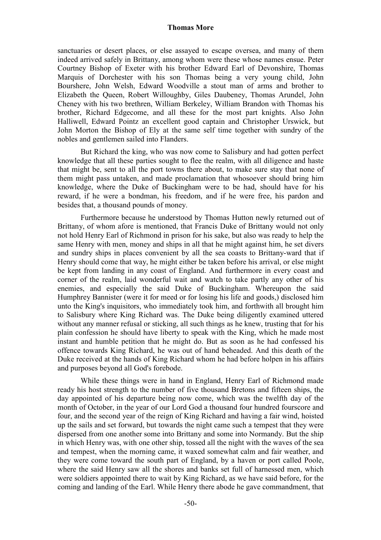sanctuaries or desert places, or else assayed to escape oversea, and many of them indeed arrived safely in Brittany, among whom were these whose names ensue. Peter Courtney Bishop of Exeter with his brother Edward Earl of Devonshire, Thomas Marquis of Dorchester with his son Thomas being a very young child, John Bourshere, John Welsh, Edward Woodville a stout man of arms and brother to Elizabeth the Queen, Robert Willoughby, Giles Daubeney, Thomas Arundel, John Cheney with his two brethren, William Berkeley, William Brandon with Thomas his brother, Richard Edgecome, and all these for the most part knights. Also John Halliwell, Edward Pointz an excellent good captain and Christopher Urswick, but John Morton the Bishop of Ely at the same self time together with sundry of the nobles and gentlemen sailed into Flanders.

But Richard the king, who was now come to Salisbury and had gotten perfect knowledge that all these parties sought to flee the realm, with all diligence and haste that might be, sent to all the port towns there about, to make sure stay that none of them might pass untaken, and made proclamation that whosoever should bring him knowledge, where the Duke of Buckingham were to be had, should have for his reward, if he were a bondman, his freedom, and if he were free, his pardon and besides that, a thousand pounds of money.

Furthermore because he understood by Thomas Hutton newly returned out of Brittany, of whom afore is mentioned, that Francis Duke of Brittany would not only not hold Henry Earl of Richmond in prison for his sake, but also was ready to help the same Henry with men, money and ships in all that he might against him, he set divers and sundry ships in places convenient by all the sea coasts to Brittany-ward that if Henry should come that way, he might either be taken before his arrival, or else might be kept from landing in any coast of England. And furthermore in every coast and corner of the realm, laid wonderful wait and watch to take partly any other of his enemies, and especially the said Duke of Buckingham. Whereupon the said Humphrey Bannister (were it for meed or for losing his life and goods,) disclosed him unto the King's inquisitors, who immediately took him, and forthwith all brought him to Salisbury where King Richard was. The Duke being diligently examined uttered without any manner refusal or sticking, all such things as he knew, trusting that for his plain confession he should have liberty to speak with the King, which he made most instant and humble petition that he might do. But as soon as he had confessed his offence towards King Richard, he was out of hand beheaded. And this death of the Duke received at the hands of King Richard whom he had before holpen in his affairs and purposes beyond all God's forebode.

While these things were in hand in England, Henry Earl of Richmond made ready his host strength to the number of five thousand Bretons and fifteen ships, the day appointed of his departure being now come, which was the twelfth day of the month of October, in the year of our Lord God a thousand four hundred fourscore and four, and the second year of the reign of King Richard and having a fair wind, hoisted up the sails and set forward, but towards the night came such a tempest that they were dispersed from one another some into Brittany and some into Normandy. But the ship in which Henry was, with one other ship, tossed all the night with the waves of the sea and tempest, when the morning came, it waxed somewhat calm and fair weather, and they were come toward the south part of England, by a haven or port called Poole, where the said Henry saw all the shores and banks set full of harnessed men, which were soldiers appointed there to wait by King Richard, as we have said before, for the coming and landing of the Earl. While Henry there abode he gave commandment, that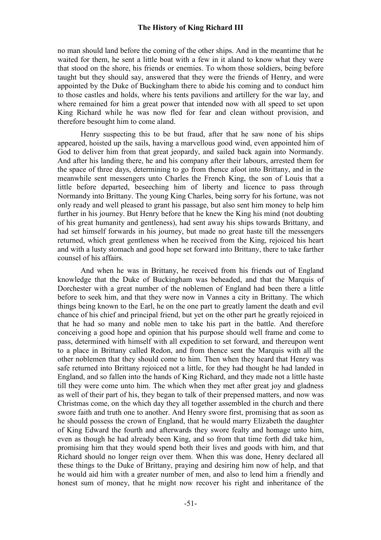no man should land before the coming of the other ships. And in the meantime that he waited for them, he sent a little boat with a few in it aland to know what they were that stood on the shore, his friends or enemies. To whom those soldiers, being before taught but they should say, answered that they were the friends of Henry, and were appointed by the Duke of Buckingham there to abide his coming and to conduct him to those castles and holds, where his tents pavilions and artillery for the war lay, and where remained for him a great power that intended now with all speed to set upon King Richard while he was now fled for fear and clean without provision, and therefore besought him to come aland.

Henry suspecting this to be but fraud, after that he saw none of his ships appeared, hoisted up the sails, having a marvellous good wind, even appointed him of God to deliver him from that great jeopardy, and sailed back again into Normandy. And after his landing there, he and his company after their labours, arrested them for the space of three days, determining to go from thence afoot into Brittany, and in the meanwhile sent messengers unto Charles the French King, the son of Louis that a little before departed, beseeching him of liberty and licence to pass through Normandy into Brittany. The young King Charles, being sorry for his fortune, was not only ready and well pleased to grant his passage, but also sent him money to help him further in his journey. But Henry before that he knew the King his mind (not doubting of his great humanity and gentleness), had sent away his ships towards Brittany, and had set himself forwards in his journey, but made no great haste till the messengers returned, which great gentleness when he received from the King, rejoiced his heart and with a lusty stomach and good hope set forward into Brittany, there to take farther counsel of his affairs.

And when he was in Brittany, he received from his friends out of England knowledge that the Duke of Buckingham was beheaded, and that the Marquis of Dorchester with a great number of the noblemen of England had been there a little before to seek him, and that they were now in Vannes a city in Brittany. The which things being known to the Earl, he on the one part to greatly lament the death and evil chance of his chief and principal friend, but yet on the other part he greatly rejoiced in that he had so many and noble men to take his part in the battle. And therefore conceiving a good hope and opinion that his purpose should well frame and come to pass, determined with himself with all expedition to set forward, and thereupon went to a place in Brittany called Redon, and from thence sent the Marquis with all the other noblemen that they should come to him. Then when they heard that Henry was safe returned into Brittany rejoiced not a little, for they had thought he had landed in England, and so fallen into the hands of King Richard, and they made not a little haste till they were come unto him. The which when they met after great joy and gladness as well of their part of his, they began to talk of their prepensed matters, and now was Christmas come, on the which day they all together assembled in the church and there swore faith and truth one to another. And Henry swore first, promising that as soon as he should possess the crown of England, that he would marry Elizabeth the daughter of King Edward the fourth and afterwards they swore fealty and homage unto him, even as though he had already been King, and so from that time forth did take him, promising him that they would spend both their lives and goods with him, and that Richard should no longer reign over them. When this was done, Henry declared all these things to the Duke of Brittany, praying and desiring him now of help, and that he would aid him with a greater number of men, and also to lend him a friendly and honest sum of money, that he might now recover his right and inheritance of the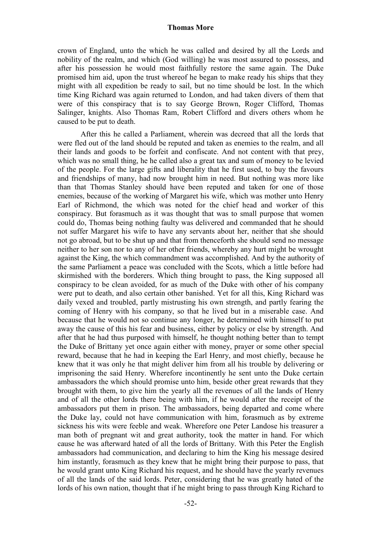crown of England, unto the which he was called and desired by all the Lords and nobility of the realm, and which (God willing) he was most assured to possess, and after his possession he would most faithfully restore the same again. The Duke promised him aid, upon the trust whereof he began to make ready his ships that they might with all expedition be ready to sail, but no time should be lost. In the which time King Richard was again returned to London, and had taken divers of them that were of this conspiracy that is to say George Brown, Roger Clifford, Thomas Salinger, knights. Also Thomas Ram, Robert Clifford and divers others whom he caused to be put to death.

After this he called a Parliament, wherein was decreed that all the lords that were fled out of the land should be reputed and taken as enemies to the realm, and all their lands and goods to be forfeit and confiscate. And not content with that prey, which was no small thing, he he called also a great tax and sum of money to be levied of the people. For the large gifts and liberality that he first used, to buy the favours and friendships of many, had now brought him in need. But nothing was more like than that Thomas Stanley should have been reputed and taken for one of those enemies, because of the working of Margaret his wife, which was mother unto Henry Earl of Richmond, the which was noted for the chief head and worker of this conspiracy. But forasmuch as it was thought that was to small purpose that women could do, Thomas being nothing faulty was delivered and commanded that he should not suffer Margaret his wife to have any servants about her, neither that she should not go abroad, but to be shut up and that from thenceforth she should send no message neither to her son nor to any of her other friends, whereby any hurt might be wrought against the King, the which commandment was accomplished. And by the authority of the same Parliament a peace was concluded with the Scots, which a little before had skirmished with the borderers. Which thing brought to pass, the King supposed all conspiracy to be clean avoided, for as much of the Duke with other of his company were put to death, and also certain other banished. Yet for all this, King Richard was daily vexed and troubled, partly mistrusting his own strength, and partly fearing the coming of Henry with his company, so that he lived but in a miserable case. And because that he would not so continue any longer, he determined with himself to put away the cause of this his fear and business, either by policy or else by strength. And after that he had thus purposed with himself, he thought nothing better than to tempt the Duke of Brittany yet once again either with money, prayer or some other special reward, because that he had in keeping the Earl Henry, and most chiefly, because he knew that it was only he that might deliver him from all his trouble by delivering or imprisoning the said Henry. Wherefore incontinently he sent unto the Duke certain ambassadors the which should promise unto him, beside other great rewards that they brought with them, to give him the yearly all the revenues of all the lands of Henry and of all the other lords there being with him, if he would after the receipt of the ambassadors put them in prison. The ambassadors, being departed and come where the Duke lay, could not have communication with him, forasmuch as by extreme sickness his wits were feeble and weak. Wherefore one Peter Landose his treasurer a man both of pregnant wit and great authority, took the matter in hand. For which cause he was afterward hated of all the lords of Brittany. With this Peter the English ambassadors had communication, and declaring to him the King his message desired him instantly, forasmuch as they knew that he might bring their purpose to pass, that he would grant unto King Richard his request, and he should have the yearly revenues of all the lands of the said lords. Peter, considering that he was greatly hated of the lords of his own nation, thought that if he might bring to pass through King Richard to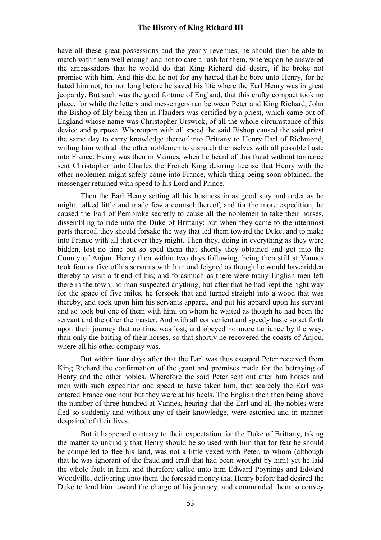have all these great possessions and the yearly revenues, he should then be able to match with them well enough and not to care a rush for them, whereupon he answered the ambassadors that he would do that King Richard did desire, if he broke not promise with him. And this did he not for any hatred that he bore unto Henry, for he hated him not, for not long before he saved his life where the Earl Henry was in great jeopardy. But such was the good fortune of England, that this crafty compact took no place, for while the letters and messengers ran between Peter and King Richard, John the Bishop of Ely being then in Flanders was certified by a priest, which came out of England whose name was Christopher Urswick, of all the whole circumstance of this device and purpose. Whereupon with all speed the said Bishop caused the said priest the same day to carry knowledge thereof into Brittany to Henry Earl of Richmond, willing him with all the other noblemen to dispatch themselves with all possible haste into France. Henry was then in Vannes, when he heard of this fraud without tarriance sent Christopher unto Charles the French King desiring license that Henry with the other noblemen might safely come into France, which thing being soon obtained, the messenger returned with speed to his Lord and Prince.

Then the Earl Henry setting all his business in as good stay and order as he might, talked little and made few a counsel thereof, and for the more expedition, he caused the Earl of Pembroke secretly to cause all the noblemen to take their horses, dissembling to ride unto the Duke of Brittany: but when they came to the uttermost parts thereof, they should forsake the way that led them toward the Duke, and to make into France with all that ever they might. Then they, doing in everything as they were bidden, lost no time but so sped them that shortly they obtained and got into the County of Anjou. Henry then within two days following, being then still at Vannes took four or five of his servants with him and feigned as though he would have ridden thereby to visit a friend of his; and forasmuch as there were many English men left there in the town, no man suspected anything, but after that he had kept the right way for the space of five miles, he forsook that and turned straight into a wood that was thereby, and took upon him his servants apparel, and put his apparel upon his servant and so took but one of them with him, on whom he waited as though he had been the servant and the other the master. And with all convenient and speedy haste so set forth upon their journey that no time was lost, and obeyed no more tarriance by the way, than only the baiting of their horses, so that shortly he recovered the coasts of Anjou, where all his other company was.

But within four days after that the Earl was thus escaped Peter received from King Richard the confirmation of the grant and promises made for the betraying of Henry and the other nobles. Wherefore the said Peter sent out after him horses and men with such expedition and speed to have taken him, that scarcely the Earl was entered France one hour but they were at his heels. The English then then being above the number of three hundred at Vannes, hearing that the Earl and all the nobles were fled so suddenly and without any of their knowledge, were astonied and in manner despaired of their lives.

But it happened contrary to their expectation for the Duke of Brittany, taking the matter so unkindly that Henry should be so used with him that for fear he should be compelled to flee his land, was not a little vexed with Peter, to whom (although that he was ignorant of the fraud and craft that had been wrought by him) yet he laid the whole fault in him, and therefore called unto him Edward Poynings and Edward Woodville, delivering unto them the foresaid money that Henry before had desired the Duke to lend him toward the charge of his journey, and commanded them to convey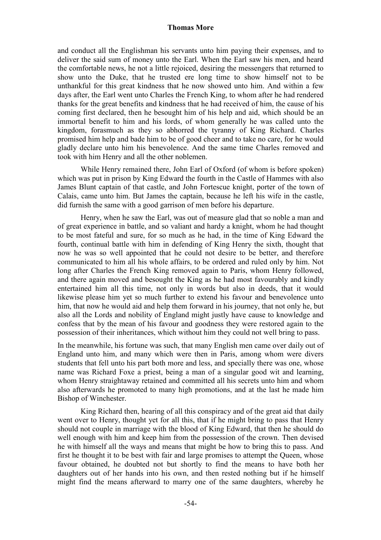and conduct all the Englishman his servants unto him paying their expenses, and to deliver the said sum of money unto the Earl. When the Earl saw his men, and heard the comfortable news, he not a little rejoiced, desiring the messengers that returned to show unto the Duke, that he trusted ere long time to show himself not to be unthankful for this great kindness that he now showed unto him. And within a few days after, the Earl went unto Charles the French King, to whom after he had rendered thanks for the great benefits and kindness that he had received of him, the cause of his coming first declared, then he besought him of his help and aid, which should be an immortal benefit to him and his lords, of whom generally he was called unto the kingdom, forasmuch as they so abhorred the tyranny of King Richard. Charles promised him help and bade him to be of good cheer and to take no care, for he would gladly declare unto him his benevolence. And the same time Charles removed and took with him Henry and all the other noblemen.

While Henry remained there, John Earl of Oxford (of whom is before spoken) which was put in prison by King Edward the fourth in the Castle of Hammes with also James Blunt captain of that castle, and John Fortescue knight, porter of the town of Calais, came unto him. But James the captain, because he left his wife in the castle, did furnish the same with a good garrison of men before his departure.

Henry, when he saw the Earl, was out of measure glad that so noble a man and of great experience in battle, and so valiant and hardy a knight, whom he had thought to be most fateful and sure, for so much as he had, in the time of King Edward the fourth, continual battle with him in defending of King Henry the sixth, thought that now he was so well appointed that he could not desire to be better, and therefore communicated to him all his whole affairs, to be ordered and ruled only by him. Not long after Charles the French King removed again to Paris, whom Henry followed, and there again moved and besought the King as he had most favourably and kindly entertained him all this time, not only in words but also in deeds, that it would likewise please him yet so much further to extend his favour and benevolence unto him, that now he would aid and help them forward in his journey, that not only he, but also all the Lords and nobility of England might justly have cause to knowledge and confess that by the mean of his favour and goodness they were restored again to the possession of their inheritances, which without him they could not well bring to pass.

In the meanwhile, his fortune was such, that many English men came over daily out of England unto him, and many which were then in Paris, among whom were divers students that fell unto his part both more and less, and specially there was one, whose name was Richard Foxe a priest, being a man of a singular good wit and learning, whom Henry straightaway retained and committed all his secrets unto him and whom also afterwards he promoted to many high promotions, and at the last he made him Bishop of Winchester.

King Richard then, hearing of all this conspiracy and of the great aid that daily went over to Henry, thought yet for all this, that if he might bring to pass that Henry should not couple in marriage with the blood of King Edward, that then he should do well enough with him and keep him from the possession of the crown. Then devised he with himself all the ways and means that might be how to bring this to pass. And first he thought it to be best with fair and large promises to attempt the Queen, whose favour obtained, he doubted not but shortly to find the means to have both her daughters out of her hands into his own, and then rested nothing but if he himself might find the means afterward to marry one of the same daughters, whereby he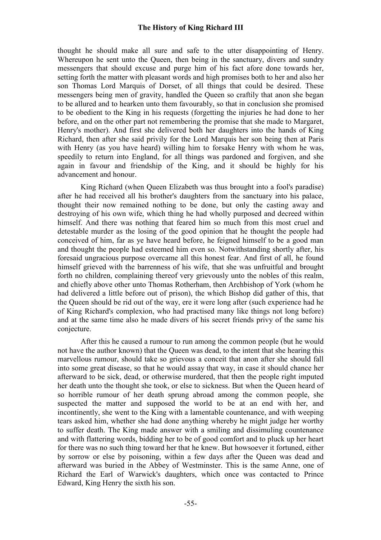thought he should make all sure and safe to the utter disappointing of Henry. Whereupon he sent unto the Queen, then being in the sanctuary, divers and sundry messengers that should excuse and purge him of his fact afore done towards her, setting forth the matter with pleasant words and high promises both to her and also her son Thomas Lord Marquis of Dorset, of all things that could be desired. These messengers being men of gravity, handled the Queen so craftily that anon she began to be allured and to hearken unto them favourably, so that in conclusion she promised to be obedient to the King in his requests (forgetting the injuries he had done to her before, and on the other part not remembering the promise that she made to Margaret, Henry's mother). And first she delivered both her daughters into the hands of King Richard, then after she said privily for the Lord Marquis her son being then at Paris with Henry (as you have heard) willing him to forsake Henry with whom he was, speedily to return into England, for all things was pardoned and forgiven, and she again in favour and friendship of the King, and it should be highly for his advancement and honour.

King Richard (when Queen Elizabeth was thus brought into a fool's paradise) after he had received all his brother's daughters from the sanctuary into his palace, thought their now remained nothing to be done, but only the casting away and destroying of his own wife, which thing he had wholly purposed and decreed within himself. And there was nothing that feared him so much from this most cruel and detestable murder as the losing of the good opinion that he thought the people had conceived of him, far as ye have heard before, he feigned himself to be a good man and thought the people had esteemed him even so. Notwithstanding shortly after, his foresaid ungracious purpose overcame all this honest fear. And first of all, he found himself grieved with the barrenness of his wife, that she was unfruitful and brought forth no children, complaining thereof very grievously unto the nobles of this realm, and chiefly above other unto Thomas Rotherham, then Archbishop of York (whom he had delivered a little before out of prison), the which Bishop did gather of this, that the Queen should be rid out of the way, ere it were long after (such experience had he of King Richard's complexion, who had practised many like things not long before) and at the same time also he made divers of his secret friends privy of the same his conjecture.

After this he caused a rumour to run among the common people (but he would not have the author known) that the Queen was dead, to the intent that she hearing this marvellous rumour, should take so grievous a conceit that anon after she should fall into some great disease, so that he would assay that way, in case it should chance her afterward to be sick, dead, or otherwise murdered, that then the people right imputed her death unto the thought she took, or else to sickness. But when the Queen heard of so horrible rumour of her death sprung abroad among the common people, she suspected the matter and supposed the world to be at an end with her, and incontinently, she went to the King with a lamentable countenance, and with weeping tears asked him, whether she had done anything whereby he might judge her worthy to suffer death. The King made answer with a smiling and dissimuling countenance and with flattering words, bidding her to be of good comfort and to pluck up her heart for there was no such thing toward her that he knew. But howsoever it fortuned, either by sorrow or else by poisoning, within a few days after the Queen was dead and afterward was buried in the Abbey of Westminster. This is the same Anne, one of Richard the Earl of Warwick's daughters, which once was contacted to Prince Edward, King Henry the sixth his son.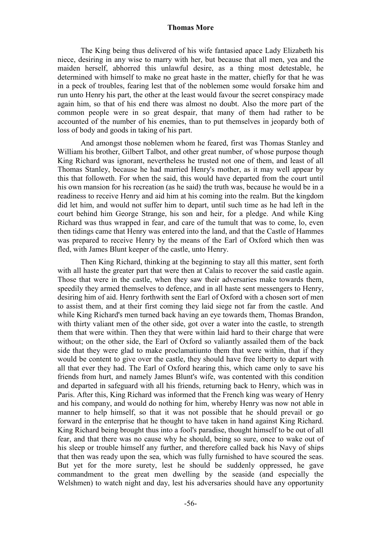The King being thus delivered of his wife fantasied apace Lady Elizabeth his niece, desiring in any wise to marry with her, but because that all men, yea and the maiden herself, abhorred this unlawful desire, as a thing most detestable, he determined with himself to make no great haste in the matter, chiefly for that he was in a peck of troubles, fearing lest that of the noblemen some would forsake him and run unto Henry his part, the other at the least would favour the secret conspiracy made again him, so that of his end there was almost no doubt. Also the more part of the common people were in so great despair, that many of them had rather to be accounted of the number of his enemies, than to put themselves in jeopardy both of loss of body and goods in taking of his part.

And amongst those noblemen whom he feared, first was Thomas Stanley and William his brother, Gilbert Talbot, and other great number, of whose purpose though King Richard was ignorant, nevertheless he trusted not one of them, and least of all Thomas Stanley, because he had married Henry's mother, as it may well appear by this that followeth. For when the said, this would have departed from the court until his own mansion for his recreation (as he said) the truth was, because he would be in a readiness to receive Henry and aid him at his coming into the realm. But the kingdom did let him, and would not suffer him to depart, until such time as he had left in the court behind him George Strange, his son and heir, for a pledge. And while King Richard was thus wrapped in fear, and care of the tumult that was to come, lo, even then tidings came that Henry was entered into the land, and that the Castle of Hammes was prepared to receive Henry by the means of the Earl of Oxford which then was fled, with James Blunt keeper of the castle, unto Henry.

Then King Richard, thinking at the beginning to stay all this matter, sent forth with all haste the greater part that were then at Calais to recover the said castle again. Those that were in the castle, when they saw their adversaries make towards them, speedily they armed themselves to defence, and in all haste sent messengers to Henry, desiring him of aid. Henry forthwith sent the Earl of Oxford with a chosen sort of men to assist them, and at their first coming they laid siege not far from the castle. And while King Richard's men turned back having an eye towards them, Thomas Brandon, with thirty valiant men of the other side, got over a water into the castle, to strength them that were within. Then they that were within laid hard to their charge that were without; on the other side, the Earl of Oxford so valiantly assailed them of the back side that they were glad to make proclamatiunto them that were within, that if they would be content to give over the castle, they should have free liberty to depart with all that ever they had. The Earl of Oxford hearing this, which came only to save his friends from hurt, and namely James Blunt's wife, was contented with this condition and departed in safeguard with all his friends, returning back to Henry, which was in Paris. After this, King Richard was informed that the French king was weary of Henry and his company, and would do nothing for him, whereby Henry was now not able in manner to help himself, so that it was not possible that he should prevail or go forward in the enterprise that he thought to have taken in hand against King Richard. King Richard being brought thus into a fool's paradise, thought himself to be out of all fear, and that there was no cause why he should, being so sure, once to wake out of his sleep or trouble himself any further, and therefore called back his Navy of ships that then was ready upon the sea, which was fully furnished to have scoured the seas. But yet for the more surety, lest he should be suddenly oppressed, he gave commandment to the great men dwelling by the seaside (and especially the Welshmen) to watch night and day, lest his adversaries should have any opportunity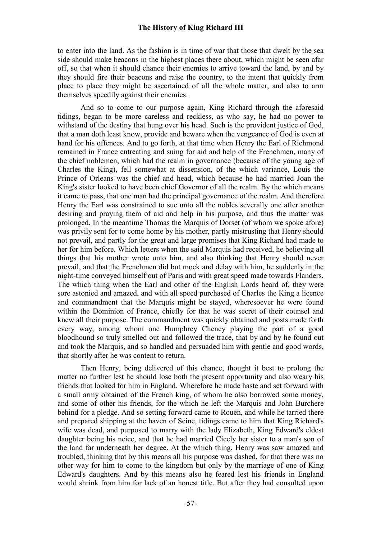to enter into the land. As the fashion is in time of war that those that dwelt by the sea side should make beacons in the highest places there about, which might be seen afar off, so that when it should chance their enemies to arrive toward the land, by and by they should fire their beacons and raise the country, to the intent that quickly from place to place they might be ascertained of all the whole matter, and also to arm themselves speedily against their enemies.

And so to come to our purpose again, King Richard through the aforesaid tidings, began to be more careless and reckless, as who say, he had no power to withstand of the destiny that hung over his head. Such is the provident justice of God, that a man doth least know, provide and beware when the vengeance of God is even at hand for his offences. And to go forth, at that time when Henry the Earl of Richmond remained in France entreating and suing for aid and help of the Frenchmen, many of the chief noblemen, which had the realm in governance (because of the young age of Charles the King), fell somewhat at dissension, of the which variance, Louis the Prince of Orleans was the chief and head, which because he had married Joan the King's sister looked to have been chief Governor of all the realm. By the which means it came to pass, that one man had the principal governance of the realm. And therefore Henry the Earl was constrained to sue unto all the nobles severally one after another desiring and praying them of aid and help in his purpose, and thus the matter was prolonged. In the meantime Thomas the Marquis of Dorset (of whom we spoke afore) was privily sent for to come home by his mother, partly mistrusting that Henry should not prevail, and partly for the great and large promises that King Richard had made to her for him before. Which letters when the said Marquis had received, he believing all things that his mother wrote unto him, and also thinking that Henry should never prevail, and that the Frenchmen did but mock and delay with him, he suddenly in the night-time conveyed himself out of Paris and with great speed made towards Flanders. The which thing when the Earl and other of the English Lords heard of, they were sore astonied and amazed, and with all speed purchased of Charles the King a licence and commandment that the Marquis might be stayed, wheresoever he were found within the Dominion of France, chiefly for that he was secret of their counsel and knew all their purpose. The commandment was quickly obtained and posts made forth every way, among whom one Humphrey Cheney playing the part of a good bloodhound so truly smelled out and followed the trace, that by and by he found out and took the Marquis, and so handled and persuaded him with gentle and good words, that shortly after he was content to return.

Then Henry, being delivered of this chance, thought it best to prolong the matter no further lest he should lose both the present opportunity and also weary his friends that looked for him in England. Wherefore he made haste and set forward with a small army obtained of the French king, of whom he also borrowed some money, and some of other his friends, for the which he left the Marquis and John Burchere behind for a pledge. And so setting forward came to Rouen, and while he tarried there and prepared shipping at the haven of Seine, tidings came to him that King Richard's wife was dead, and purposed to marry with the lady Elizabeth, King Edward's eldest daughter being his neice, and that he had married Cicely her sister to a man's son of the land far underneath her degree. At the which thing, Henry was saw amazed and troubled, thinking that by this means all his purpose was dashed, for that there was no other way for him to come to the kingdom but only by the marriage of one of King Edward's daughters. And by this means also he feared lest his friends in England would shrink from him for lack of an honest title. But after they had consulted upon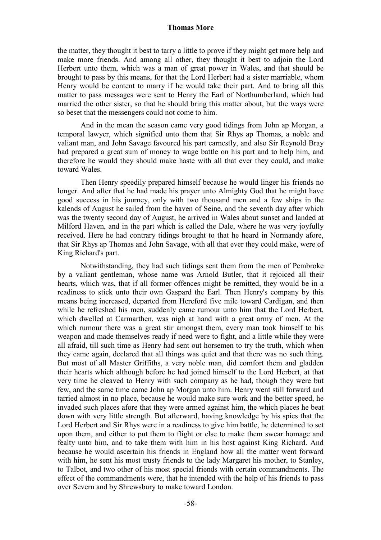the matter, they thought it best to tarry a little to prove if they might get more help and make more friends. And among all other, they thought it best to adjoin the Lord Herbert unto them, which was a man of great power in Wales, and that should be brought to pass by this means, for that the Lord Herbert had a sister marriable, whom Henry would be content to marry if he would take their part. And to bring all this matter to pass messages were sent to Henry the Earl of Northumberland, which had married the other sister, so that he should bring this matter about, but the ways were so beset that the messengers could not come to him.

And in the mean the season came very good tidings from John ap Morgan, a temporal lawyer, which signified unto them that Sir Rhys ap Thomas, a noble and valiant man, and John Savage favoured his part earnestly, and also Sir Reynold Bray had prepared a great sum of money to wage battle on his part and to help him, and therefore he would they should make haste with all that ever they could, and make toward Wales.

Then Henry speedily prepared himself because he would linger his friends no longer. And after that he had made his prayer unto Almighty God that he might have good success in his journey, only with two thousand men and a few ships in the kalends of August he sailed from the haven of Seine, and the seventh day after which was the twenty second day of August, he arrived in Wales about sunset and landed at Milford Haven, and in the part which is called the Dale, where he was very joyfully received. Here he had contrary tidings brought to that he heard in Normandy afore, that Sir Rhys ap Thomas and John Savage, with all that ever they could make, were of King Richard's part.

Notwithstanding, they had such tidings sent them from the men of Pembroke by a valiant gentleman, whose name was Arnold Butler, that it rejoiced all their hearts, which was, that if all former offences might be remitted, they would be in a readiness to stick unto their own Gaspard the Earl. Then Henry's company by this means being increased, departed from Hereford five mile toward Cardigan, and then while he refreshed his men, suddenly came rumour unto him that the Lord Herbert, which dwelled at Carmarthen, was nigh at hand with a great army of men. At the which rumour there was a great stir amongst them, every man took himself to his weapon and made themselves ready if need were to fight, and a little while they were all afraid, till such time as Henry had sent out horsemen to try the truth, which when they came again, declared that all things was quiet and that there was no such thing. But most of all Master Griffiths, a very noble man, did comfort them and gladden their hearts which although before he had joined himself to the Lord Herbert, at that very time he cleaved to Henry with such company as he had, though they were but few, and the same time came John ap Morgan unto him. Henry went still forward and tarried almost in no place, because he would make sure work and the better speed, he invaded such places afore that they were armed against him, the which places he beat down with very little strength. But afterward, having knowledge by his spies that the Lord Herbert and Sir Rhys were in a readiness to give him battle, he determined to set upon them, and either to put them to flight or else to make them swear homage and fealty unto him, and to take them with him in his host against King Richard. And because he would ascertain his friends in England how all the matter went forward with him, he sent his most trusty friends to the lady Margaret his mother, to Stanley, to Talbot, and two other of his most special friends with certain commandments. The effect of the commandments were, that he intended with the help of his friends to pass over Severn and by Shrewsbury to make toward London.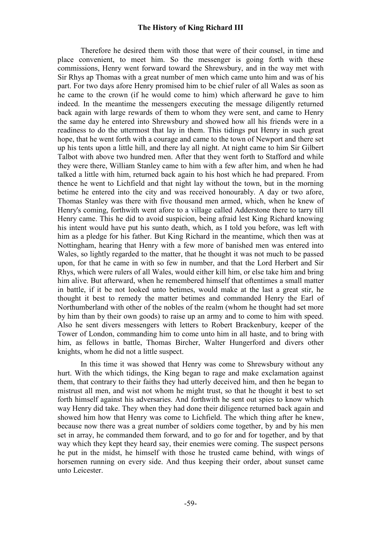Therefore he desired them with those that were of their counsel, in time and place convenient, to meet him. So the messenger is going forth with these commissions, Henry went forward toward the Shrewsbury, and in the way met with Sir Rhys ap Thomas with a great number of men which came unto him and was of his part. For two days afore Henry promised him to be chief ruler of all Wales as soon as he came to the crown (if he would come to him) which afterward he gave to him indeed. In the meantime the messengers executing the message diligently returned back again with large rewards of them to whom they were sent, and came to Henry the same day he entered into Shrewsbury and showed how all his friends were in a readiness to do the uttermost that lay in them. This tidings put Henry in such great hope, that he went forth with a courage and came to the town of Newport and there set up his tents upon a little hill, and there lay all night. At night came to him Sir Gilbert Talbot with above two hundred men. After that they went forth to Stafford and while they were there, William Stanley came to him with a few after him, and when he had talked a little with him, returned back again to his host which he had prepared. From thence he went to Lichfield and that night lay without the town, but in the morning betime he entered into the city and was received honourably. A day or two afore, Thomas Stanley was there with five thousand men armed, which, when he knew of Henry's coming, forthwith went afore to a village called Adderstone there to tarry till Henry came. This he did to avoid suspicion, being afraid lest King Richard knowing his intent would have put his sunto death, which, as I told you before, was left with him as a pledge for his father. But King Richard in the meantime, which then was at Nottingham, hearing that Henry with a few more of banished men was entered into Wales, so lightly regarded to the matter, that he thought it was not much to be passed upon, for that he came in with so few in number, and that the Lord Herbert and Sir Rhys, which were rulers of all Wales, would either kill him, or else take him and bring him alive. But afterward, when he remembered himself that oftentimes a small matter in battle, if it be not looked unto betimes, would make at the last a great stir, he thought it best to remedy the matter betimes and commanded Henry the Earl of Northumberland with other of the nobles of the realm (whom he thought had set more by him than by their own goods) to raise up an army and to come to him with speed. Also he sent divers messengers with letters to Robert Brackenbury, keeper of the Tower of London, commanding him to come unto him in all haste, and to bring with him, as fellows in battle, Thomas Bircher, Walter Hungerford and divers other knights, whom he did not a little suspect.

In this time it was showed that Henry was come to Shrewsbury without any hurt. With the which tidings, the King began to rage and make exclamation against them, that contrary to their faiths they had utterly deceived him, and then he began to mistrust all men, and wist not whom he might trust, so that he thought it best to set forth himself against his adversaries. And forthwith he sent out spies to know which way Henry did take. They when they had done their diligence returned back again and showed him how that Henry was come to Lichfield. The which thing after he knew, because now there was a great number of soldiers come together, by and by his men set in array, he commanded them forward, and to go for and for together, and by that way which they kept they heard say, their enemies were coming. The suspect persons he put in the midst, he himself with those he trusted came behind, with wings of horsemen running on every side. And thus keeping their order, about sunset came unto Leicester.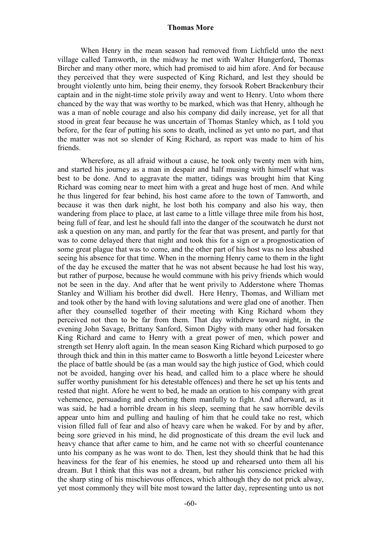When Henry in the mean season had removed from Lichfield unto the next village called Tamworth, in the midway he met with Walter Hungerford, Thomas Bircher and many other more, which had promised to aid him afore. And for because they perceived that they were suspected of King Richard, and lest they should be brought violently unto him, being their enemy, they forsook Robert Brackenbury their captain and in the night-time stole privily away and went to Henry. Unto whom there chanced by the way that was worthy to be marked, which was that Henry, although he was a man of noble courage and also his company did daily increase, yet for all that stood in great fear because he was uncertain of Thomas Stanley which, as I told you before, for the fear of putting his sons to death, inclined as yet unto no part, and that the matter was not so slender of King Richard, as report was made to him of his friends.

Wherefore, as all afraid without a cause, he took only twenty men with him, and started his journey as a man in despair and half musing with himself what was best to be done. And to aggravate the matter, tidings was brought him that King Richard was coming near to meet him with a great and huge host of men. And while he thus lingered for fear behind, his host came afore to the town of Tamworth, and because it was then dark night, he lost both his company and also his way, then wandering from place to place, at last came to a little village three mile from his host, being full of fear, and lest he should fall into the danger of the scoutwatch he durst not ask a question on any man, and partly for the fear that was present, and partly for that was to come delayed there that night and took this for a sign or a prognostication of some great plague that was to come, and the other part of his host was no less abashed seeing his absence for that time. When in the morning Henry came to them in the light of the day he excused the matter that he was not absent because he had lost his way, but rather of purpose, because he would commune with his privy friends which would not be seen in the day. And after that he went privily to Adderstone where Thomas Stanley and William his brother did dwell. Here Henry, Thomas, and William met and took other by the hand with loving salutations and were glad one of another. Then after they counselled together of their meeting with King Richard whom they perceived not then to be far from them. That day withdrew toward night, in the evening John Savage, Brittany Sanford, Simon Digby with many other had forsaken King Richard and came to Henry with a great power of men, which power and strength set Henry aloft again. In the mean season King Richard which purposed to go through thick and thin in this matter came to Bosworth a little beyond Leicester where the place of battle should be (as a man would say the high justice of God, which could not be avoided, hanging over his head, and called him to a place where he should suffer worthy punishment for his detestable offences) and there he set up his tents and rested that night. Afore he went to bed, he made an oration to his company with great vehemence, persuading and exhorting them manfully to fight. And afterward, as it was said, he had a horrible dream in his sleep, seeming that he saw horrible devils appear unto him and pulling and hauling of him that he could take no rest, which vision filled full of fear and also of heavy care when he waked. For by and by after, being sore grieved in his mind, he did prognosticate of this dream the evil luck and heavy chance that after came to him, and he came not with so cheerful countenance unto his company as he was wont to do. Then, lest they should think that he had this heaviness for the fear of his enemies, he stood up and rehearsed unto them all his dream. But I think that this was not a dream, but rather his conscience pricked with the sharp sting of his mischievous offences, which although they do not prick alway, yet most commonly they will bite most toward the latter day, representing unto us not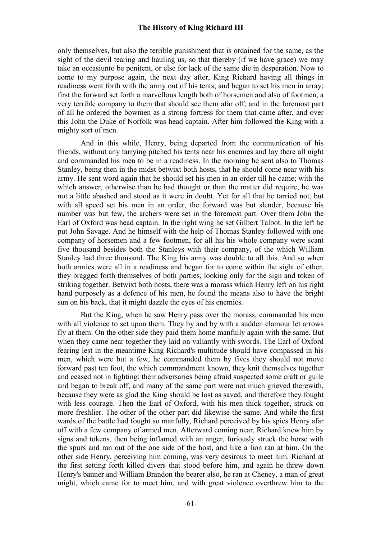only themselves, but also the terrible punishment that is ordained for the same, as the sight of the devil tearing and hauling us, so that thereby (if we have grace) we may take an occasiunto be penitent, or else for lack of the same die in desperation. Now to come to my purpose again, the next day after, King Richard having all things in readiness went forth with the army out of his tents, and began to set his men in array; first the forward set forth a marvellous length both of horsemen and also of footmen, a very terrible company to them that should see them afar off; and in the foremost part of all he ordered the bowmen as a strong fortress for them that came after, and over this John the Duke of Norfolk was head captain. After him followed the King with a mighty sort of men.

And in this while, Henry, being departed from the communication of his friends, without any tarrying pitched his tents near his enemies and lay there all night and commanded his men to be in a readiness. In the morning he sent also to Thomas Stanley, being then in the midst betwixt both hosts, that he should come near with his army. He sent word again that he should set his men in an order till he came; with the which answer, otherwise than he had thought or than the matter did require, he was not a little abashed and stood as it were in doubt. Yet for all that he tarried not, but with all speed set his men in an order, the forward was but slender, because his number was but few, the archers were set in the foremost part. Over them John the Earl of Oxford was head captain. In the right wing he set Gilbert Talbot. In the left he put John Savage. And he himself with the help of Thomas Stanley followed with one company of horsemen and a few footmen, for all his his whole company were scant five thousand besides both the Stanleys with their company, of the which William Stanley had three thousand. The King his army was double to all this. And so when both armies were all in a readiness and began for to come within the sight of other, they bragged forth themselves of both parties, looking only for the sign and token of striking together. Betwixt both hosts, there was a morass which Henry left on his right hand purposely as a defence of his men, he found the means also to have the bright sun on his back, that it might dazzle the eyes of his enemies.

But the King, when he saw Henry pass over the morass, commanded his men with all violence to set upon them. They by and by with a sudden clamour let arrows fly at them. On the other side they paid them home manfully again with the same. But when they came near together they laid on valiantly with swords. The Earl of Oxford fearing lest in the meantime King Richard's multitude should have compassed in his men, which were but a few, he commanded them by fives they should not move forward past ten foot, the which commandment known, they knit themselves together and ceased not in fighting: their adversaries being afraid suspected some craft or guile and began to break off, and many of the same part were not much grieved therewith, because they were as glad the King should be lost as saved, and therefore they fought with less courage. Then the Earl of Oxford, with his men thick together, struck on more freshlier. The other of the other part did likewise the same. And while the first wards of the battle had fought so manfully, Richard perceived by his spies Henry afar off with a few company of armed men. Afterward coming near, Richard knew him by signs and tokens, then being inflamed with an anger, furiously struck the horse with the spurs and ran out of the one side of the host, and like a lion ran at him. On the other side Henry, perceiving him coming, was very desirous to meet him. Richard at the first setting forth killed divers that stood before him, and again he threw down Henry's banner and William Brandon the bearer also, he ran at Cheney, a man of great might, which came for to meet him, and with great violence overthrew him to the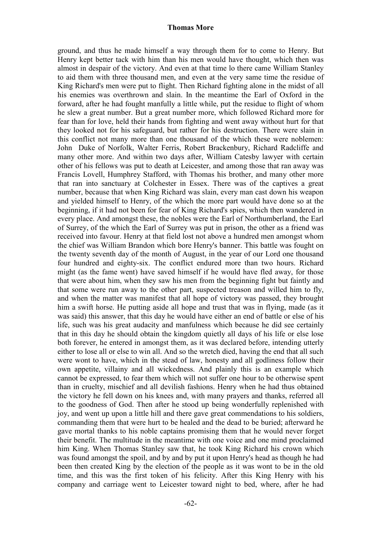ground, and thus he made himself a way through them for to come to Henry. But Henry kept better tack with him than his men would have thought, which then was almost in despair of the victory. And even at that time lo there came William Stanley to aid them with three thousand men, and even at the very same time the residue of King Richard's men were put to flight. Then Richard fighting alone in the midst of all his enemies was overthrown and slain. In the meantime the Earl of Oxford in the forward, after he had fought manfully a little while, put the residue to flight of whom he slew a great number. But a great number more, which followed Richard more for fear than for love, held their hands from fighting and went away without hurt for that they looked not for his safeguard, but rather for his destruction. There were slain in this conflict not many more than one thousand of the which these were noblemen: John Duke of Norfolk, Walter Ferris, Robert Brackenbury, Richard Radcliffe and many other more. And within two days after, William Catesby lawyer with certain other of his fellows was put to death at Leicester, and among those that ran away was Francis Lovell, Humphrey Stafford, with Thomas his brother, and many other more that ran into sanctuary at Colchester in Essex. There was of the captives a great number, because that when King Richard was slain, every man cast down his weapon and yielded himself to Henry, of the which the more part would have done so at the beginning, if it had not been for fear of King Richard's spies, which then wandered in every place. And amongst these, the nobles were the Earl of Northumberland, the Earl of Surrey, of the which the Earl of Surrey was put in prison, the other as a friend was received into favour. Henry at that field lost not above a hundred men amongst whom the chief was William Brandon which bore Henry's banner. This battle was fought on the twenty seventh day of the month of August, in the year of our Lord one thousand four hundred and eighty-six. The conflict endured more than two hours. Richard might (as the fame went) have saved himself if he would have fled away, for those that were about him, when they saw his men from the beginning fight but faintly and that some were run away to the other part, suspected treason and willed him to fly, and when the matter was manifest that all hope of victory was passed, they brought him a swift horse. He putting aside all hope and trust that was in flying, made (as it was said) this answer, that this day he would have either an end of battle or else of his life, such was his great audacity and manfulness which because he did see certainly that in this day he should obtain the kingdom quietly all days of his life or else lose both forever, he entered in amongst them, as it was declared before, intending utterly either to lose all or else to win all. And so the wretch died, having the end that all such were wont to have, which in the stead of law, honesty and all godliness follow their own appetite, villainy and all wickedness. And plainly this is an example which cannot be expressed, to fear them which will not suffer one hour to be otherwise spent than in cruelty, mischief and all devilish fashions. Henry when he had thus obtained the victory he fell down on his knees and, with many prayers and thanks, referred all to the goodness of God. Then after he stood up being wonderfully replenished with joy, and went up upon a little hill and there gave great commendations to his soldiers, commanding them that were hurt to be healed and the dead to be buried; afterward he gave mortal thanks to his noble captains promising them that he would never forget their benefit. The multitude in the meantime with one voice and one mind proclaimed him King. When Thomas Stanley saw that, he took King Richard his crown which was found amongst the spoil, and by and by put it upon Henry's head as though he had been then created King by the election of the people as it was wont to be in the old time, and this was the first token of his felicity. After this King Henry with his company and carriage went to Leicester toward night to bed, where, after he had